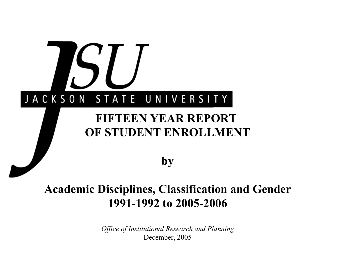

# **Academic Disciplines, Classification and Gender 1991-1992 to 2005-2006**

*Office of Institutional Research and Planning* December, 2005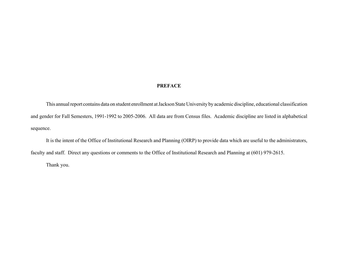### **PREFACE**

This annual report contains data on student enrollment at Jackson State University by academic discipline, educational classification and gender for Fall Semesters, 1991-1992 to 2005-2006. All data are from Census files. Academic discipline are listed in alphabetical sequence.

It is the intent of the Office of Institutional Research and Planning (OIRP) to provide data which are useful to the administrators, faculty and staff. Direct any questions or comments to the Office of Institutional Research and Planning at (601) 979-2615.

Thank you.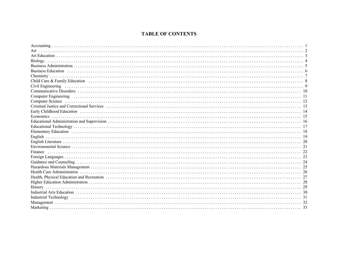# **TABLE OF CONTENTS**

| Business Education (intervention) and the control of the control of the control of the control of the control of the control of the control of the control of the control of the control of the control of the control of the |  |
|-------------------------------------------------------------------------------------------------------------------------------------------------------------------------------------------------------------------------------|--|
|                                                                                                                                                                                                                               |  |
|                                                                                                                                                                                                                               |  |
| Civil Engineering (and according to the control of the control of the control of the control of the control of                                                                                                                |  |
|                                                                                                                                                                                                                               |  |
|                                                                                                                                                                                                                               |  |
|                                                                                                                                                                                                                               |  |
|                                                                                                                                                                                                                               |  |
|                                                                                                                                                                                                                               |  |
|                                                                                                                                                                                                                               |  |
|                                                                                                                                                                                                                               |  |
|                                                                                                                                                                                                                               |  |
|                                                                                                                                                                                                                               |  |
|                                                                                                                                                                                                                               |  |
|                                                                                                                                                                                                                               |  |
|                                                                                                                                                                                                                               |  |
|                                                                                                                                                                                                                               |  |
|                                                                                                                                                                                                                               |  |
|                                                                                                                                                                                                                               |  |
|                                                                                                                                                                                                                               |  |
|                                                                                                                                                                                                                               |  |
|                                                                                                                                                                                                                               |  |
|                                                                                                                                                                                                                               |  |
|                                                                                                                                                                                                                               |  |
|                                                                                                                                                                                                                               |  |
|                                                                                                                                                                                                                               |  |
|                                                                                                                                                                                                                               |  |
|                                                                                                                                                                                                                               |  |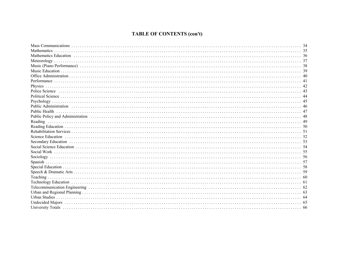# **TABLE OF CONTENTS (con't)**

| Mathematics                                                                                                                                                                                                                    |  |
|--------------------------------------------------------------------------------------------------------------------------------------------------------------------------------------------------------------------------------|--|
|                                                                                                                                                                                                                                |  |
|                                                                                                                                                                                                                                |  |
|                                                                                                                                                                                                                                |  |
|                                                                                                                                                                                                                                |  |
|                                                                                                                                                                                                                                |  |
|                                                                                                                                                                                                                                |  |
|                                                                                                                                                                                                                                |  |
|                                                                                                                                                                                                                                |  |
|                                                                                                                                                                                                                                |  |
|                                                                                                                                                                                                                                |  |
| Public Administration (a) respectively and the control of the control of the control of the control of the control of the control of the control of the control of the control of the control of the control of the control of |  |
|                                                                                                                                                                                                                                |  |
|                                                                                                                                                                                                                                |  |
|                                                                                                                                                                                                                                |  |
|                                                                                                                                                                                                                                |  |
|                                                                                                                                                                                                                                |  |
|                                                                                                                                                                                                                                |  |
| Secondary Education (a) respectively and the second second section of the secondary Education (b) secondary Education (b) second section of the second section of the second section of the second section of the second secti |  |
|                                                                                                                                                                                                                                |  |
|                                                                                                                                                                                                                                |  |
|                                                                                                                                                                                                                                |  |
|                                                                                                                                                                                                                                |  |
|                                                                                                                                                                                                                                |  |
|                                                                                                                                                                                                                                |  |
|                                                                                                                                                                                                                                |  |
|                                                                                                                                                                                                                                |  |
|                                                                                                                                                                                                                                |  |
|                                                                                                                                                                                                                                |  |
|                                                                                                                                                                                                                                |  |
|                                                                                                                                                                                                                                |  |
|                                                                                                                                                                                                                                |  |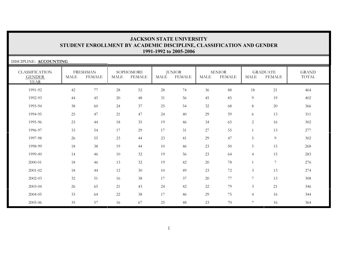| DISCIPLINE: ACCOUNTING                                |             |                                  |      |                            |        |                                |             |                                |                |                                  |                       |
|-------------------------------------------------------|-------------|----------------------------------|------|----------------------------|--------|--------------------------------|-------------|--------------------------------|----------------|----------------------------------|-----------------------|
| <b>CLASSIFICATION</b><br><b>GENDER</b><br><b>YEAR</b> | <b>MALE</b> | <b>FRESHMAN</b><br><b>FEMALE</b> | MALE | SOPHOMORE<br><b>FEMALE</b> | MALE   | <b>JUNIOR</b><br><b>FEMALE</b> | <b>MALE</b> | <b>SENIOR</b><br><b>FEMALE</b> | <b>MALE</b>    | <b>GRADUATE</b><br><b>FEMALE</b> | <b>GRAND</b><br>TOTAL |
| 1991-92                                               | 42          | 77                               | 28   | 52                         | $28\,$ | 74                             | 36          | $88\,$                         | 18             | 21                               | 464                   |
| 1992-93                                               | 44          | 45                               | 20   | 48                         | 31     | 56                             | 45          | 85                             | 9              | 19                               | 402                   |
| 1993-94                                               | 38          | 60                               | 24   | 37                         | 25     | 54                             | 32          | 68                             | 8              | 20                               | 366                   |
| 1994-95                                               | 25          | 47                               | 21   | 47                         | 24     | 40                             | 29          | 59                             | 6              | 13                               | 311                   |
| 1995-96                                               | 23          | 44                               | 18   | 35                         | 19     | 46                             | 34          | 65                             | $\overline{2}$ | 16                               | 302                   |
| 1996-97                                               | 33          | 54                               | 17   | 29                         | 17     | 31                             | 27          | 55                             |                | 13                               | 277                   |
| 1997-98                                               | 26          | 55                               | 23   | 44                         | 23     | 41                             | 29          | 47                             | 5              | $\overline{9}$                   | 302                   |
| 1998-99                                               | 18          | 38                               | 19   | 44                         | 10     | 46                             | 23          | 50                             | 5              | 15                               | 268                   |
| 1999-00                                               | 14          | 46                               | 10   | 32                         | 19     | 56                             | 23          | 64                             | $\overline{4}$ | 15                               | 283                   |
| 2000-01                                               | 18          | 46                               | 13   | 32                         | 19     | 42                             | 20          | 78                             |                | 7                                | 276                   |
| 2001-02                                               | 18          | 44                               | 12   | 30                         | 10     | 49                             | 23          | 72                             | 3              | 13                               | 274                   |
| 2002-03                                               | 32          | 51                               | 16   | 38                         | 17     | 37                             | 20          | 77                             | 7              | 13                               | 308                   |
| 2003-04                                               | 26          | 65                               | 21   | 43                         | 24     | 42                             | 22          | 79                             | $\mathfrak{Z}$ | 21                               | 346                   |
| 2004-05                                               | 33          | 64                               | 22   | 38                         | 17     | 46                             | 29          | 75                             | $\overline{4}$ | 16                               | 344                   |
| 2005-06                                               | 35          | 57                               | 16   | 67                         | 25     | 48                             | 23          | 70                             | 7              | 16                               | 364                   |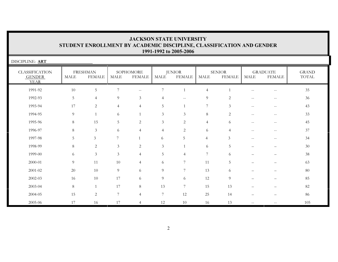| DISCIPLINE: ART                                       |             |                                  |                  |                             |                  |                          |                |                                |                          |                                               |                              |
|-------------------------------------------------------|-------------|----------------------------------|------------------|-----------------------------|------------------|--------------------------|----------------|--------------------------------|--------------------------|-----------------------------------------------|------------------------------|
| <b>CLASSIFICATION</b><br><b>GENDER</b><br><b>YEAR</b> | <b>MALE</b> | <b>FRESHMAN</b><br><b>FEMALE</b> | MALE             | SOPHOMORE<br><b>FEMALE</b>  | <b>MALE</b>      | <b>JUNIOR</b><br>FEMALE  | MALE           | <b>SENIOR</b><br><b>FEMALE</b> | MALE                     | <b>GRADUATE</b><br><b>FEMALE</b>              | <b>GRAND</b><br><b>TOTAL</b> |
| 1991-92                                               | 10          | 5                                | 7                | $\mathcal{L} = \mathcal{L}$ | 7                |                          | $\overline{4}$ |                                | $\!-$                    | $-\,-$                                        | 35                           |
| 1992-93                                               | 5           | $\overline{4}$                   | 9                | $\mathfrak{Z}$              | $\overline{4}$   | $\overline{\phantom{m}}$ | 9              | 2                              | $\overline{\phantom{m}}$ | $\sim$                                        | 36                           |
| 1993-94                                               | 17          | $\overline{c}$                   | $\overline{4}$   | $\overline{4}$              | 5                |                          | $\overline{7}$ | 3                              | $- -$                    | $\sim$                                        | 43                           |
| 1994-95                                               | 9           |                                  | 6                | $\mathbf{1}$                | 3                | 3                        | 8              | $\overline{2}$                 | $\sim$ $-$               | $\mathord{\hspace{1pt}\text{--}\hspace{1pt}}$ | 33                           |
| 1995-96                                               | 8           | 15                               | 5                | $\overline{2}$              | $\mathfrak{Z}$   | $\overline{c}$           | $\overline{4}$ | 6                              | $--$                     | $\hspace{0.05cm} -$                           | 45                           |
| 1996-97                                               | 8           | $\mathfrak{Z}$                   | 6                | $\overline{4}$              | $\overline{4}$   | $\overline{c}$           | 6              | $\overline{4}$                 | $\overline{\phantom{m}}$ | $\sim$ $\sim$                                 | 37                           |
| 1997-98                                               | 5           | $\mathfrak{Z}$                   | $\overline{7}$   |                             | 6                | 5                        | $\overline{4}$ | $\mathfrak{Z}$                 | $-$                      | $-$                                           | 34                           |
| 1998-99                                               | 8           | 2                                | 3                | 2                           | $\mathfrak{Z}$   |                          | 6              | 5                              |                          |                                               | 30                           |
| 1999-00                                               | 6           | $\mathfrak{Z}$                   | $\mathfrak{Z}$   | $\overline{4}$              | 5                | $\overline{4}$           | 7              | 6                              |                          |                                               | 38                           |
| 2000-01                                               | 9           | 11                               | $10\,$           | $\overline{4}$              | 6                | 7                        | 11             | 5                              |                          |                                               | 63                           |
| 2001-02                                               | 20          | 10                               | 9                | 6                           | 9                | 7                        | 13             | 6                              |                          |                                               | $80\,$                       |
| $2002 - 03$                                           | 16          | 10                               | 17               | 6                           | 9                | 6                        | 12             | 9                              |                          |                                               | 85                           |
| 2003-04                                               | $\,8\,$     | 1                                | 17               | $\,8\,$                     | 13               | 7                        | 15             | 13                             |                          |                                               | 82                           |
| 2004-05                                               | 15          | $\overline{c}$                   | $\boldsymbol{7}$ | $\overline{4}$              | $\boldsymbol{7}$ | 12                       | 25             | 14                             |                          |                                               | 86                           |
| 2005-06                                               | 17          | 16                               | 17               | $\overline{4}$              | 12               | 10                       | 16             | 13                             |                          |                                               | 105                          |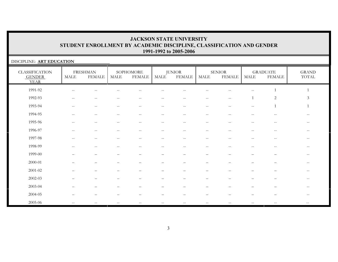#### DISCIPLINE: **ART EDUCATION** CLASSIFICATION GENDER YEARFRESHMANMALE FEMALE**SOPHOMORE** MALE FEMALEJUNIOR<br>MALE FEI **FEMALE** SENIORMALE FEMALEGRADUATEMALE FEMALEGRANDTOTAL1991-92 -- -- -- -- -- -- -- -- -- 1 1 $\mathbf{1}$ 1992-93 -- - - - - - - - - - - - - - 1 2 3  $\mathfrak{Z}$ 1993-94 -- -- -- -- -- -- -- -- -- 1 11994-95 -- -- -- -- -- -- -- -- -- -- --1995-96 -- -- -- -- -- -- -- -- -- -- --1996-97 -- -- -- -- -- -- -- -- -- -- --1997-98 -- -- -- -- -- -- -- -- -- -- --1998-99 -- -- -- -- -- -- -- -- -- -- -- $\mathbb{L}^{\perp}$ 1999-00 – – – – – – – – – – --2000-01 – – – – – – – – – – --2001-02 – – – – – – – – – – --2002-03 – – – – – – – – – – --2003-04 – – – – – – – – – – -- $\mathbb{H}^{\mathbb{Z}}$ 2004-05 – – – – – – – – – – --2005-06 -- -- -- -- -- -- -- -- -- -- --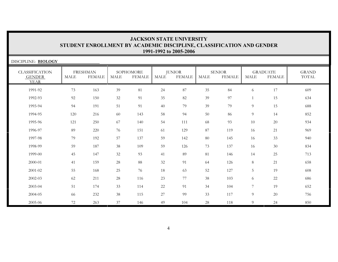| DISCIPLINE: BIOLOGY                                   |             |                                  |        |                            |             |                                |        |                                |                 |                                  |                       |
|-------------------------------------------------------|-------------|----------------------------------|--------|----------------------------|-------------|--------------------------------|--------|--------------------------------|-----------------|----------------------------------|-----------------------|
| <b>CLASSIFICATION</b><br><b>GENDER</b><br><b>YEAR</b> | <b>MALE</b> | <b>FRESHMAN</b><br><b>FEMALE</b> | MALE   | SOPHOMORE<br><b>FEMALE</b> | <b>MALE</b> | <b>JUNIOR</b><br><b>FEMALE</b> | MALE   | <b>SENIOR</b><br><b>FEMALE</b> | <b>MALE</b>     | <b>GRADUATE</b><br><b>FEMALE</b> | <b>GRAND</b><br>TOTAL |
| 1991-92                                               | 73          | 163                              | 39     | 81                         | 24          | 87                             | 35     | 84                             | 6               | 17                               | 609                   |
| 1992-93                                               | 92          | 150                              | 32     | 91                         | 35          | 82                             | 39     | 97                             | 1               | 15                               | 634                   |
| 1993-94                                               | 94          | 191                              | 51     | 91                         | 40          | 79                             | 39     | 79                             | $\overline{9}$  | 15                               | 688                   |
| 1994-95                                               | 120         | 216                              | 60     | 143                        | 58          | 94                             | 50     | 86                             | 9               | 14                               | 852                   |
| 1995-96                                               | 121         | 250                              | 67     | 140                        | 54          | 111                            | 68     | 93                             | 10              | 20                               | 934                   |
| 1996-97                                               | 89          | 220                              | 76     | 151                        | 61          | 129                            | 87     | 119                            | 16              | 21                               | 969                   |
| 1997-98                                               | 79          | 192                              | 57     | 137                        | 59          | 142                            | 80     | 145                            | 16              | 33                               | 940                   |
| 1998-99                                               | 59          | 187                              | 38     | 109                        | 59          | 126                            | 73     | 137                            | 16              | 30                               | 834                   |
| 1999-00                                               | 45          | 147                              | 32     | 93                         | 41          | 89                             | $81\,$ | 146                            | 14              | 25                               | 713                   |
| $2000 - 01$                                           | 41          | 159                              | $28\,$ | $88\,$                     | 32          | 91                             | 64     | 126                            | 8               | 21                               | 658                   |
| 2001-02                                               | 55          | 168                              | 25     | 76                         | 18          | 63                             | 52     | 127                            | 5               | 19                               | 608                   |
| $2002 - 03$                                           | 62          | 211                              | 28     | 116                        | 23          | 77                             | 38     | 103                            | 6               | 22                               | 686                   |
| 2003-04                                               | 51          | 174                              | 33     | 114                        | $22\,$      | 91                             | 34     | 104                            | $7\phantom{.0}$ | 19                               | 652                   |
| 2004-05                                               | 66          | 232                              | 38     | 115                        | $27\,$      | 99                             | 33     | 117                            | $\overline{9}$  | 20                               | 756                   |
| 2005-06                                               | 72          | 263                              | 37     | 146                        | 49          | 104                            | 28     | 118                            | 9               | 24                               | 850                   |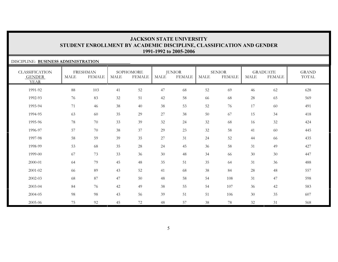### DISCIPLINE: **BUSINESS ADMINISTRATION**

| <b>CLASSIFICATION</b><br><b>GENDER</b><br><b>YEAR</b> | <b>MALE</b> | <b>FRESHMAN</b><br><b>FEMALE</b> | <b>MALE</b> | SOPHOMORE<br><b>FEMALE</b> | <b>MALE</b> | <b>JUNIOR</b><br><b>FEMALE</b> | <b>MALE</b> | <b>SENIOR</b><br><b>FEMALE</b> | <b>MALE</b> | <b>GRADUATE</b><br><b>FEMALE</b> | <b>GRAND</b><br>TOTAL |
|-------------------------------------------------------|-------------|----------------------------------|-------------|----------------------------|-------------|--------------------------------|-------------|--------------------------------|-------------|----------------------------------|-----------------------|
| 1991-92                                               | 88          | 103                              | 41          | 52                         | 47          | 68                             | 52          | 69                             | 46          | 62                               | 628                   |
| 1992-93                                               | 76          | 83                               | 32          | 51                         | 42          | 58                             | 66          | 68                             | 28          | 65                               | 569                   |
| 1993-94                                               | 71          | 46                               | 38          | 40                         | 38          | 53                             | 52          | 76                             | 17          | 60                               | 491                   |
| 1994-95                                               | 63          | 60                               | 35          | 29                         | $27\,$      | 38                             | 50          | 67                             | 15          | 34                               | 418                   |
| 1995-96                                               | 78          | 70                               | 33          | 39                         | 32          | 24                             | 32          | 68                             | 16          | 32                               | 424                   |
| 1996-97                                               | 57          | 70                               | 38          | 37                         | 29          | 23                             | 32          | 58                             | 41          | 60                               | 445                   |
| 1997-98                                               | 58          | 59                               | 39          | 35                         | $27\,$      | 31                             | 24          | 52                             | 44          | 66                               | 435                   |
| 1998-99                                               | 53          | 68                               | 35          | 28                         | 24          | 45                             | 36          | 58                             | 31          | 49                               | 427                   |
| 1999-00                                               | 67          | 73                               | 33          | 36                         | 30          | 48                             | 34          | 66                             | 30          | 30                               | 447                   |
| 2000-01                                               | 64          | 79                               | 45          | 48                         | 35          | 51                             | 35          | 64                             | 31          | 36                               | 488                   |
| 2001-02                                               | 66          | 89                               | 43          | 52                         | 41          | 68                             | 38          | 84                             | 28          | 48                               | 557                   |
| 2002-03                                               | 68          | 87                               | 47          | 50                         | 48          | 58                             | 54          | 108                            | 31          | 47                               | 598                   |
| 2003-04                                               | 84          | 76                               | 42          | 49                         | $38\,$      | 55                             | 54          | 107                            | 36          | 42                               | 583                   |
| 2004-05                                               | 98          | 98                               | 43          | 56                         | 39          | 51                             | 51          | 106                            | 30          | 35                               | 607                   |
| 2005-06                                               | 75          | 92                               | 45          | 72                         | 48          | 57                             | 38          | 78                             | 32          | 31                               | 568                   |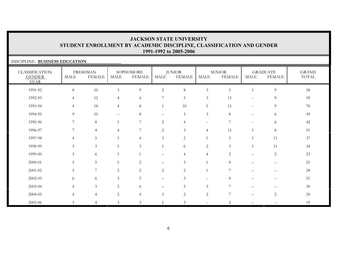### DISCIPLINE: **BUSINESS EDUCATION**

| <b>CLASSIFICATION</b><br><b>GENDER</b><br><b>YEAR</b> | MALE            | <b>FRESHMAN</b><br><b>FEMALE</b> | <b>MALE</b>    | SOPHOMORE<br><b>FEMALE</b> | MALE                     | <b>JUNIOR</b><br><b>FEMALE</b> | MALE              | <b>SENIOR</b><br><b>FEMALE</b> | MALE                     | <b>GRADUATE</b><br><b>FEMALE</b> | <b>GRAND</b><br>TOTAL |
|-------------------------------------------------------|-----------------|----------------------------------|----------------|----------------------------|--------------------------|--------------------------------|-------------------|--------------------------------|--------------------------|----------------------------------|-----------------------|
| 1991-92                                               | $\,8\,$         | $10\,$                           | $\mathfrak{Z}$ | $\overline{9}$             | $\sqrt{2}$               | $\,8\,$                        | $\mathfrak{Z}$    | $\overline{5}$                 |                          | $\overline{9}$                   | 58                    |
| 1992-93                                               | $\overline{4}$  | 12                               | $\overline{4}$ | $\overline{4}$             | $\overline{7}$           | 5                              | $\mathfrak{Z}$    | 11                             | $\sim$ $\sim$            | $\overline{9}$                   | 59                    |
| 1993-94                                               | $\overline{4}$  | 18                               | $\overline{4}$ | 8                          | 1                        | 10                             | $5\phantom{.0}$   | 11                             | $-\,-$                   | 9                                | 70                    |
| 1994-95                                               | 9               | 10                               | $-\,-$         | 8                          | $\overline{\phantom{m}}$ | $\mathbf 5$                    | $\mathfrak{Z}$    | 8                              | $-\,-$                   | 6                                | 49                    |
| 1995-96                                               | $7\overline{ }$ | $\,8\,$                          | $\mathbf{1}$   | 7                          | 2                        | $\overline{4}$                 | $--$              | $\overline{7}$                 | $- -$                    | 6                                | $42\,$                |
| 1996-97                                               | 7               | $\overline{4}$                   | $\overline{4}$ | $\overline{7}$             | $\mathbf{2}$             | 3                              | $\overline{4}$    | 11                             |                          | $\,8\,$                          | 51                    |
| 1997-98                                               | $\overline{4}$  | 5                                |                | $\overline{4}$             | $\mathfrak{Z}$           | $\sqrt{2}$                     |                   | 5                              |                          | 11                               | 37                    |
| 1998-99                                               | $\mathfrak{Z}$  | $\mathfrak{Z}$                   | $\mathbf{1}$   | $\mathfrak{Z}$             | $\mathbf{1}$             | 6                              | $\sqrt{2}$        | $\mathfrak{Z}$                 |                          | 11                               | 34                    |
| 1999-00                                               | $\mathfrak{Z}$  | 6                                | $\mathbf{1}$   |                            |                          | $\overline{4}$                 | $\overline{4}$    | $\overline{c}$                 |                          | $\sqrt{2}$                       | 23                    |
| 2000-01                                               | 5               | 5                                |                | $\mathbf{2}$               | $\overline{\phantom{0}}$ | 3                              |                   | 8                              |                          |                                  | $25\,$                |
| 2001-02                                               | 5               | $\overline{7}$                   | 2              | 2                          | 2                        | $\overline{c}$                 |                   | 7                              | $\overline{\phantom{0}}$ | -                                | $28\,$                |
| 2002-03                                               | 6               | 6                                | 3              | 5                          | $\qquad \qquad -$        | $\mathfrak{Z}$                 | $\qquad \qquad -$ | 8                              |                          | $\overline{\phantom{0}}$         | 31                    |
| 2003-04                                               | $\overline{4}$  | $\mathfrak{Z}$                   | 2              | 6                          |                          | 5                              | $\mathfrak{Z}$    | $\overline{7}$                 |                          |                                  | 30                    |
| 2004-05                                               | $\overline{4}$  | $\overline{4}$                   | 2              | $\overline{4}$             | 3                        | $\overline{2}$                 | $\sqrt{2}$        | $7\phantom{.0}$                | $\qquad \qquad =$        | $\sqrt{2}$                       | 30                    |
| 2005-06                                               | 3               | $\overline{4}$                   | 3              | 3                          |                          | 3                              | $\sim$ $\sim$     | $\overline{2}$                 | $\mathbf{u}$             | $- -$                            | 19                    |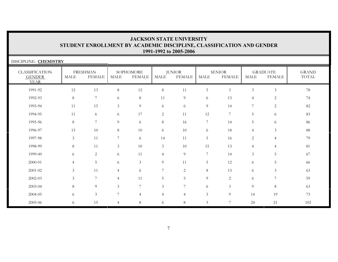| DISCIPLINE: CHEMISTRY                                 |                |                                  |                |                            |                |                                |                |                                |                |                                  |                       |
|-------------------------------------------------------|----------------|----------------------------------|----------------|----------------------------|----------------|--------------------------------|----------------|--------------------------------|----------------|----------------------------------|-----------------------|
| <b>CLASSIFICATION</b><br><b>GENDER</b><br><b>YEAR</b> | <b>MALE</b>    | <b>FRESHMAN</b><br><b>FEMALE</b> | <b>MALE</b>    | SOPHOMORE<br><b>FEMALE</b> | <b>MALE</b>    | <b>JUNIOR</b><br><b>FEMALE</b> | <b>MALE</b>    | <b>SENIOR</b><br><b>FEMALE</b> | <b>MALE</b>    | <b>GRADUATE</b><br><b>FEMALE</b> | <b>GRAND</b><br>TOTAL |
| 1991-92                                               | 12             | 13                               | 8              | 12                         | 8              | 11                             | 5              | $\mathfrak{Z}$                 | $\mathfrak{Z}$ | $\mathfrak{Z}$                   | 78                    |
| 1992-93                                               | 8              | $\overline{7}$                   | 6              | 8                          | 11             | 9                              | 6              | 13                             | $\overline{4}$ | 2                                | 74                    |
| 1993-94                                               | 11             | 15                               | $\mathfrak{Z}$ | 9                          | 6              | 6                              | 9              | 14                             | 7              | 2                                | 82                    |
| 1994-95                                               | 11             | 6                                | 6              | 17                         | $\overline{c}$ | 11                             | 12             | $7^{\circ}$                    | 5              | 6                                | 83                    |
| 1995-96                                               | 8              | 7                                | 9              | 6                          | $8\,$          | 16                             | 7              | 14                             | 5              | 6                                | 86                    |
| 1996-97                                               | 13             | 10                               | 8              | 10                         | 6              | 10                             | 6              | 18                             | $\overline{4}$ | $\mathfrak{Z}$                   | 88                    |
| 1997-98                                               | $\mathfrak{Z}$ | 11                               | 7              | 6                          | 14             | 11                             | 5              | 16                             | 2              | $\overline{4}$                   | 79                    |
| 1998-99                                               | 8              | 11                               | $\mathfrak{Z}$ | 10                         | $\mathfrak{Z}$ | 10                             | 15             | 13                             | $\overline{4}$ | $\overline{4}$                   | 81                    |
| 1999-00                                               | 6              | 2                                | 6              | 11                         | $\overline{4}$ | 9                              | $\overline{7}$ | 14                             | 3              | 5                                | 67                    |
| 2000-01                                               | $\overline{4}$ | 5                                | 6              | $\mathfrak{Z}$             | 9              | 11                             | 5              | 12                             | 6              | 5                                | 66                    |
| 2001-02                                               | 3              | 11                               | $\overline{4}$ | 6                          | 7              | $\overline{c}$                 | $\,8\,$        | 13                             | 6              | $\mathfrak{Z}$                   | 63                    |
| 2002-03                                               | 3              | $\overline{7}$                   | $\overline{4}$ | 11                         | 5              | 5                              | 9              | $\overline{2}$                 | 6              | $\overline{7}$                   | 59                    |
| 2003-04                                               | 8              | 9                                | 3              | 7                          | 3              | 7                              | 6              | 3                              | 9              | 8                                | 63                    |
| 2004-05                                               | 6              | $\mathfrak{Z}$                   | 7              | $\overline{4}$             | $\overline{4}$ | $\overline{4}$                 | 3              | 9                              | 14             | 19                               | 73                    |
| 2005-06                                               | 6              | 15                               | 4              | 8                          | 6              | 8                              | 3              | 7                              | 24             | 21                               | 102                   |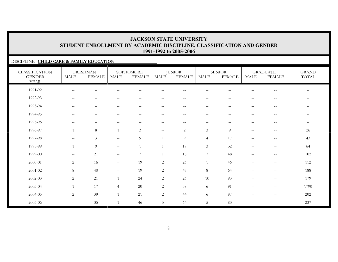### DISCIPLINE: **CHILD CARE & FAMILY EDUCATION**

| <b>CLASSIFICATION</b><br><b>GENDER</b><br><b>YEAR</b> | <b>MALE</b>                                         | <b>FRESHMAN</b><br><b>FEMALE</b> | <b>MALE</b>              | SOPHOMORE<br><b>FEMALE</b>                          | <b>MALE</b>              | <b>JUNIOR</b><br><b>FEMALE</b> | MALE                     | <b>SENIOR</b><br><b>FEMALE</b>                      | <b>MALE</b>              | <b>GRADUATE</b><br><b>FEMALE</b> | <b>GRAND</b><br>TOTAL                               |
|-------------------------------------------------------|-----------------------------------------------------|----------------------------------|--------------------------|-----------------------------------------------------|--------------------------|--------------------------------|--------------------------|-----------------------------------------------------|--------------------------|----------------------------------|-----------------------------------------------------|
| 1991-92                                               |                                                     |                                  |                          |                                                     |                          |                                |                          |                                                     |                          |                                  |                                                     |
| 1992-93                                               | $--$                                                | $--$                             | $\overline{\phantom{m}}$ | $\hspace{0.05cm}$ – $\hspace{0.05cm}$               | $\qquad \qquad -$        | $--$                           | $--$                     | $\overline{\phantom{m}}$                            | $\overline{\phantom{m}}$ | $-\,-$                           | $\overline{\phantom{m}}$                            |
| 1993-94                                               | $- -$                                               | $--$                             | $-\,-$                   | $\hspace{0.05cm} -\hspace{0.05cm} -\hspace{0.05cm}$ | $\overline{\phantom{m}}$ | $\overline{\phantom{m}}$       | $--$                     | $\hspace{0.05cm} -\hspace{0.05cm} -\hspace{0.05cm}$ | $- -$                    | $\overline{\phantom{m}}$         | $\overline{\phantom{m}}$                            |
| 1994-95                                               | $\sim$ $\sim$                                       | $--$                             | $\sim$ $\sim$            | $\hspace{0.1mm}-\hspace{0.1mm}-\hspace{0.1mm}$      | $- -$                    | $\overline{\phantom{m}}$       | $--$                     | $\sim$ $\sim$                                       | $\sim$ $\sim$            | $- -$                            | $\hspace{0.05cm} -\hspace{0.05cm} -\hspace{0.05cm}$ |
| 1995-96                                               | $\sim$                                              | $\qquad \qquad -$                |                          |                                                     |                          | $- -$                          | $\overline{\phantom{m}}$ |                                                     |                          |                                  | $\overline{\phantom{m}}$                            |
| 1996-97                                               |                                                     | $8\,$                            | $\mathbf{1}$             | 3                                                   | $\mathbf{u}$             | $\overline{c}$                 | $\mathfrak{Z}$           | 9                                                   | $\overline{\phantom{m}}$ | $-\,-$                           | 26                                                  |
| 1997-98                                               | $- -$                                               | $\mathfrak{Z}$                   | $\mathbf{u}$             | 9                                                   |                          | 9                              | $\overline{4}$           | 17                                                  | $-\,-$                   | $\overline{\phantom{m}}$         | 43                                                  |
| 1998-99                                               |                                                     | 9                                | $\overline{\phantom{0}}$ |                                                     |                          | 17                             | $\mathfrak{Z}$           | 32                                                  | $\qquad \qquad -$        | $\qquad \qquad -$                | 64                                                  |
| 1999-00                                               | $\hspace{0.05cm} -\hspace{0.05cm} -\hspace{0.05cm}$ | 21                               | $--$                     | $\overline{7}$                                      |                          | 18                             | $\overline{7}$           | 48                                                  | $- -$                    | $\overline{\phantom{m}}$         | 102                                                 |
| 2000-01                                               | $\overline{2}$                                      | 16                               | $\qquad \qquad -$        | 19                                                  | $\overline{c}$           | 26                             | $\mathbf{1}$             | 46                                                  |                          | $\overline{\phantom{0}}$         | 112                                                 |
| 2001-02                                               | 8                                                   | 40                               | $\overline{\phantom{m}}$ | 19                                                  | $\overline{c}$           | 47                             | 8                        | 64                                                  |                          | $\qquad \qquad -$                | 188                                                 |
| 2002-03                                               | 2                                                   | 21                               |                          | 24                                                  | $\overline{c}$           | 26                             | 10                       | 93                                                  | $\qquad \qquad -$        | $\qquad \qquad -$                | 179                                                 |
| 2003-04                                               | $\mathbf{1}$                                        | 17                               | $\overline{4}$           | 20                                                  | $\overline{c}$           | 38                             | 6                        | 91                                                  |                          | $\overline{\phantom{0}}$         | 1790                                                |
| 2004-05                                               | $\overline{2}$                                      | 39                               | $\mathbf{1}$             | 21                                                  | $\overline{2}$           | 44                             | 6                        | 87                                                  | $\qquad \qquad -$        | $\overline{\phantom{0}}$         | 202                                                 |
| 2005-06                                               | $\mathbf{u}$                                        | 35                               |                          | 46                                                  | $\mathfrak{Z}$           | 64                             | $\overline{5}$           | 83                                                  | $- -$                    | $\qquad \qquad -$                | 237                                                 |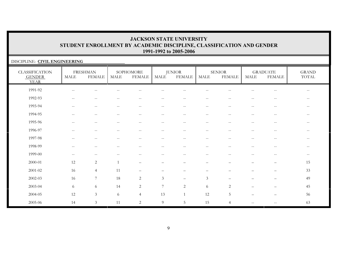### DISCIPLINE: **CIVIL ENGINEERING**

| <b>CLASSIFICATION</b><br><b>GENDER</b><br><b>YEAR</b> | MALE                                                | <b>FRESHMAN</b><br><b>FEMALE</b> | MALE                                                | SOPHOMORE<br><b>FEMALE</b>                          | MALE                                                | <b>JUNIOR</b><br><b>FEMALE</b>                        | MALE                                                  | <b>SENIOR</b><br><b>FEMALE</b>                      | <b>MALE</b>                                         | <b>GRADUATE</b><br><b>FEMALE</b> | <b>GRAND</b><br>TOTAL |
|-------------------------------------------------------|-----------------------------------------------------|----------------------------------|-----------------------------------------------------|-----------------------------------------------------|-----------------------------------------------------|-------------------------------------------------------|-------------------------------------------------------|-----------------------------------------------------|-----------------------------------------------------|----------------------------------|-----------------------|
| 1991-92                                               | $\hspace{0.05cm} -$                                 | $\qquad \qquad -$                |                                                     | $-$                                                 | $-$                                                 |                                                       | $ -$                                                  |                                                     | $\qquad \qquad -$                                   | $\overline{\phantom{m}}$         | $--$                  |
| 1992-93                                               | $\sim$ $\sim$                                       | $\overline{\phantom{m}}$         |                                                     | $-$                                                 | $-$                                                 | $\sim$ $\sim$                                         | $\sim$ $-$                                            |                                                     | $-$                                                 | $\overline{\phantom{m}}$         | $\qquad \qquad -$     |
| 1993-94                                               | $\hspace{0.05cm} -\hspace{0.05cm} -\hspace{0.05cm}$ | $\mathrel{{-}{-}}$               | $\hspace{0.05cm} -\hspace{0.05cm} -\hspace{0.05cm}$ | $--$                                                | $--$                                                | $--$                                                  | $--$                                                  | $\hspace{0.05cm} -\hspace{0.05cm} -\hspace{0.05cm}$ | $-\,-$                                              | $\overline{\phantom{m}}$         | $--$                  |
| 1994-95                                               | $\sim$ $\sim$                                       | $\overline{\phantom{m}}$         | $-\,-$                                              | $--$                                                | $\overline{\phantom{m}}$                            | $\overline{\phantom{m}}$                              | $--$                                                  | $\hspace{0.05cm} -$                                 | $-\,-$                                              | $\overline{\phantom{m}}$         | $--$                  |
| 1995-96                                               | $\qquad \qquad -$                                   | $\qquad \qquad -$                | $\hspace{0.05cm}$ – $\hspace{0.05cm}$               | $-$                                                 | $\qquad \qquad -$                                   | $\hspace{0.05cm} - \hspace{0.05cm} - \hspace{0.05cm}$ | $\hspace{0.05cm} - \hspace{0.05cm} - \hspace{0.05cm}$ | $\sim$ $\sim$                                       | $\qquad \qquad -$                                   | $\overline{\phantom{m}}$         | $\qquad \qquad -$     |
| 1996-97                                               | $-$                                                 | $\qquad \qquad -$                | $-$                                                 | $-$                                                 | $\qquad \qquad -$                                   | $\hspace{0.05cm} - \hspace{0.05cm} - \hspace{0.05cm}$ | $\hspace{0.05cm} - \hspace{0.05cm} - \hspace{0.05cm}$ | $-$                                                 | $\qquad \qquad -$                                   | $- -$                            | $\qquad \qquad -$     |
| 1997-98                                               | $\hspace{0.05cm} -$                                 | $\overline{\phantom{m}}$         | $\hspace{0.05cm} -$                                 | $\hspace{0.05cm} -\hspace{0.05cm} -\hspace{0.05cm}$ | $\qquad \qquad -$                                   | $\overline{\phantom{m}}$                              | $--$                                                  | $-$                                                 | $\qquad \qquad -$                                   | $- -$                            | $--$                  |
| 1998-99                                               | $- -$                                               | $\overline{\phantom{m}}$         | $\hspace{0.05cm} -\hspace{0.05cm} -\hspace{0.05cm}$ | $-\,-$                                              | $\hspace{0.05cm} -\hspace{0.05cm} -\hspace{0.05cm}$ | $\hspace{0.05cm} -\hspace{0.05cm} -\hspace{0.05cm}$   | $\overline{\phantom{m}}$                              | $\hspace{0.05cm} -$                                 | $-\,-$                                              | $- -$                            | $--$                  |
| 1999-00                                               | $\hspace{0.05cm} -$                                 | $\overline{\phantom{m}}$         |                                                     | $-$                                                 | $\qquad \qquad -$                                   | $\sim$ $-$                                            | $\overline{\phantom{m}}$                              | $\sim$ $\sim$                                       | $\qquad \qquad -$                                   | $-\,-$                           | $--$                  |
| 2000-01                                               | 12                                                  | $\sqrt{2}$                       |                                                     |                                                     |                                                     |                                                       |                                                       |                                                     |                                                     | $\qquad \qquad -$                | 15                    |
| $2001 - 02$                                           | 16                                                  | $\overline{4}$                   | 11                                                  | $\qquad \qquad -$                                   |                                                     |                                                       | $\overline{\phantom{0}}$                              |                                                     |                                                     | $\overline{\phantom{0}}$         | 33                    |
| $2002 - 03$                                           | 16                                                  | $\overline{7}$                   | 18                                                  | $\overline{2}$                                      | $\mathfrak{Z}$                                      | $\qquad \qquad -$                                     | $\mathfrak{Z}$                                        |                                                     |                                                     |                                  | 49                    |
| 2003-04                                               | 6                                                   | $\sqrt{6}$                       | 14                                                  | $\overline{2}$                                      | 7                                                   | 2                                                     | 6                                                     | 2                                                   | $\qquad \qquad -$                                   | $\qquad \qquad -$                | 45                    |
| 2004-05                                               | 12                                                  | $\mathfrak{Z}$                   | 6                                                   | $\overline{4}$                                      | 13                                                  | $\mathbf{1}$                                          | 12                                                    | 5                                                   | $\overline{\phantom{0}}$                            | $\qquad \qquad -$                | 56                    |
| 2005-06                                               | 14                                                  | $\mathfrak{Z}$                   | 11                                                  | $\overline{2}$                                      | $\overline{9}$                                      | 5                                                     | 15                                                    | $\overline{4}$                                      | $\hspace{0.05cm} -\hspace{0.05cm} -\hspace{0.05cm}$ | $\overline{\phantom{m}}$         | 63                    |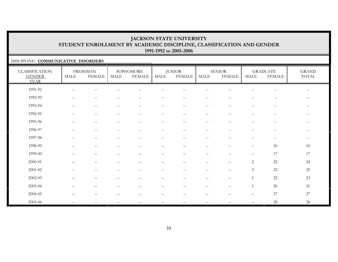#### DISCIPLINE: **COMMUNICATIVE DISORDERS**

| <b>CLASSIFICATION</b><br><b>GENDER</b><br><b>YEAR</b> | <b>MALE</b>                                         | <b>FRESHMAN</b><br><b>FEMALE</b> | <b>MALE</b>                                         | SOPHOMORE<br><b>FEMALE</b>                          | <b>MALE</b>                                         | <b>JUNIOR</b><br><b>FEMALE</b> | <b>MALE</b>                                         | <b>SENIOR</b><br><b>FEMALE</b>    | <b>MALE</b>              | <b>GRADUATE</b><br><b>FEMALE</b>                      | <b>GRAND</b><br>TOTAL |
|-------------------------------------------------------|-----------------------------------------------------|----------------------------------|-----------------------------------------------------|-----------------------------------------------------|-----------------------------------------------------|--------------------------------|-----------------------------------------------------|-----------------------------------|--------------------------|-------------------------------------------------------|-----------------------|
| 1991-92                                               | $\hspace{0.05cm} -\hspace{0.05cm} -\hspace{0.05cm}$ | --                               |                                                     |                                                     |                                                     |                                |                                                     | $-$                               | $- -$                    | $-$                                                   | $--$                  |
| 1992-93                                               | $-\,-$                                              | $\overline{\phantom{m}}$         | $- -$                                               | $\hspace{0.05cm} -\hspace{0.05cm} -\hspace{0.05cm}$ | $\hspace{0.05cm} -\hspace{0.05cm} -\hspace{0.05cm}$ | $\qquad \qquad -$              | $\overline{\phantom{m}}$                            | $\hspace{0.05cm} -$               | $-\,-$                   | $\overline{\phantom{m}}$                              | $--$                  |
| 1993-94                                               | $\overline{\phantom{m}}$                            | $\overline{\phantom{m}}$         | $\overline{\phantom{m}}$                            | $\overline{\phantom{m}}$                            | $--$                                                | $\qquad \qquad -$              | $\overline{\phantom{m}}$                            | $-\,-$                            | $\overline{\phantom{m}}$ | $\overline{\phantom{m}}$                              | $--$                  |
| 1994-95                                               | $-\,-$                                              | $--$                             | $\hspace{0.05cm} -\hspace{0.05cm} -\hspace{0.05cm}$ | $\hspace{0.05cm} -\hspace{0.05cm} -\hspace{0.05cm}$ | $\hspace{0.05cm} -\hspace{0.05cm} -\hspace{0.05cm}$ | $\qquad \qquad -$              | $\hspace{0.05cm} -\hspace{0.05cm} -\hspace{0.05cm}$ | $\hspace{0.05cm} -$               | $-\,-$                   | $\hspace{0.05cm} - \hspace{0.05cm} - \hspace{0.05cm}$ | $--$                  |
| 1995-96                                               | $\mathbf{u}$                                        | $--$                             | $\mathbf{u}$                                        | $\overline{\phantom{m}}$                            | $\hspace{0.05cm} -\hspace{0.05cm} -\hspace{0.05cm}$ | $\mathbf{u}$                   | $\overline{\phantom{a}}$                            | $\hspace{0.05cm} -$               | $-\,-$                   | $\overline{\phantom{m}}$                              | $--$                  |
| 1996-97                                               | $-\,-$                                              | $-\,-$                           | $\hspace{0.05cm} -\hspace{0.05cm} -\hspace{0.05cm}$ | $\sim$ $\sim$                                       | $\hspace{0.05cm} -\hspace{0.05cm} -\hspace{0.05cm}$ | $\qquad \qquad -$              | $\overline{\phantom{m}}$                            | $\sim$                            | $\qquad \qquad -$        | $\overline{\phantom{m}}$                              | $--$                  |
| 1997-98                                               | $-\,-$                                              | $\overline{\phantom{m}}$         | $- -$                                               | $\hspace{0.05cm} -\hspace{0.05cm} -\hspace{0.05cm}$ | $\hspace{0.05cm} -\hspace{0.05cm} -\hspace{0.05cm}$ | $\overline{\phantom{m}}$       | $\overline{\phantom{m}}$                            | $\hspace{0.05cm} -$               | $-\,-$                   | $\hspace{0.1mm}-\hspace{0.1mm}-\hspace{0.1mm}$        | $--$                  |
| 1998-99                                               | $\qquad \qquad$                                     | $\qquad \qquad -$                | $\qquad \qquad$                                     | $\overbrace{\phantom{1232211}}$                     | $\overline{\phantom{0}}$                            | $\overline{\phantom{0}}$       | $\qquad \qquad -$                                   | $\overline{\phantom{0}}$          | $\qquad \qquad -$        | $10\,$                                                | 10                    |
| 1999-00                                               |                                                     | $\overline{\phantom{0}}$         | -                                                   | $\overline{\phantom{0}}$                            |                                                     | -                              | -                                                   |                                   | $\qquad \qquad -$        | 17                                                    | 17                    |
| 2000-01                                               |                                                     |                                  |                                                     |                                                     |                                                     |                                |                                                     | $\overbrace{\phantom{123221111}}$ | $\overline{c}$           | $22\,$                                                | 24                    |
| 2001-02                                               | $-$                                                 | $-$                              | --                                                  | $-$                                                 |                                                     | $-$                            | $\overline{\phantom{m}}$                            | $\sim$ $\sim$                     | $\mathfrak{Z}$           | $22\,$                                                | 25                    |
| 2002-03                                               | $\qquad \qquad$                                     | $\qquad \qquad$                  | $\qquad \qquad$                                     | $\qquad \qquad -$                                   | $\qquad \qquad -$                                   | $\qquad \qquad -$              | $\qquad \qquad -$                                   | $\overline{\phantom{m}}$          |                          | $22\,$                                                | 23                    |
| 2003-04                                               | $\qquad \qquad -$                                   | $\overline{\phantom{0}}$         | —                                                   | $\overline{\phantom{m}}$                            |                                                     | -                              | -                                                   | $\qquad \qquad -$                 |                          | $20\,$                                                | 21                    |
| 2004-05                                               | -                                                   |                                  |                                                     | $\overline{\phantom{0}}$                            |                                                     |                                |                                                     |                                   | —                        | $27\,$                                                | 27                    |
| 2005-06                                               | $- -$                                               |                                  | $- -$                                               |                                                     |                                                     | $-$                            |                                                     |                                   |                          | $28\,$                                                | 28                    |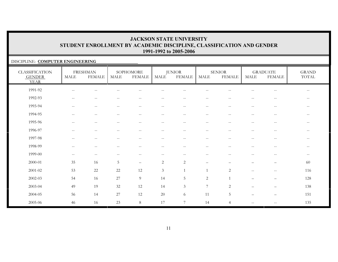### DISCIPLINE: **COMPUTER ENGINEERING**

| <b>CLASSIFICATION</b><br><b>GENDER</b><br><b>YEAR</b> | <b>MALE</b>                                         | <b>FRESHMAN</b><br><b>FEMALE</b> | <b>MALE</b>                                           | SOPHOMORE<br><b>FEMALE</b> | MALE                     | <b>JUNIOR</b><br><b>FEMALE</b>                        | MALE                                                  | <b>SENIOR</b><br><b>FEMALE</b> | MALE                     | <b>GRADUATE</b><br><b>FEMALE</b> | <b>GRAND</b><br>TOTAL    |
|-------------------------------------------------------|-----------------------------------------------------|----------------------------------|-------------------------------------------------------|----------------------------|--------------------------|-------------------------------------------------------|-------------------------------------------------------|--------------------------------|--------------------------|----------------------------------|--------------------------|
| 1991-92                                               | $\hspace{0.05cm} -\hspace{0.05cm} -\hspace{0.05cm}$ |                                  |                                                       |                            |                          |                                                       |                                                       |                                |                          |                                  |                          |
| 1992-93                                               | $\hspace{0.05cm} -\hspace{0.05cm} -\hspace{0.05cm}$ | $\qquad \qquad -$                | $\hspace{0.05cm}$ – $\hspace{0.05cm}$                 | $\overline{\phantom{m}}$   | $\qquad \qquad -$        | $\hspace{0.05cm} - \hspace{0.05cm} - \hspace{0.05cm}$ | $\hspace{0.05cm} - \hspace{0.05cm} - \hspace{0.05cm}$ |                                | $-$                      | $\overline{\phantom{m}}$         | $\overline{\phantom{m}}$ |
| 1993-94                                               | $\hspace{0.05cm} -\hspace{0.05cm} -\hspace{0.05cm}$ | $\overline{\phantom{m}}$         | $\hspace{0.05cm} - \hspace{0.05cm} - \hspace{0.05cm}$ | $\overline{\phantom{m}}$   | $\overline{\phantom{m}}$ | $--$                                                  | $\overline{\phantom{m}}$                              | $\hspace{0.05cm} -$            | $\qquad \qquad -$        | $\overline{\phantom{m}}$         | $\overline{\phantom{m}}$ |
| 1994-95                                               | $\sim$ $\sim$                                       | $\overline{\phantom{m}}$         | $-$                                                   | $-$                        | $\qquad \qquad -$        | $-$                                                   | $-$                                                   | $\sim$                         | $\qquad \qquad -$        | $\overline{\phantom{m}}$         | $\overline{\phantom{m}}$ |
| 1995-96                                               | $\sim$ $\sim$                                       | $\overline{\phantom{m}}$         | $\sim$ $\sim$                                         | $-$                        | $--$                     | $--$                                                  | $--$                                                  | $\sim$ $\sim$                  | $\qquad \qquad -$        | $- -$                            | $--$                     |
| 1996-97                                               | $\sim$ $\sim$                                       | $- -$                            | $\sim$ $\sim$                                         | $\overline{\phantom{a}}$   | $-$                      | $\sim$ $\sim$                                         | $--$                                                  | $\sim$ $\sim$                  | $-$                      | $- -$                            | $--$                     |
| 1997-98                                               | $\hspace{0.05cm} -\hspace{0.05cm} -\hspace{0.05cm}$ | $\overline{\phantom{m}}$         | $\hspace{0.05cm} - \hspace{0.05cm} - \hspace{0.05cm}$ | $\overline{\phantom{m}}$   | $--$                     | $--$                                                  | $\overline{\phantom{m}}$                              | $\hspace{0.05cm} -$            | $\qquad \qquad -$        | $-\,-$                           | $--$                     |
| 1998-99                                               | $\hspace{0.05cm} -\hspace{0.05cm} -\hspace{0.05cm}$ | $-$                              |                                                       | --                         | $\qquad \qquad -$        | $-$                                                   | $\overline{\phantom{m}}$                              |                                | $-$                      | $\overline{\phantom{m}}$         | $--$                     |
| 1999-00                                               | $\hspace{0.05cm} -\hspace{0.05cm} -\hspace{0.05cm}$ | $\qquad \qquad -$                |                                                       | --                         | $\qquad \qquad -$        | $\sim$ $-$                                            | $\hspace{0.05cm} - \hspace{0.05cm} - \hspace{0.05cm}$ | $-$                            | --                       | $\overline{\phantom{m}}$         | $--$                     |
| 2000-01                                               | 35                                                  | 16                               | $5\phantom{.}$                                        | $\qquad \qquad -$          | $\sqrt{2}$               | $\sqrt{2}$                                            | $\qquad \qquad -$                                     |                                |                          | $\overline{\phantom{0}}$         | 60                       |
| $2001 - 02$                                           | 53                                                  | $22\,$                           | 22                                                    | 12                         | $\mathfrak{Z}$           | $\mathbf{1}$                                          | 1                                                     | 2                              | $- -$                    | $- -$                            | 116                      |
| 2002-03                                               | 54                                                  | 16                               | 27                                                    | 9                          | 14                       | 5                                                     | 2                                                     | $\overline{1}$                 | $\qquad \qquad -$        | $\qquad \qquad -$                | 128                      |
| 2003-04                                               | 49                                                  | 19                               | 32                                                    | 12                         | 14                       | $\mathfrak{Z}$                                        | $7\phantom{.0}$                                       | 2                              | $\overline{\phantom{0}}$ | $\qquad \qquad =$                | 138                      |
| 2004-05                                               | 56                                                  | 14                               | 27                                                    | 12                         | 20                       | 6                                                     | 11                                                    | 5                              | $\overline{\phantom{0}}$ | $\qquad \qquad -$                | 151                      |
| 2005-06                                               | 46                                                  | 16                               | 23                                                    | $8\,$                      | 17                       | $7\phantom{.0}$                                       | 14                                                    | $\overline{4}$                 | $-$                      | $\qquad \qquad -$                | 135                      |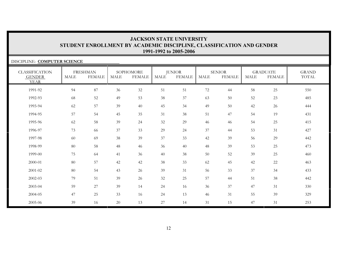#### DISCIPLINE: **COMPUTER SCIENCE**CLASSIFICATION GENDER YEARFRESHMANMALE FEMALESOPHOMOREMALE FEMALEJUNIOR<br>MALE FEI **FEMALE** SENIORMALE FEMALE**GRADUATE**  MALE FEMALEGRANDTOTAL1991-92 94 87 36 32 51 51 72 44 58 25 550550 1992-93 68 52 49 53 38 37 63 50 52 23 4851993-94 62 57 39 40 45 34 49 50 42 26 4441994-95 57 54 45 35 31 38 51 47 54 19 4311995-96 62 58 39 24 32 29 46 46 54 25 4151996-97 73 66 37 33 29 24 37 44 53 31 4271997-98 60 69 38 39 37 33 42 39 56 29 4421998-99 80 58 48 46 36 40 48 39 53 25 473473 1999-00 75 64 41 36 40 38 50 52 39 25 4602000-01 80 57 42 42 38 33 62 45 42 22 4632001-02 80 54 43 26 39 31 56 33 37 34 4332002-03 79 51 39 26 32 25 57 44 51 38 442442 2003-04 59 27 39 14 24 16 36 37 47 31 330330 2004-05 47 25 33 16 24 13 46 31 55 39 3292005-06 39 16 20 13 27 14 31 15 47 31 253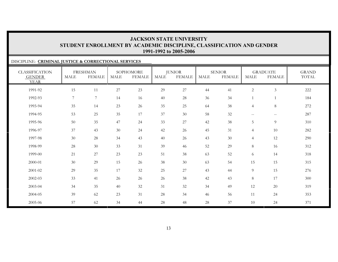### DISCIPLINE: **CRIMINAL JUSTICE & CORRECTIONAL SERVICES**

| <b>CLASSIFICATION</b><br><b>GENDER</b><br><b>YEAR</b> | <b>MALE</b>    | <b>FRESHMAN</b><br><b>FEMALE</b> | <b>MALE</b> | SOPHOMORE<br><b>FEMALE</b> | MALE   | <b>JUNIOR</b><br><b>FEMALE</b> | MALE   | <b>SENIOR</b><br><b>FEMALE</b> | <b>MALE</b>    | <b>GRADUATE</b><br><b>FEMALE</b> | <b>GRAND</b><br>TOTAL |
|-------------------------------------------------------|----------------|----------------------------------|-------------|----------------------------|--------|--------------------------------|--------|--------------------------------|----------------|----------------------------------|-----------------------|
| 1991-92                                               | 15             | 11                               | 27          | 23                         | 29     | $27\,$                         | 44     | 41                             | $\overline{c}$ | $\mathfrak{Z}$                   | 222                   |
| 1992-93                                               | $\overline{7}$ | $\overline{7}$                   | 14          | 16                         | 40     | 28                             | 36     | 34                             |                | $\mathbf{1}$                     | 184                   |
| 1993-94                                               | 35             | 14                               | 23          | 26                         | 35     | 25                             | 64     | 38                             | $\overline{4}$ | $\,8\,$                          | 272                   |
| 1994-95                                               | 53             | 25                               | 35          | 17                         | 37     | 30                             | 58     | 32                             | $\mathbf{u}$   | $--$                             | 287                   |
| 1995-96                                               | 50             | 35                               | 47          | 24                         | 33     | 27                             | 42     | 38                             | 5              | 9                                | 310                   |
| 1996-97                                               | 37             | 43                               | 30          | 24                         | 42     | 26                             | 45     | 31                             | $\overline{4}$ | 10                               | 282                   |
| 1997-98                                               | 30             | 28                               | 34          | 43                         | 40     | 26                             | 43     | $30\,$                         | $\overline{4}$ | 12                               | 290                   |
| 1998-99                                               | 28             | 30                               | 33          | 31                         | 39     | 46                             | 52     | 29                             | 8              | 16                               | 312                   |
| 1999-00                                               | 21             | $27\,$                           | 23          | 23                         | 51     | 38                             | 63     | 52                             | 6              | 14                               | 318                   |
| 2000-01                                               | 30             | 29                               | 15          | 26                         | 38     | 30                             | 63     | 54                             | 15             | 15                               | 315                   |
| 2001-02                                               | 29             | 35                               | 17          | 32                         | 25     | 27                             | 43     | 44                             | 9              | 15                               | 276                   |
| 2002-03                                               | 33             | 41                               | 26          | 26                         | 26     | 38                             | 42     | 43                             | 8              | 17                               | 300                   |
| 2003-04                                               | 34             | 35                               | 40          | 32                         | 31     | 32                             | 34     | 49                             | 12             | 20                               | 319                   |
| 2004-05                                               | 39             | 62                               | 23          | 31                         | $28\,$ | 34                             | 46     | 56                             | 11             | 24                               | 353                   |
| 2005-06                                               | 57             | 62                               | 34          | 44                         | 28     | 48                             | $28\,$ | 37                             | 10             | 24                               | 371                   |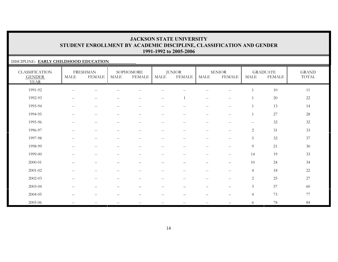### DISCIPLINE: **EARLY CHILDHOOD EDUCATION**

| <b>CLASSIFICATION</b><br><b>GENDER</b><br><b>YEAR</b> | MALE                                                | <b>FRESHMAN</b><br>FEMALE                           | MALE                                                | SOPHOMORE<br><b>FEMALE</b>                            | <b>MALE</b>              | <b>JUNIOR</b><br><b>FEMALE</b> | MALE                                                | <b>SENIOR</b><br><b>FEMALE</b>        | MALE                | <b>GRADUATE</b><br><b>FEMALE</b> | <b>GRAND</b><br>$\operatorname{TOTAL}$ |
|-------------------------------------------------------|-----------------------------------------------------|-----------------------------------------------------|-----------------------------------------------------|-------------------------------------------------------|--------------------------|--------------------------------|-----------------------------------------------------|---------------------------------------|---------------------|----------------------------------|----------------------------------------|
| 1991-92                                               | $\hspace{0.05cm}$ – $\hspace{0.05cm}$               |                                                     |                                                     |                                                       |                          |                                |                                                     | --                                    |                     | $10\,$                           | 11                                     |
| 1992-93                                               | $\hspace{0.05cm} -\hspace{0.05cm} -\hspace{0.05cm}$ | $\overline{\phantom{a}}$                            | $\hspace{0.05cm} -\hspace{0.05cm} -\hspace{0.05cm}$ | $\sim$ $\sim$                                         | $\overline{\phantom{m}}$ | $\mathbf{1}$                   | $\hspace{0.05cm} -\hspace{0.05cm} -\hspace{0.05cm}$ | $\hspace{0.05cm} -$                   |                     | 20                               | 22                                     |
| 1993-94                                               | $\overline{\phantom{m}}$                            | $--$                                                | $-\,-$                                              | $-\,-$                                                | $--$                     | $-\,-$                         | $\overline{\phantom{m}}$                            | $\hspace{0.05cm}$ – $\hspace{0.05cm}$ |                     | 13                               | 14                                     |
| 1994-95                                               | $\hspace{0.05cm} -$                                 | $--$                                                | $\overline{\phantom{m}}$                            | $\hspace{0.05cm} - \hspace{0.05cm} - \hspace{0.05cm}$ | $\overline{\phantom{m}}$ | $\overline{\phantom{m}}$       | $\overline{\phantom{m}}$                            | $\hspace{0.05cm} -$                   |                     | 27                               | 28                                     |
| 1995-96                                               | $-$                                                 | $\overline{\phantom{m}}$                            | $-$                                                 | $-$                                                   | --                       | --                             | $\qquad \qquad -$                                   | $-$                                   | $\hspace{0.05cm} -$ | 32                               | 32                                     |
| 1996-97                                               | $\hspace{0.05cm} -\hspace{0.05cm} -\hspace{0.05cm}$ | $\frac{1}{2}$                                       | $-$                                                 | $\sim$ $\sim$                                         | $\frac{1}{2}$            | $\overline{\phantom{a}}$       | $- -$                                               | $\hspace{0.05cm} -$                   | $\mathbf{2}$        | 31                               | 33                                     |
| 1997-98                                               | $-$                                                 | $- -$                                               |                                                     | $-$                                                   | $-$                      | --                             | $-$                                                 | $-$                                   | 5                   | $32\,$                           | 37                                     |
| 1998-99                                               | $- -$                                               | $- -$                                               | $-$                                                 | $\sim$ $\sim$                                         | $\overline{\phantom{a}}$ | $\overline{\phantom{a}}$       | $- -$                                               | $\sim$ $\sim$                         | 9                   | 21                               | 30                                     |
| 1999-00                                               | $-$                                                 | $\hspace{0.05cm} -\hspace{0.05cm} -\hspace{0.05cm}$ | $-$                                                 | $\hspace{0.05cm} - \hspace{0.05cm} - \hspace{0.05cm}$ | $- -$                    | $-$                            | $\hspace{0.05cm} -\hspace{0.05cm} -\hspace{0.05cm}$ | $\hspace{0.05cm}$ – $\hspace{0.05cm}$ | 14                  | 19                               | 33                                     |
| 2000-01                                               | $\qquad \qquad -$                                   | $\overline{\phantom{0}}$                            |                                                     |                                                       |                          |                                | $\qquad \qquad -$                                   | $\qquad \qquad -$                     | 10                  | 24                               | 34                                     |
| $2001 - 02$                                           | $\overline{\phantom{m}}$                            | $\overline{\phantom{a}}$                            | $-\,-$                                              | $\hspace{0.05cm} - \hspace{0.05cm} - \hspace{0.05cm}$ | $- -$                    | $-\,-$                         | $\overline{\phantom{a}}$                            | $\hspace{0.05cm}$ – $\hspace{0.05cm}$ | $\overline{4}$      | 18                               | 22                                     |
| 2002-03                                               | $\qquad \qquad -$                                   | $\hspace{0.05cm} -\hspace{0.05cm} -\hspace{0.05cm}$ | $\qquad \qquad -$                                   | $-$                                                   | $\overline{\phantom{a}}$ | $\overline{\phantom{m}}$       | $\hspace{0.05cm} -\hspace{0.05cm} -\hspace{0.05cm}$ | $\hspace{0.05cm} -$                   | 2                   | 25                               | 27                                     |
| 2003-04                                               |                                                     |                                                     |                                                     |                                                       |                          |                                |                                                     | $\overline{\phantom{0}}$              | $\mathfrak{Z}$      | 57                               | 60                                     |
| 2004-05                                               |                                                     |                                                     |                                                     |                                                       |                          |                                |                                                     |                                       | $\overline{4}$      | 73                               | 77                                     |
| 2005-06                                               | $- -$                                               | $- -$                                               | $-$                                                 | $-$                                                   |                          | --                             | $- -$                                               |                                       | 6                   | $78\,$                           | 84                                     |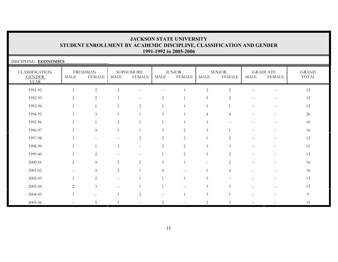| DISCIPLINE: ECONOMICS                                 |                   |                                  |                          |                                                     |                |                                |                |                                                     |                                                       |                                                     |                       |
|-------------------------------------------------------|-------------------|----------------------------------|--------------------------|-----------------------------------------------------|----------------|--------------------------------|----------------|-----------------------------------------------------|-------------------------------------------------------|-----------------------------------------------------|-----------------------|
| <b>CLASSIFICATION</b><br><b>GENDER</b><br><b>YEAR</b> | <b>MALE</b>       | <b>FRESHMAN</b><br><b>FEMALE</b> | MALE                     | SOPHOMORE<br><b>FEMALE</b>                          | MALE           | <b>JUNIOR</b><br><b>FEMALE</b> | <b>MALE</b>    | <b>SENIOR</b><br><b>FEMALE</b>                      | MALE                                                  | <b>GRADUATE</b><br><b>FEMALE</b>                    | <b>GRAND</b><br>TOTAL |
| 1991-92                                               | $\mathfrak{Z}$    | 2                                | $\overline{2}$           | $- -$                                               | --             | 1                              | $\mathbf{2}$   | 2                                                   |                                                       | $-\,-$                                              | 12                    |
| 1992-93                                               | 2                 | 2                                |                          | $\sim$                                              | $\overline{c}$ | $\mathbf{1}$                   | 5              | $\overline{2}$                                      | $--$                                                  | $\overline{\phantom{m}}$                            | 15                    |
| 1993-94                                               |                   |                                  |                          | $\overline{2}$                                      | $\mathbf{1}$   | 1                              | 5              | 1                                                   | $\hspace{0.05cm} - \hspace{0.05cm} - \hspace{0.05cm}$ | $\qquad \qquad -$                                   | 13                    |
| 1994-95                                               | 3                 | 3                                |                          |                                                     | 3              | $\mathbf{1}$                   | $\overline{4}$ | $\overline{4}$                                      | $-$                                                   | $-$                                                 | $20\,$                |
| 1995-96                                               |                   |                                  | 2                        |                                                     |                | $\mathbf{1}$                   | $\mathfrak{Z}$ | $\hspace{0.05cm} -\hspace{0.05cm} -\hspace{0.05cm}$ | $\overline{\phantom{m}}$                              | $--$                                                | 10                    |
| 1996-97                                               |                   | $\overline{4}$                   |                          |                                                     | $\mathfrak{Z}$ | $\mathbf{2}$                   | $\mathfrak{Z}$ | $\overline{1}$                                      | $-$                                                   | $\hspace{0.05cm} -\hspace{0.05cm} -\hspace{0.05cm}$ | 16                    |
| 1997-98                                               | 3                 |                                  |                          | $\overline{2}$                                      | $\overline{c}$ | $\mathbf{2}$                   | $\mathbf{1}$   | 2                                                   |                                                       | $-$                                                 | 12                    |
| 1998-99                                               |                   |                                  | 3                        | $\overline{\phantom{0}}$                            | $\overline{c}$ | $\mathbf{2}$                   | 3              | 3                                                   |                                                       |                                                     | 15                    |
| 1999-00                                               |                   | 2                                | $- -$                    |                                                     | -1             | 2                              | 5              | 2                                                   | $\overline{\phantom{m}}$                              | $--$                                                | 13                    |
| $2000 - 01$                                           | 2                 | $\overline{4}$                   | 2                        | $\overline{2}$                                      | 3              | $\mathbf{1}$                   | -              | 2                                                   |                                                       |                                                     | 16                    |
| $2001 - 02$                                           | $\qquad \qquad -$ | 4                                | $\overline{c}$           |                                                     | 4              | $\qquad \qquad -$              |                | $\overline{4}$                                      |                                                       | $\hspace{0.05cm} -\hspace{0.05cm} -\hspace{0.05cm}$ | 16                    |
| 2002-03                                               |                   | 2                                | $\overline{\phantom{0}}$ |                                                     |                | $\mathfrak{Z}$                 | 5              |                                                     |                                                       |                                                     | 13                    |
| 2003-04                                               | 2                 | $\mathfrak{Z}$                   |                          |                                                     |                |                                | $\mathfrak{Z}$ | 3                                                   |                                                       |                                                     | 13                    |
| 2004-05                                               |                   |                                  |                          | $\overline{c}$                                      |                | $\mathbf{1}$                   | $\mathfrak{Z}$ |                                                     |                                                       |                                                     | $\overline{9}$        |
| 2005-06                                               | $- -$             | 5                                |                          | $\hspace{0.05cm} -\hspace{0.05cm} -\hspace{0.05cm}$ | 2              | $- -$                          | $\overline{2}$ | 5.                                                  | $-$                                                   |                                                     | 15                    |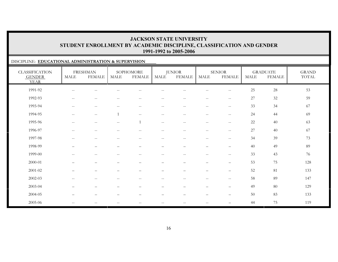### DISCIPLINE: **EDUCATIONAL ADMINISTRATION & SUPERVISION**

| <b>CLASSIFICATION</b><br><b>GENDER</b><br><b>YEAR</b> | <b>MALE</b>              | <b>FRESHMAN</b><br><b>FEMALE</b>                    | <b>MALE</b>              | SOPHOMORE<br><b>FEMALE</b>                          | <b>MALE</b>                                         | <b>JUNIOR</b><br><b>FEMALE</b> | MALE                     | <b>SENIOR</b><br><b>FEMALE</b>                      | <b>MALE</b> | <b>GRADUATE</b><br><b>FEMALE</b> | <b>GRAND</b><br>TOTAL |
|-------------------------------------------------------|--------------------------|-----------------------------------------------------|--------------------------|-----------------------------------------------------|-----------------------------------------------------|--------------------------------|--------------------------|-----------------------------------------------------|-------------|----------------------------------|-----------------------|
| 1991-92                                               | --                       |                                                     |                          |                                                     |                                                     |                                |                          | --                                                  | 25          | $28\,$                           | 53                    |
| 1992-93                                               | $- -$                    | $\overline{\phantom{a}}$                            | $- -$                    | $\hspace{0.05cm} -\hspace{0.05cm} -\hspace{0.05cm}$ | $\hspace{0.05cm} -\hspace{0.05cm} -\hspace{0.05cm}$ | $\overline{\phantom{m}}$       | $\overline{\phantom{m}}$ | $\mathord{\hspace{1pt}\text{--}\hspace{1pt}}$       | 27          | 32                               | 59                    |
| 1993-94                                               | $-\,-$                   | $\overline{\phantom{a}}$                            | $-\,-$                   | $\overline{\phantom{m}}$                            | $\overline{\phantom{m}}$                            | $\overline{\phantom{m}}$       | $\overline{\phantom{m}}$ | $\mathord{\hspace{1pt}\text{--}\hspace{1pt}}$       | 33          | 34                               | 67                    |
| 1994-95                                               | $-\,-$                   | $\hspace{0.05cm} -\hspace{0.05cm} -\hspace{0.05cm}$ | $\overline{1}$           | $-\,-$                                              | $\overline{\phantom{m}}$                            | $\overline{\phantom{m}}$       | $-\,-$                   | $\mathord{\hspace{1pt}\text{--}\hspace{1pt}}$       | 24          | 44                               | 69                    |
| 1995-96                                               | $\mathbf{u}$             | $\overline{\phantom{m}}$                            | $-\,-$                   | 1                                                   | $\hspace{0.05cm} -\hspace{0.05cm} -\hspace{0.05cm}$ | $\overline{\phantom{m}}$       | $\overline{\phantom{m}}$ | $-\,-$                                              | 22          | 40                               | 63                    |
| 1996-97                                               | $- -$                    | $\overline{\phantom{m}}$                            | $- -$                    | $-$                                                 | $\overline{\phantom{m}}$                            | $\qquad \qquad -$              | $-$                      | $\overline{\phantom{m}}$                            | 27          | 40                               | 67                    |
| 1997-98                                               | $- -$                    | $\overline{\phantom{m}}$                            | $- -$                    | $\hspace{0.05cm} -\hspace{0.05cm} -\hspace{0.05cm}$ | $\overline{\phantom{m}}$                            | $\qquad \qquad -$              | $\qquad \qquad -$        | $\overline{\phantom{m}}$                            | 34          | 39                               | 73                    |
| 1998-99                                               | $\overline{\phantom{0}}$ | —                                                   | $\overline{\phantom{0}}$ | $\overline{\phantom{0}}$                            | —                                                   | $\qquad \qquad -$              | $\qquad \qquad -$        | $\overline{\phantom{0}}$                            | 40          | 49                               | 89                    |
| 1999-00                                               | $- -$                    | $\overline{\phantom{a}}$                            | $-$                      | $\sim$                                              | $\frac{1}{2}$                                       | $\qquad \qquad -$              | $\qquad \qquad -$        | $ -$                                                | 33          | 43                               | 76                    |
| 2000-01                                               |                          | $\qquad \qquad -$                                   | $\qquad \qquad -$        | $\overline{\phantom{a}}$                            |                                                     | $\qquad \qquad -$              | $\overline{\phantom{0}}$ | $\qquad \qquad -$                                   | 53          | 75                               | 128                   |
| 2001-02                                               |                          | $\overline{\phantom{0}}$                            |                          |                                                     |                                                     |                                | —                        | $\overline{\phantom{0}}$                            | 52          | 81                               | 133                   |
| 2002-03                                               | $- -$                    | $\overline{\phantom{a}}$                            | $- -$                    | $\hspace{0.05cm} -\hspace{0.05cm} -\hspace{0.05cm}$ | $\hspace{0.05cm} -\hspace{0.05cm} -\hspace{0.05cm}$ | $\overline{\phantom{m}}$       | $\overline{\phantom{m}}$ | $\hspace{0.05cm} -\hspace{0.05cm} -\hspace{0.05cm}$ | 58          | 89                               | 147                   |
| 2003-04                                               | $\qquad \qquad$          | -                                                   | $\qquad \qquad$          | $\overline{\phantom{m}}$                            | -                                                   | $\qquad \qquad -$              | $\qquad \qquad -$        | $\overline{\phantom{m}}$                            | 49          | $80\,$                           | 129                   |
| 2004-05                                               | $\qquad \qquad$          | $\qquad \qquad$                                     | $\qquad \qquad -$        | $\overbrace{\phantom{1232211}}$                     | —                                                   | $\qquad \qquad -$              | $\qquad \qquad -$        | $\overline{\phantom{m}}$                            | 50          | 83                               | 133                   |
| 2005-06                                               | $- -$                    |                                                     | --                       | --                                                  |                                                     | $-$                            | --                       | $\overline{\phantom{0}}$                            | 44          | 75                               | 119                   |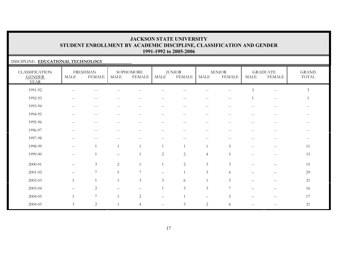### DISCIPLINE: **EDUCATIONAL TECHNOLOGY**

| <b>CLASSIFICATION</b><br><b>GENDER</b><br><b>YEAR</b> | <b>MALE</b>                                         | <b>FRESHMAN</b><br><b>FEMALE</b> | <b>MALE</b>         | SOPHOMORE<br><b>FEMALE</b>                            | <b>MALE</b>       | <b>JUNIOR</b><br><b>FEMALE</b> | $\operatorname{MALE}$    | <b>SENIOR</b><br><b>FEMALE</b>                | MALE                                                | <b>GRADUATE</b><br><b>FEMALE</b>                      | <b>GRAND</b><br>TOTAL |
|-------------------------------------------------------|-----------------------------------------------------|----------------------------------|---------------------|-------------------------------------------------------|-------------------|--------------------------------|--------------------------|-----------------------------------------------|-----------------------------------------------------|-------------------------------------------------------|-----------------------|
| 1991-92                                               | $\overline{\phantom{a}}$                            | --                               |                     |                                                       |                   |                                |                          | $-$                                           | $\mathfrak{Z}$                                      | $\hspace{0.05cm} -\hspace{0.05cm} -\hspace{0.05cm}$   | $\mathfrak{Z}$        |
| 1992-93                                               | $\hspace{0.05cm} -\hspace{0.05cm} -\hspace{0.05cm}$ | $\qquad \qquad -$                |                     | $\hspace{0.05cm} -\hspace{0.05cm} -\hspace{0.05cm}$   |                   | $-$                            | $\qquad \qquad -$        | $\mathord{\hspace{1pt}\text{--}\hspace{1pt}}$ |                                                     | $\hspace{0.05cm} - \hspace{0.05cm} - \hspace{0.05cm}$ | 1                     |
| 1993-94                                               | $- -$                                               | $\qquad \qquad -$                |                     | --                                                    |                   | $- -$                          | --                       |                                               |                                                     |                                                       |                       |
| 1994-95                                               | $\hspace{0.1mm}-\hspace{0.1mm}-\hspace{0.1mm}$      | $\mathbf{u}$                     | $\hspace{0.05cm} -$ | $\hspace{0.05cm} -\hspace{0.05cm} -\hspace{0.05cm}$   | $- -$             | $\overline{\phantom{m}}$       | $\overline{\phantom{m}}$ | $-$                                           | $-$                                                 | $\hspace{0.1mm}-\hspace{0.1mm}-\hspace{0.1mm}$        |                       |
| 1995-96                                               | $- -$                                               | $\overline{\phantom{m}}$         |                     | $-$                                                   | $- -$             | $\sim$ $-$                     | $\qquad \qquad -$        | --                                            |                                                     | $\overline{\phantom{m}}$                              |                       |
| 1996-97                                               | $\sim$ $\sim$                                       | $--$                             | $\hspace{0.05cm} -$ | $\sim$ $\sim$                                         | $\qquad \qquad -$ | $\overline{\phantom{m}}$       | $--$                     | $\mathord{\hspace{1pt}\text{--}\hspace{1pt}}$ | $\sim$ $\sim$                                       | $\hspace{0.1mm}-\hspace{0.1mm}-\hspace{0.1mm}$        | --                    |
| 1997-98                                               | $\hspace{0.05cm} -\hspace{0.05cm} -\hspace{0.05cm}$ | $\overline{\phantom{m}}$         | $\sim$ $\sim$       | $\hspace{0.05cm} - \hspace{0.05cm} - \hspace{0.05cm}$ | $\qquad \qquad -$ | $-\, -$                        | $-\,-$                   | $-\,-$                                        | $\overline{\phantom{m}}$                            | $- -$                                                 | --                    |
| 1998-99                                               | $\sim$ $\sim$                                       | $\mathbf{1}$                     | $\overline{1}$      | $\overline{1}$                                        | $\overline{1}$    | $\mathbf{1}$                   | $\overline{1}$           | 5                                             | $\hspace{0.05cm} -\hspace{0.05cm} -\hspace{0.05cm}$ | $\qquad \qquad$                                       | 11                    |
| 1999-00                                               | $\hspace{0.05cm} -\hspace{0.05cm} -\hspace{0.05cm}$ |                                  |                     |                                                       | $\overline{c}$    | $\overline{2}$                 | $\overline{4}$           | 5                                             | $\sim$                                              | $\overline{\phantom{m}}$                              | 15                    |
| 2000-01                                               |                                                     | $\mathfrak{Z}$                   | 2                   | $\overline{1}$                                        |                   | $\sqrt{2}$                     | $\mathfrak{Z}$           | $\mathfrak{Z}$                                |                                                     |                                                       | 15                    |
| 2001-02                                               | $\overline{\phantom{m}}$                            | $7\phantom{.0}$                  | 5                   | $7\phantom{.0}$                                       | $\qquad \qquad -$ |                                | $\mathfrak{Z}$           | 6                                             |                                                     |                                                       | 29                    |
| 2002-03                                               | $\mathbf{1}$                                        | $\mathbf{1}$                     | $\overline{1}$      | 3                                                     | 3                 | 6                              | $\overline{1}$           | 5                                             | $\overline{\phantom{0}}$                            | $\qquad \qquad -$                                     | 21                    |
| 2003-04                                               | $\qquad \qquad \overline{\qquad \qquad }$           | 2                                |                     | $\overline{\phantom{m}}$                              | $\overline{1}$    | 3                              | $\mathfrak{Z}$           | $7\phantom{.0}$                               |                                                     |                                                       | 16                    |
| 2004-05                                               | $\mathbf{1}$                                        | $7\phantom{.0}$                  | $\overline{1}$      | 2                                                     | ▃                 |                                | $\qquad \qquad$          | $\overline{5}$                                |                                                     |                                                       | 17                    |
| 2004-05                                               | $\mathfrak{Z}$                                      | $\sqrt{2}$                       |                     | $\overline{4}$                                        | $\qquad \qquad -$ | $\mathfrak{Z}$                 | $\overline{c}$           | 6                                             |                                                     | $-$                                                   | 21                    |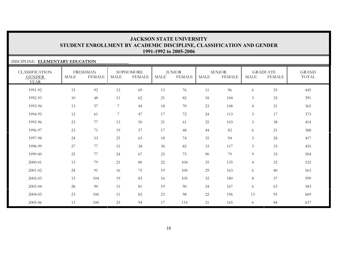### DISCIPLINE: **ELEMENTARY EDUCATION**

| <b>CLASSIFICATION</b><br><b>GENDER</b><br><b>YEAR</b> | <b>MALE</b> | <b>FRESHMAN</b><br><b>FEMALE</b> | <b>MALE</b>     | SOPHOMORE<br><b>FEMALE</b> | <b>MALE</b> | <b>JUNIOR</b><br><b>FEMALE</b> | <b>MALE</b> | <b>SENIOR</b><br><b>FEMALE</b> | <b>MALE</b>    | <b>GRADUATE</b><br><b>FEMALE</b> | <b>GRAND</b><br>TOTAL |
|-------------------------------------------------------|-------------|----------------------------------|-----------------|----------------------------|-------------|--------------------------------|-------------|--------------------------------|----------------|----------------------------------|-----------------------|
| 1991-92                                               | 15          | 92                               | 12              | 69                         | 13          | 76                             | 11          | 96                             | 6              | 55                               | 445                   |
| 1992-93                                               | 10          | 48                               | 11              | 62                         | 21          | 82                             | 18          | 104                            | $\mathfrak{Z}$ | $32\,$                           | 391                   |
| 1993-94                                               | 13          | 57                               | $7\phantom{.0}$ | 44                         | 18          | 70                             | 23          | 108                            | $\overline{4}$ | 21                               | 365                   |
| 1994-95                                               | 12          | 61                               | $7\phantom{.0}$ | 47                         | $17\,$      | 72                             | 24          | 113                            | $\mathfrak{Z}$ | 17                               | 373                   |
| 1995-96                                               | 23          | 77                               | 13              | 50                         | 21          | 61                             | 25          | 103                            | 3              | 38                               | 414                   |
| 1996-97                                               | 23          | 71                               | 19              | 57                         | 17          | 48                             | 44          | 82                             | 6              | 21                               | 388                   |
| 1997-98                                               | 24          | 53                               | 25              | 63                         | 18          | 74                             | 35          | 94                             | 3              | $28\,$                           | 417                   |
| 1998-99                                               | 27          | 77                               | 15              | 38                         | 30          | 82                             | 33          | 117                            | 3              | 33                               | 455                   |
| 1999-00                                               | 25          | 77                               | 24              | 67                         | 25          | 75                             | 90          | 79                             | 9              | 33                               | 504                   |
| 2000-01                                               | 13          | 79                               | 21              | 80                         | 22          | 104                            | 35          | 135                            | $\overline{4}$ | $32\,$                           | 525                   |
| 2001-02                                               | 24          | 91                               | 16              | 75                         | 19          | 100                            | 29          | 163                            | 6              | 40                               | 563                   |
| 2002-03                                               | 15          | 104                              | 19              | 83                         | 16          | 105                            | 32          | 180                            | 8              | 37                               | 599                   |
| 2003-04                                               | 28          | 90                               | 15              | 81                         | 19          | 90                             | 24          | 167                            | 6              | 63                               | 583                   |
| 2004-05                                               | 23          | 106                              | 11              | 82                         | 23          | 98                             | 22          | 196                            | 13             | 95                               | 669                   |
| 2005-06                                               | 13          | 100                              | 23              | 94                         | 17          | 114                            | 21          | 165                            | 6              | 84                               | 637                   |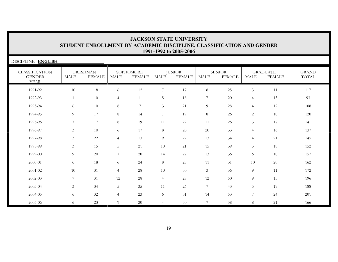| DISCIPLINE: ENGLISH                                   |                |                                  |                |                            |                |                                |                |                                |                |                                  |                              |
|-------------------------------------------------------|----------------|----------------------------------|----------------|----------------------------|----------------|--------------------------------|----------------|--------------------------------|----------------|----------------------------------|------------------------------|
| <b>CLASSIFICATION</b><br><b>GENDER</b><br><b>YEAR</b> | MALE           | <b>FRESHMAN</b><br><b>FEMALE</b> | <b>MALE</b>    | SOPHOMORE<br><b>FEMALE</b> | <b>MALE</b>    | <b>JUNIOR</b><br><b>FEMALE</b> | <b>MALE</b>    | <b>SENIOR</b><br><b>FEMALE</b> | <b>MALE</b>    | <b>GRADUATE</b><br><b>FEMALE</b> | <b>GRAND</b><br><b>TOTAL</b> |
| 1991-92                                               | 10             | 18                               | 6              | $12\,$                     | $\overline{7}$ | 17                             | $8\,$          | 25                             | 3              | 11                               | 117                          |
| 1992-93                                               | $\mathbf{1}$   | 10                               | $\overline{4}$ | 11                         | 5              | 18                             | 7              | 20                             | $\overline{4}$ | 13                               | 93                           |
| 1993-94                                               | 6              | 10                               | 8              | $\overline{7}$             | $\mathfrak{Z}$ | 21                             | $\overline{9}$ | 28                             | $\overline{4}$ | 12                               | 108                          |
| 1994-95                                               | 9              | 17                               | 8              | 14                         | $\overline{7}$ | 19                             | $\,8\,$        | 26                             | $\overline{c}$ | 10                               | 120                          |
| 1995-96                                               | $\overline{7}$ | 17                               | 8              | 19                         | 11             | 22                             | 11             | 26                             | $\mathfrak{Z}$ | 17                               | 141                          |
| 1996-97                                               | 3              | 10                               | 6              | 17                         | $8\,$          | 20                             | 20             | 33                             | $\overline{4}$ | 16                               | 137                          |
| 1997-98                                               | 3              | $22\,$                           | $\overline{4}$ | 13                         | $\overline{9}$ | 22                             | 13             | 34                             | $\overline{4}$ | 21                               | 145                          |
| 1998-99                                               | $\mathfrak{Z}$ | 15                               | 5              | 21                         | 10             | 21                             | 15             | 39                             | 5              | 18                               | 152                          |
| 1999-00                                               | 9              | 20                               | 7              | 20                         | 14             | 22                             | 13             | 36                             | 6              | 10                               | 157                          |
| 2000-01                                               | 6              | 18                               | 6              | 24                         | $8\,$          | 28                             | 11             | 31                             | 10             | 20                               | 162                          |
| 2001-02                                               | 10             | 31                               | $\overline{4}$ | 28                         | 10             | 30                             | $\mathfrak{Z}$ | 36                             | $\overline{9}$ | 11                               | 172                          |
| 2002-03                                               | $\overline{7}$ | 31                               | 12             | 28                         | $\overline{4}$ | 28                             | 12             | 50                             | $\overline{9}$ | 15                               | 196                          |
| 2003-04                                               | $\mathfrak{Z}$ | 34                               | 5 <sup>5</sup> | 35                         | 11             | 26                             | 7              | 43                             | 5              | 19                               | 188                          |
| 2004-05                                               | 6              | 32                               | $\overline{4}$ | 23                         | 6              | 31                             | 14             | 53                             | 7              | 24                               | 201                          |
| 2005-06                                               | 6              | 23                               | 9              | 20                         | $\overline{4}$ | 30                             | $\overline{7}$ | 38                             | 8              | 21                               | 166                          |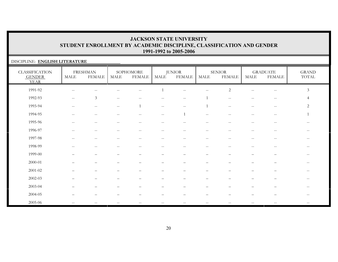### DISCIPLINE: **ENGLISH LITERATURE**

| <b>CLASSIFICATION</b><br><b>GENDER</b><br><b>YEAR</b> | MALE                                                | <b>FRESHMAN</b><br><b>FEMALE</b>                    | $\operatorname{MALE}$                 | SOPHOMORE<br><b>FEMALE</b>                            | MALE                                           | <b>JUNIOR</b><br><b>FEMALE</b> | MALE                                                  | <b>SENIOR</b><br><b>FEMALE</b>                | MALE                                                | <b>GRADUATE</b><br><b>FEMALE</b>                      | $\operatorname{GRAND}$<br>TOTAL |
|-------------------------------------------------------|-----------------------------------------------------|-----------------------------------------------------|---------------------------------------|-------------------------------------------------------|------------------------------------------------|--------------------------------|-------------------------------------------------------|-----------------------------------------------|-----------------------------------------------------|-------------------------------------------------------|---------------------------------|
| 1991-92                                               | $\hspace{0.05cm} -\hspace{0.05cm} -\hspace{0.05cm}$ | $\qquad \qquad -$                                   |                                       | $\sim$ $\sim$                                         |                                                | $\sim$ $-$                     | $\overline{\phantom{m}}$                              | $\sqrt{2}$                                    | $\hspace{0.05cm} -\hspace{0.05cm} -\hspace{0.05cm}$ | $\hspace{0.05cm} - \hspace{0.05cm} - \hspace{0.05cm}$ | $\mathfrak{Z}$                  |
| 1992-93                                               | $-\,-$                                              | $\mathfrak{Z}$                                      | $\overline{\phantom{m}}$              |                                                       |                                                | $\overline{\phantom{m}}$       |                                                       | $-\,-$                                        |                                                     | $\hspace{0.05cm}$ – $\hspace{0.05cm}$                 | $\overline{4}$                  |
| 1993-94                                               | $- -$                                               | $\hspace{0.05cm} -\hspace{0.05cm} -\hspace{0.05cm}$ | $- -$                                 | $\overline{1}$                                        | $\hspace{0.1mm}-\hspace{0.1mm}-\hspace{0.1mm}$ | $- -$                          |                                                       | $\sim$ $\sim$                                 | $\sim$ $\sim$                                       | $\mathord{\hspace{1pt}\text{--}\hspace{1pt}}$         | $\overline{2}$                  |
| 1994-95                                               | $\hspace{0.05cm} -\hspace{0.05cm} -\hspace{0.05cm}$ | $\hspace{0.05cm} -\hspace{0.05cm} -\hspace{0.05cm}$ | $\hspace{0.05cm}$ – $\hspace{0.05cm}$ | $\overline{\phantom{m}}$                              | $\overline{\phantom{m}}$                       | 1                              | $\mathbf{u}$                                          | $\mathord{\hspace{1pt}\text{--}\hspace{1pt}}$ | $- -$                                               | $\hspace{0.05cm} - \hspace{0.05cm} - \hspace{0.05cm}$ | 1                               |
| 1995-96                                               | $\sim$ $\sim$                                       | $--$                                                | $\hspace{0.05cm} -$                   | $\hspace{0.05cm} -\hspace{0.05cm} -\hspace{0.05cm}$   | $\qquad \qquad -$                              | $\sim$ $-$                     | $\overline{\phantom{m}}$                              | $\hspace{0.05cm} -$                           | $- -$                                               | $\hspace{0.05cm} - \hspace{0.05cm} - \hspace{0.05cm}$ | --                              |
| 1996-97                                               | $\hspace{0.05cm} -\hspace{0.05cm} -\hspace{0.05cm}$ | $\qquad \qquad -$                                   | $\overline{\phantom{a}}$              | $\sim$ $\sim$                                         | $-$                                            | $\sim$ $-$                     | $\mathrel{{-}{-}}$                                    | $-$                                           | $-$                                                 | $\sim$ $-$                                            | $\overline{\phantom{m}}$        |
| 1997-98                                               |                                                     | $\qquad \qquad -$                                   | $\overline{\phantom{a}}$              | $\hspace{0.05cm} - \hspace{0.05cm} - \hspace{0.05cm}$ | $\qquad \qquad -$                              | $- -$                          | $-\,-$                                                | --                                            |                                                     | $\overline{\phantom{m}}$                              | $- -$                           |
| 1998-99                                               |                                                     | $\qquad \qquad -$                                   |                                       | $ -$                                                  | $\qquad \qquad -$                              | $- -$                          | $\hspace{0.05cm} - \hspace{0.05cm} - \hspace{0.05cm}$ | --                                            |                                                     | $\overline{\phantom{m}}$                              | --                              |
| 1999-00                                               |                                                     | —                                                   |                                       |                                                       | $\overline{\phantom{0}}$                       |                                | $\overline{\phantom{0}}$                              |                                               |                                                     |                                                       | $\qquad \qquad -$               |
| $2000 - 01$                                           |                                                     | $\overline{\phantom{0}}$                            |                                       |                                                       |                                                |                                | $\overline{\phantom{0}}$                              |                                               |                                                     |                                                       | $\qquad \qquad -$               |
| 2001-02                                               |                                                     | -                                                   |                                       |                                                       |                                                |                                |                                                       |                                               |                                                     |                                                       | $\qquad \qquad -$               |
| 2002-03                                               |                                                     | $\qquad \qquad -$                                   |                                       |                                                       | —                                              |                                | $\qquad \qquad -$                                     |                                               |                                                     | $\overline{\phantom{m}}$                              | $\hspace{0.05cm} -$             |
| 2003-04                                               |                                                     | $\overline{\phantom{0}}$                            |                                       |                                                       |                                                |                                |                                                       |                                               |                                                     |                                                       |                                 |
| 2004-05                                               |                                                     | $\overline{\phantom{0}}$                            |                                       |                                                       |                                                |                                |                                                       |                                               |                                                     |                                                       | $--$                            |
| 2005-06                                               | $\overline{\phantom{a}}$                            |                                                     |                                       |                                                       |                                                |                                |                                                       |                                               |                                                     |                                                       |                                 |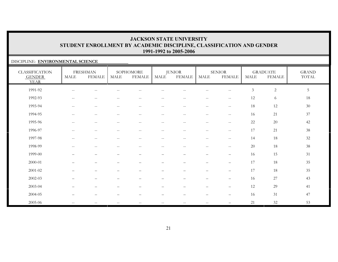### DISCIPLINE: **ENVIRONMENTAL SCIENCE**

| <b>CLASSIFICATION</b><br><b>GENDER</b><br><b>YEAR</b> | MALE                                          | <b>FRESHMAN</b><br><b>FEMALE</b>                      | MALE                                                | SOPHOMORE<br><b>FEMALE</b>                            | <b>MALE</b>              | <b>JUNIOR</b><br><b>FEMALE</b> | MALE                                                  | <b>SENIOR</b><br><b>FEMALE</b> | <b>MALE</b>    | <b>GRADUATE</b><br><b>FEMALE</b> | <b>GRAND</b><br>$\operatorname{TOTAL}$ |
|-------------------------------------------------------|-----------------------------------------------|-------------------------------------------------------|-----------------------------------------------------|-------------------------------------------------------|--------------------------|--------------------------------|-------------------------------------------------------|--------------------------------|----------------|----------------------------------|----------------------------------------|
| 1991-92                                               |                                               |                                                       |                                                     |                                                       |                          |                                |                                                       | $-$                            | $\mathfrak{Z}$ | $\sqrt{2}$                       | $\overline{5}$                         |
| 1992-93                                               | $\mathbf{u}$                                  | $\hspace{0.05cm} -\hspace{0.05cm} -\hspace{0.05cm}$   | $-\,-$                                              | $-\,-$                                                | $\qquad \qquad -$        | $\overline{\phantom{m}}$       | $\overline{\phantom{m}}$                              | $- -$                          | 12             | 6                                | 18                                     |
| 1993-94                                               | $-\,-$                                        | $\hspace{0.05cm} -\hspace{0.05cm} -\hspace{0.05cm}$   | $-\,-$                                              | $\hspace{0.05cm} -\hspace{0.05cm} -\hspace{0.05cm}$   | $\qquad \qquad -$        | $\overline{\phantom{m}}$       | $\overline{\phantom{m}}$                              | $-\,-$                         | 18             | 12                               | 30                                     |
| 1994-95                                               | $\mathord{\hspace{1pt}\text{--}\hspace{1pt}}$ | $\hspace{0.05cm} - \hspace{0.05cm} - \hspace{0.05cm}$ | $\overline{\phantom{m}}$                            | $\hspace{0.05cm} - \hspace{0.05cm} - \hspace{0.05cm}$ | $\qquad \qquad -$        | $\sim$ $-$                     | $\hspace{0.05cm} - \hspace{0.05cm} - \hspace{0.05cm}$ | $-\,-$                         | 16             | 21                               | 37                                     |
| 1995-96                                               | $\sim$ $\sim$                                 | $\sim$ $-$                                            | н.                                                  | $\hspace{0.05cm} -$                                   | $-$                      | $\sim$ $-$                     | $- -$                                                 | $\hspace{0.05cm} -$            | 22             | 20                               | 42                                     |
| 1996-97                                               | $\mathord{\hspace{1pt}\text{--}\hspace{1pt}}$ | $\overline{\phantom{m}}$                              | $-$                                                 | $\mathord{\hspace{1pt}\text{--}\hspace{1pt}}$         | $\qquad \qquad -$        | $\sim$ $-$                     | $\overline{\phantom{m}}$                              | $-\,-$                         | 17             | 21                               | 38                                     |
| 1997-98                                               | $\mathbf{u}$                                  | $-\,-$                                                | $-\,-$                                              | $\hspace{0.05cm} - \hspace{0.05cm} - \hspace{0.05cm}$ | $\qquad \qquad -$        | $-\,-$                         | $\overline{\phantom{m}}$                              | $- -$                          | 14             | $18\,$                           | 32                                     |
| 1998-99                                               | $-$                                           | $\hspace{0.05cm} - \hspace{0.05cm} - \hspace{0.05cm}$ | $-$                                                 | $\hspace{0.05cm} -$                                   | $\qquad \qquad -$        | $- -$                          | $\qquad \qquad -$                                     | $\hspace{0.05cm} -$            | 20             | 18                               | 38                                     |
| 1999-00                                               |                                               | —                                                     |                                                     |                                                       | —                        |                                | $\overline{\phantom{0}}$                              | $\qquad \qquad -$              | 16             | 15                               | 31                                     |
| 2000-01                                               |                                               |                                                       |                                                     |                                                       |                          |                                |                                                       | $\qquad \qquad -$              | 17             | $18\,$                           | 35                                     |
| 2001-02                                               |                                               | $\overline{\phantom{0}}$                              |                                                     |                                                       | —                        | $\qquad \qquad -$              | $\qquad \qquad -$                                     | $\qquad \qquad -$              | 17             | 18                               | 35                                     |
| 2002-03                                               |                                               | $\overline{\phantom{0}}$                              |                                                     | —                                                     | $\overline{\phantom{0}}$ | $\overline{\phantom{0}}$       | $\qquad \qquad -$                                     | $\qquad \qquad -$              | 16             | 27                               | 43                                     |
| $2003 - 04$                                           |                                               | -                                                     |                                                     |                                                       |                          |                                |                                                       | $\overline{\phantom{0}}$       | 12             | 29                               | 41                                     |
| 2004-05                                               |                                               |                                                       |                                                     |                                                       |                          |                                |                                                       | $\overline{\phantom{0}}$       | 16             | 31                               | 47                                     |
| 2005-06                                               | $\sim$ $\sim$                                 | $\overline{\phantom{m}}$                              | $\hspace{0.05cm} -\hspace{0.05cm} -\hspace{0.05cm}$ | $\mathord{\hspace{1pt}\text{--}\hspace{1pt}}$         | $- -$                    | $-$                            | $\qquad \qquad -$                                     |                                | 21             | 32                               | 53                                     |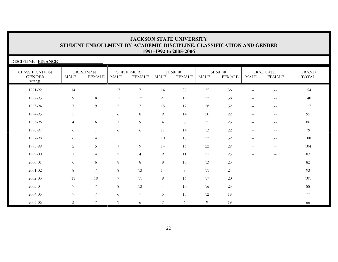| DISCIPLINE: FINANCE                                   |                |                                  |                |                            |                 |                                |             |                                |                                                     |                                                     |                                        |
|-------------------------------------------------------|----------------|----------------------------------|----------------|----------------------------|-----------------|--------------------------------|-------------|--------------------------------|-----------------------------------------------------|-----------------------------------------------------|----------------------------------------|
| <b>CLASSIFICATION</b><br><b>GENDER</b><br><b>YEAR</b> | <b>MALE</b>    | <b>FRESHMAN</b><br><b>FEMALE</b> | <b>MALE</b>    | SOPHOMORE<br><b>FEMALE</b> | <b>MALE</b>     | <b>JUNIOR</b><br><b>FEMALE</b> | <b>MALE</b> | <b>SENIOR</b><br><b>FEMALE</b> | <b>MALE</b>                                         | <b>GRADUATE</b><br><b>FEMALE</b>                    | <b>GRAND</b><br>$\operatorname{TOTAL}$ |
| 1991-92                                               | 14             | 11                               | 17             | $\overline{7}$             | 14              | 30                             | 25          | 36                             | $\hspace{0.05cm} -\hspace{0.05cm} -\hspace{0.05cm}$ | $\mathbf{u}$                                        | 154                                    |
| 1992-93                                               | 9              | $8\,$                            | 11             | $12\,$                     | 21              | 19                             | 22          | 38                             | $\hspace{0.05cm} -\hspace{0.05cm} -\hspace{0.05cm}$ | $\overline{\phantom{m}}$                            | 140                                    |
| 1993-94                                               | 7              | 9                                | 2              | $\overline{7}$             | 15              | 17                             | 28          | $32\,$                         | $\hspace{0.05cm} -\hspace{0.05cm} -\hspace{0.05cm}$ | $\hspace{0.05cm} -\hspace{0.05cm} -\hspace{0.05cm}$ | 117                                    |
| 1994-95                                               | 5              | $\mathbf{1}$                     | 6              | 8                          | $\overline{9}$  | 14                             | 20          | $22\,$                         | $\hspace{0.05cm} -\hspace{0.05cm} -\hspace{0.05cm}$ | $\overline{\phantom{m}}$                            | 95                                     |
| 1995-96                                               | $\overline{4}$ | 6                                | 7              | 9                          | $\overline{4}$  | $8\,$                          | 25          | 23                             | $\hspace{0.05cm} -\hspace{0.05cm} -\hspace{0.05cm}$ | $- -$                                               | 86                                     |
| 1996-97                                               | 6              | $\mathbf{1}$                     | 6              | 6                          | 11              | 14                             | 13          | 22                             | $-$                                                 | $\overline{\phantom{m}}$                            | 79                                     |
| 1997-98                                               | 6              | $\overline{4}$                   | 5              | 11                         | 10              | 18                             | 22          | 32                             | $\sim$ $\sim$                                       | $-\,-$                                              | 108                                    |
| 1998-99                                               | $\overline{2}$ | 5                                | 7              | 9                          | 14              | 16                             | 22          | 29                             |                                                     | $\overline{\phantom{0}}$                            | 104                                    |
| 1999-00                                               | 7              | $\overline{4}$                   | $\overline{c}$ | $\overline{4}$             | $\overline{9}$  | 11                             | 21          | 25                             | $\overline{\phantom{0}}$                            | $\overline{\phantom{0}}$                            | 83                                     |
| 2000-01                                               | 6              | 6                                | 8              | $\,8\,$                    | $8\,$           | 10                             | 13          | 23                             |                                                     | $\qquad \qquad -$                                   | 82                                     |
| $2001 - 02$                                           | 8              | $7\overline{ }$                  | $8\,$          | 13                         | 14              | $8\,$                          | 11          | 24                             |                                                     | $\qquad \qquad -$                                   | 93                                     |
| $2002 - 03$                                           | 11             | 10                               | 7              | 11                         | $\overline{9}$  | 16                             | 17          | $20\,$                         |                                                     | $\qquad \qquad -$                                   | 101                                    |
| 2003-04                                               | 7              | $7\overline{ }$                  | 8              | 13                         | $\overline{4}$  | 10                             | 16          | 23                             |                                                     | $\equiv$                                            | $88\,$                                 |
| 2004-05                                               | 7              | $7\overline{ }$                  | 6              | $\overline{7}$             | $5\phantom{.0}$ | 15                             | 12          | 18                             |                                                     | —                                                   | $77\,$                                 |
| 2005-06                                               | 3              | $\overline{7}$                   | 9              | 6                          | $\overline{7}$  | 6                              | 9           | 19                             |                                                     |                                                     | 66                                     |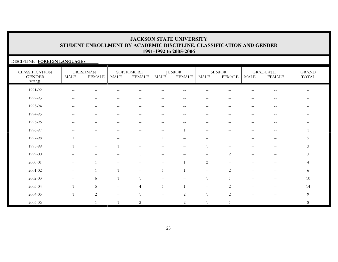#### DISCIPLINE: **FOREIGN LANGUAGES**

| <b>CLASSIFICATION</b><br><b>GENDER</b><br><b>YEAR</b> | MALE                                                  | <b>FRESHMAN</b><br><b>FEMALE</b>                      | $\operatorname{MALE}$    | SOPHOMORE<br><b>FEMALE</b> | MALE                                                | <b>JUNIOR</b><br><b>FEMALE</b> | MALE                     | <b>SENIOR</b><br><b>FEMALE</b> | MALE                     | <b>GRADUATE</b><br>FEMALE | $\operatorname{GRAND}$<br>$\operatorname{TOTAL}$ |
|-------------------------------------------------------|-------------------------------------------------------|-------------------------------------------------------|--------------------------|----------------------------|-----------------------------------------------------|--------------------------------|--------------------------|--------------------------------|--------------------------|---------------------------|--------------------------------------------------|
| 1991-92                                               |                                                       |                                                       |                          |                            |                                                     |                                |                          |                                |                          |                           |                                                  |
| 1992-93                                               | $\sim$ $\sim$                                         | --                                                    |                          |                            |                                                     | $\qquad \qquad -$              | $\qquad \qquad -$        |                                |                          | $- -$                     |                                                  |
| 1993-94                                               | $\hspace{0.05cm} - \hspace{0.05cm} - \hspace{0.05cm}$ | $\hspace{0.05cm} - \hspace{0.05cm} - \hspace{0.05cm}$ |                          |                            | --                                                  | $\overline{\phantom{m}}$       | $\qquad \qquad -$        | $ -$                           | $\overline{\phantom{m}}$ | $\overline{\phantom{m}}$  | $\qquad \qquad -$                                |
| 1994-95                                               | $\sim$ $\sim$                                         | $ -$                                                  | $\overline{\phantom{a}}$ |                            | --                                                  | $\overline{\phantom{m}}$       | $\overline{\phantom{a}}$ | --                             | --                       | $- -$                     | $- -$                                            |
| 1995-96                                               | $\overline{\phantom{a}}$                              | $\qquad \qquad -$                                     | $\overline{\phantom{a}}$ | $\overline{\phantom{m}}$   | $\qquad \qquad -$                                   | $\overline{\phantom{m}}$       | $\overline{\phantom{a}}$ | $\sim$ $\sim$                  | --                       | $- -$                     | $\qquad \qquad -$                                |
| 1996-97                                               |                                                       | --                                                    |                          |                            | $\hspace{0.05cm} -\hspace{0.05cm} -\hspace{0.05cm}$ |                                | $--$                     |                                |                          | $\overline{\phantom{m}}$  |                                                  |
| 1997-98                                               |                                                       |                                                       |                          | $\overline{1}$             | $\overline{1}$                                      |                                | $\overline{\phantom{0}}$ |                                | $\qquad \qquad -$        | $\qquad \qquad -$         | 5                                                |
| 1998-99                                               |                                                       | $\qquad \qquad -$                                     |                          |                            |                                                     |                                |                          |                                |                          |                           | $\mathfrak{Z}$                                   |
| 1999-00                                               |                                                       |                                                       |                          |                            |                                                     |                                |                          | $\overline{2}$                 |                          |                           | $\mathfrak{Z}$                                   |
| 2000-01                                               |                                                       |                                                       |                          |                            |                                                     |                                | 2                        |                                |                          |                           | $\overline{4}$                                   |
| 2001-02                                               | $\overline{\phantom{m}}$                              |                                                       |                          | $\qquad \qquad -$          | $\overline{1}$                                      |                                | $\overline{\phantom{m}}$ | $\overline{2}$                 | $\qquad \qquad$          |                           | 6                                                |
| 2002-03                                               |                                                       | 6                                                     | $\overline{1}$           | $\overline{1}$             |                                                     |                                | $\overline{1}$           | $\mathbf{1}$                   |                          |                           | 10                                               |
| 2003-04                                               |                                                       | 5                                                     |                          | $\overline{4}$             | $\overline{1}$                                      |                                |                          | 2                              |                          |                           | 14                                               |
| 2004-05                                               |                                                       | $\sqrt{2}$                                            |                          |                            |                                                     | $\mathbf{2}$                   |                          | 2                              |                          |                           | 9                                                |
| 2005-06                                               |                                                       |                                                       |                          | $\overline{2}$             | $\overline{\phantom{a}}$                            | $\overline{2}$                 |                          |                                | $=$                      |                           | $8\,$                                            |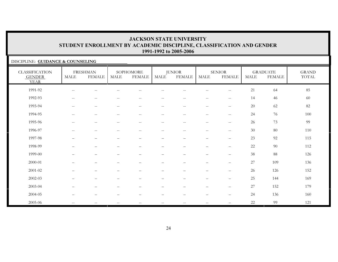### DISCIPLINE: **GUIDANCE & COUNSELING**

| <b>CLASSIFICATION</b><br><b>GENDER</b><br><b>YEAR</b> | <b>MALE</b>                                           | <b>FRESHMAN</b><br><b>FEMALE</b>                    | <b>MALE</b>                                           | SOPHOMORE<br><b>FEMALE</b>                          | MALE                                                | <b>JUNIOR</b><br><b>FEMALE</b>                      | MALE                                                | <b>SENIOR</b><br><b>FEMALE</b>                      | <b>MALE</b> | <b>GRADUATE</b><br><b>FEMALE</b> | <b>GRAND</b><br>TOTAL |
|-------------------------------------------------------|-------------------------------------------------------|-----------------------------------------------------|-------------------------------------------------------|-----------------------------------------------------|-----------------------------------------------------|-----------------------------------------------------|-----------------------------------------------------|-----------------------------------------------------|-------------|----------------------------------|-----------------------|
| 1991-92                                               | $- -$                                                 | $\qquad \qquad -$                                   |                                                       | $\sim$                                              | $-$                                                 | $\sim$ $\sim$                                       | $\sim$ $-$                                          | $\hspace{0.05cm} -\hspace{0.05cm} -\hspace{0.05cm}$ | 21          | 64                               | 85                    |
| 1992-93                                               | $\hspace{0.05cm} - \hspace{0.05cm} - \hspace{0.05cm}$ | $\qquad \qquad -$                                   |                                                       | --                                                  | $-$                                                 | $-$                                                 | $\overline{\phantom{m}}$                            | $\sim$ $\sim$                                       | 14          | 46                               | 60                    |
| 1993-94                                               | $\hspace{0.05cm} - \hspace{0.05cm} - \hspace{0.05cm}$ | $\overline{\phantom{m}}$                            | $\hspace{0.05cm} - \hspace{0.05cm} - \hspace{0.05cm}$ | $\overline{\phantom{m}}$                            | $\overline{\phantom{m}}$                            | $\overline{\phantom{m}}$                            | $\overline{\phantom{m}}$                            | $\overline{\phantom{m}}$                            | $20\,$      | 62                               | 82                    |
| 1994-95                                               | $\sim$ $\sim$                                         | $\hspace{0.05cm} -\hspace{0.05cm} -\hspace{0.05cm}$ | $\sim$ $\sim$                                         | $\sim$ $\sim$                                       | $--$                                                | $\sim$ $\sim$                                       | $--$                                                | $\hspace{0.05cm} -\hspace{0.05cm} -\hspace{0.05cm}$ | 24          | 76                               | 100                   |
| 1995-96                                               | $- -$                                                 | $\hspace{0.05cm} -\hspace{0.05cm} -\hspace{0.05cm}$ | $-\,-$                                                | $- -$                                               | $\hspace{0.05cm} -\hspace{0.05cm} -\hspace{0.05cm}$ | $\hspace{0.05cm} -\hspace{0.05cm} -\hspace{0.05cm}$ | $\hspace{0.05cm} -\hspace{0.05cm} -\hspace{0.05cm}$ | $\hspace{0.05cm} -\hspace{0.05cm} -\hspace{0.05cm}$ | 26          | 73                               | 99                    |
| 1996-97                                               | $- -$                                                 | $-\,-$                                              | $\sim$ $\sim$                                         | $\hspace{0.05cm} -\hspace{0.05cm} -\hspace{0.05cm}$ | $\overline{\phantom{m}}$                            | $\overline{\phantom{m}}$                            | $\hspace{0.05cm} -\hspace{0.05cm} -\hspace{0.05cm}$ | $\hspace{0.05cm} -\hspace{0.05cm} -\hspace{0.05cm}$ | 30          | 80                               | 110                   |
| 1997-98                                               | $\overline{\phantom{0}}$                              | $\overline{\phantom{m}}$                            | $\qquad \qquad -$                                     | $\qquad \qquad -$                                   | $\qquad \qquad -$                                   | $\qquad \qquad -$                                   | $\qquad \qquad -$                                   | $\overline{\phantom{m}}$                            | 23          | 92                               | 115                   |
| 1998-99                                               | $\qquad \qquad -$                                     | $\qquad \qquad -$                                   |                                                       | —                                                   | $\overbrace{\phantom{12322111}}$                    |                                                     | $\overline{\phantom{m}}$                            | $\overline{\phantom{m}}$                            | $22\,$      | $90\,$                           | 112                   |
| 1999-00                                               | —                                                     | —                                                   |                                                       |                                                     | $\qquad \qquad -$                                   |                                                     | $\overline{\phantom{0}}$                            | $\qquad \qquad -$                                   | $38\,$      | 88                               | 126                   |
| 2000-01                                               |                                                       | —                                                   |                                                       |                                                     |                                                     |                                                     | -                                                   | $\overline{\phantom{m}}$                            | 27          | 109                              | 136                   |
| $2001 - 02$                                           | $\overline{\phantom{0}}$                              | $\qquad \qquad -$                                   |                                                       |                                                     |                                                     |                                                     | $\qquad \qquad -$                                   | $\overline{\phantom{m}}$                            | 26          | 126                              | 152                   |
| 2002-03                                               | $\qquad \qquad -$                                     | $\qquad \qquad -$                                   | $\overline{\phantom{0}}$                              | $\qquad \qquad$                                     | $\overline{\phantom{0}}$                            | $\overline{\phantom{m}}$                            | $\qquad \qquad -$                                   | $\overline{\phantom{m}}$                            | 25          | 144                              | 169                   |
| 2003-04                                               | $\overline{\phantom{0}}$                              | $\qquad \qquad -$                                   | $\overline{\phantom{0}}$                              | $\qquad \qquad$                                     | $\qquad \qquad -$                                   | $\overline{\phantom{m}}$                            | $\qquad \qquad -$                                   | $\overline{\phantom{m}}$                            | 27          | 152                              | 179                   |
| 2004-05                                               | $\qquad \qquad -$                                     | $\qquad \qquad -$                                   |                                                       |                                                     | $\overline{\phantom{0}}$                            | $\overline{\phantom{a}}$                            | $\overline{\phantom{0}}$                            | $\overline{\phantom{m}}$                            | 24          | 136                              | 160                   |
| 2005-06                                               |                                                       |                                                     |                                                       |                                                     | $- -$                                               |                                                     |                                                     |                                                     | 22          | 99                               | 121                   |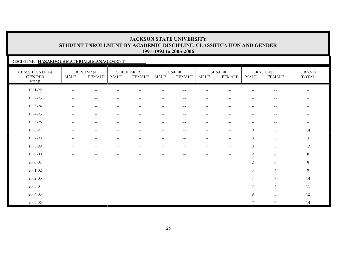### DISCIPLINE: **HAZARDOUS MATERIALS MANAGEMENT**

| <b>CLASSIFICATION</b><br><b>GENDER</b><br><b>YEAR</b> | MALE                                           | <b>FRESHMAN</b><br><b>FEMALE</b> | $\operatorname{MALE}$                               | SOPHOMORE<br><b>FEMALE</b>                            | MALE                     | <b>JUNIOR</b><br><b>FEMALE</b>                        | MALE                                                | <b>SENIOR</b><br><b>FEMALE</b>        | MALE                                  | <b>GRADUATE</b><br><b>FEMALE</b> | $\operatorname{GRAND}$<br>TOTAL |
|-------------------------------------------------------|------------------------------------------------|----------------------------------|-----------------------------------------------------|-------------------------------------------------------|--------------------------|-------------------------------------------------------|-----------------------------------------------------|---------------------------------------|---------------------------------------|----------------------------------|---------------------------------|
| 1991-92                                               | $\overline{\phantom{a}}$                       |                                  |                                                     |                                                       |                          |                                                       |                                                     |                                       |                                       | --                               | $-$                             |
| 1992-93                                               | $-\,-$                                         | $\overline{\phantom{a}}$         | $-$                                                 | $\sim$ $\sim$                                         | $\qquad \qquad -$        | $\overline{\phantom{a}}$                              | $\hspace{0.05cm} -\hspace{0.05cm} -\hspace{0.05cm}$ | $\overline{\phantom{a}}$              | $-$                                   | $- -$                            | $\overline{\phantom{m}}$        |
| 1993-94                                               | $\hspace{0.1mm}-\hspace{0.1mm}-\hspace{0.1mm}$ | $\overline{\phantom{m}}$         | $\hspace{0.05cm} -\hspace{0.05cm} -\hspace{0.05cm}$ | $\hspace{0.05cm} - \hspace{0.05cm} - \hspace{0.05cm}$ | $\overline{\phantom{m}}$ | $--$                                                  | $--$                                                | $-\,-$                                | $\hspace{0.05cm}$ – $\hspace{0.05cm}$ | $\overline{\phantom{m}}$         | $--$                            |
| 1994-95                                               | $-\,-$                                         | $\overline{\phantom{m}}$         | $\overline{\phantom{m}}$                            | $\hspace{0.1mm}-\hspace{0.1mm}-\hspace{0.1mm}$        | $\overline{\phantom{m}}$ | $\hspace{0.05cm} -\hspace{0.05cm} -\hspace{0.05cm}$   | $\overline{\phantom{m}}$                            | $\hspace{0.05cm}$ – $\hspace{0.05cm}$ | $\qquad \qquad -$                     | $\overline{\phantom{m}}$         | $--$                            |
| 1995-96                                               |                                                | $-$                              |                                                     | $-$                                                   | $\overline{\phantom{m}}$ | $\hspace{0.05cm} - \hspace{0.05cm} - \hspace{0.05cm}$ | $\overline{\phantom{m}}$                            | $-$                                   | $-$                                   | $-\,-$                           | $--$                            |
| 1996-97                                               |                                                | --                               |                                                     |                                                       | $\qquad \qquad -$        | $-$                                                   | $\overline{\phantom{m}}$                            | $\sim$ $\sim$                         | 9                                     | $\overline{5}$                   | 14                              |
| 1997-98                                               |                                                | —                                |                                                     | $\overline{\phantom{0}}$                              | $\qquad \qquad -$        | $\overline{\phantom{0}}$                              | $\overline{\phantom{m}}$                            | $\overline{\phantom{0}}$              | $\,8\,$                               | $\,8\,$                          | 16                              |
| 1998-99                                               |                                                | $\overline{\phantom{0}}$         |                                                     |                                                       | $\overline{\phantom{0}}$ |                                                       | $\qquad \qquad -$                                   |                                       | $\,8\,$                               | $\mathbf 5$                      | 13                              |
| 1999-00                                               |                                                | $\overline{\phantom{0}}$         |                                                     |                                                       |                          |                                                       | $\qquad \qquad -$                                   | $\qquad \qquad -$                     | $\sqrt{2}$                            | $\sqrt{6}$                       | $8\,$                           |
| 2000-01                                               |                                                |                                  |                                                     |                                                       |                          |                                                       |                                                     |                                       | $\mathbf{2}$                          | $\sqrt{6}$                       | $8\,$                           |
| 2001-02                                               | $\overline{\phantom{0}}$                       | $\qquad \qquad -$                | $\overline{\phantom{0}}$                            | $\overline{\phantom{m}}$                              | $\overline{\phantom{m}}$ | $\overbrace{\phantom{1232211}}$                       | $\qquad \qquad -$                                   | $\overline{\phantom{m}}$              | 5                                     | $\overline{4}$                   | 9                               |
| 2002-03                                               |                                                | -                                |                                                     |                                                       | -                        |                                                       | $\overline{\phantom{0}}$                            | $\overline{\phantom{m}}$              | $7\overline{ }$                       | $\boldsymbol{7}$                 | 14                              |
| 2003-04                                               |                                                |                                  |                                                     |                                                       |                          |                                                       |                                                     |                                       | $\overline{7}$                        | $\overline{4}$                   | 11                              |
| 2004-05                                               |                                                |                                  |                                                     |                                                       |                          |                                                       |                                                     |                                       | $\overline{9}$                        | $\mathfrak{Z}$                   | 12                              |
| 2005-06                                               | $\mathbf{u}$                                   | $\overline{\phantom{m}}$         | $\overline{\phantom{m}}$                            | $\overline{\phantom{m}}$                              | --                       | $\overline{\phantom{a}}$                              | $\hspace{0.05cm} -\hspace{0.05cm} -\hspace{0.05cm}$ |                                       | 7                                     | 7                                | 14                              |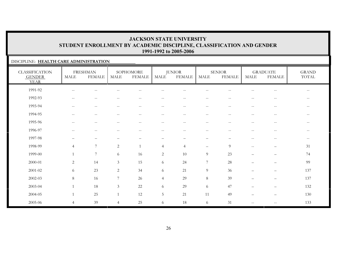#### DISCIPLINE: **HEALTH CARE ADMINISTRATION**

| <b>CLASSIFICATION</b><br><b>GENDER</b><br><b>YEAR</b> | MALE                                                | <b>FRESHMAN</b><br><b>FEMALE</b>                    | <b>MALE</b>                                         | SOPHOMORE<br><b>FEMALE</b>                            | MALE                                                | <b>JUNIOR</b><br><b>FEMALE</b>                      | MALE                                                | <b>SENIOR</b><br><b>FEMALE</b>                      | MALE                     | <b>GRADUATE</b><br><b>FEMALE</b>  | <b>GRAND</b><br>TOTAL    |
|-------------------------------------------------------|-----------------------------------------------------|-----------------------------------------------------|-----------------------------------------------------|-------------------------------------------------------|-----------------------------------------------------|-----------------------------------------------------|-----------------------------------------------------|-----------------------------------------------------|--------------------------|-----------------------------------|--------------------------|
| 1991-92                                               | $\hspace{0.05cm} -\hspace{0.05cm} -\hspace{0.05cm}$ |                                                     |                                                     |                                                       |                                                     |                                                     |                                                     |                                                     |                          | $-$                               | $\overline{\phantom{a}}$ |
| 1992-93                                               | $-\,-$                                              | $\hspace{0.05cm} -\hspace{0.05cm} -\hspace{0.05cm}$ | $\overline{\phantom{a}}$                            | $\sim$ $\sim$                                         | $\frac{1}{2}$                                       | $\sim$ $-$                                          | $--$                                                | $-$                                                 | $-$                      | $-\,-$                            | $\overline{\phantom{m}}$ |
| 1993-94                                               | $\hspace{0.1mm}-\hspace{0.1mm}-\hspace{0.1mm}$      | $\hspace{0.05cm} -\hspace{0.05cm} -\hspace{0.05cm}$ | $\hspace{0.05cm} -\hspace{0.05cm} -\hspace{0.05cm}$ | $\hspace{0.05cm} - \hspace{0.05cm} - \hspace{0.05cm}$ | $\hspace{0.05cm} -\hspace{0.05cm} -\hspace{0.05cm}$ | $--$                                                | $\hspace{0.05cm} -\hspace{0.05cm} -\hspace{0.05cm}$ | $\hspace{0.05cm} -\hspace{0.05cm} -\hspace{0.05cm}$ | $-\,-$                   | $\overline{\phantom{m}}$          | $--$                     |
| 1994-95                                               | $-\,-$                                              | $\hspace{0.05cm} -\hspace{0.05cm} -\hspace{0.05cm}$ | $\overline{\phantom{m}}$                            | $\overline{\phantom{m}}$                              | $\overline{\phantom{m}}$                            | $\hspace{0.05cm} -\hspace{0.05cm} -\hspace{0.05cm}$ | $\hspace{0.05cm} -\hspace{0.05cm} -\hspace{0.05cm}$ | $\hspace{0.05cm}$ – $\hspace{0.05cm}$               | $\qquad \qquad -$        | $\overline{\phantom{m}}$          | $\overline{\phantom{m}}$ |
| 1995-96                                               | $-\,-$                                              | $\sim$ $-$                                          | $-$                                                 | $\hspace{0.05cm} - \hspace{0.05cm} - \hspace{0.05cm}$ | $\qquad \qquad -$                                   | $\overline{\phantom{m}}$                            | $\hspace{0.05cm} -\hspace{0.05cm} -\hspace{0.05cm}$ | $\hspace{0.05cm}$ – $\hspace{0.05cm}$               | $-$                      | $\overline{\phantom{m}}$          | $\overline{\phantom{m}}$ |
| 1996-97                                               | $\hspace{0.05cm} -\hspace{0.05cm} -\hspace{0.05cm}$ | $\overline{\phantom{m}}$                            |                                                     |                                                       | $-$                                                 | $-$                                                 | $\overline{\phantom{m}}$                            | $\overline{\phantom{a}}$                            | $-$                      | --                                | $\overline{\phantom{a}}$ |
| 1997-98                                               |                                                     | $\overline{\phantom{0}}$                            |                                                     |                                                       | -                                                   |                                                     | $\overline{\phantom{m}}$                            |                                                     | $-$                      | $\qquad \qquad -$                 | $\overline{\phantom{m}}$ |
| 1998-99                                               | $\overline{4}$                                      | $\overline{7}$                                      | $\overline{c}$                                      | $\overline{1}$                                        | $\overline{4}$                                      | $\overline{4}$                                      | $\qquad \qquad -$                                   | 9                                                   | $\mathbf{u}$             | $\qquad \qquad -$                 | 31                       |
| 1999-00                                               |                                                     | 7                                                   | 6                                                   | 16                                                    | 2                                                   | 10                                                  | 9                                                   | 23                                                  | $\overline{\phantom{0}}$ | $\overbrace{\phantom{123221111}}$ | 74                       |
| 2000-01                                               | $\overline{2}$                                      | 14                                                  | 3                                                   | 15                                                    | 6                                                   | 24                                                  | $\boldsymbol{7}$                                    | 28                                                  | $\overline{\phantom{0}}$ | $\overline{\phantom{0}}$          | 99                       |
| 2001-02                                               | 6                                                   | 23                                                  | $\overline{2}$                                      | 34                                                    | 6                                                   | 21                                                  | $\overline{9}$                                      | 36                                                  |                          | $\overline{\phantom{0}}$          | 137                      |
| 2002-03                                               | 8                                                   | 16                                                  | $\overline{7}$                                      | 26                                                    | $\overline{4}$                                      | 29                                                  | $8\,$                                               | 39                                                  |                          | $\qquad \qquad -$                 | 137                      |
| 2003-04                                               |                                                     | 18                                                  | 3                                                   | 22                                                    | 6                                                   | 29                                                  | 6                                                   | 47                                                  | $\overline{\phantom{0}}$ | $\qquad \qquad -$                 | 132                      |
| 2004-05                                               |                                                     | 25                                                  | $\mathbf{1}$                                        | 12                                                    | 5                                                   | 21                                                  | 11                                                  | 49                                                  | $\overline{\phantom{0}}$ | $\qquad \qquad -$                 | 130                      |
| 2005-06                                               | $\overline{4}$                                      | 39                                                  | $\overline{4}$                                      | 25                                                    | 6                                                   | 18                                                  | 6                                                   | 31                                                  | $-$                      | $\qquad \qquad -$                 | 133                      |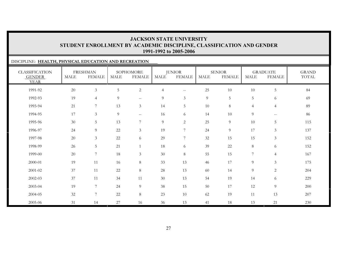# DISCIPLINE: **HEALTH, PHYSICAL EDUCATION AND RECREATION**

| <b>CLASSIFICATION</b><br><b>GENDER</b><br><b>YEAR</b> | <b>MALE</b> | <b>FRESHMAN</b><br><b>FEMALE</b> | <b>MALE</b> | SOPHOMORE<br><b>FEMALE</b>                          | <b>MALE</b>    | <b>JUNIOR</b><br><b>FEMALE</b> | <b>MALE</b> | <b>SENIOR</b><br><b>FEMALE</b> | <b>MALE</b>    | <b>GRADUATE</b><br><b>FEMALE</b>                    | <b>GRAND</b><br>TOTAL |
|-------------------------------------------------------|-------------|----------------------------------|-------------|-----------------------------------------------------|----------------|--------------------------------|-------------|--------------------------------|----------------|-----------------------------------------------------|-----------------------|
| 1991-92                                               | 20          | $\mathfrak{Z}$                   | 5           | $\sqrt{2}$                                          | $\overline{4}$ | $- -$                          | 25          | $10\,$                         | 10             | $\overline{5}$                                      | 84                    |
| 1992-93                                               | 19          | $\overline{4}$                   | 9           | $\hspace{0.05cm} -\hspace{0.05cm} -\hspace{0.05cm}$ | 9              | 3                              | 9           | 5                              | 5              | 6                                                   | 69                    |
| 1993-94                                               | 21          | 7                                | 13          | $\mathfrak{Z}$                                      | 14             | 5                              | 10          | $\,8\,$                        | $\overline{4}$ | $\overline{4}$                                      | 89                    |
| 1994-95                                               | 17          | $\mathfrak{Z}$                   | 9           | $\hspace{0.05cm} -\hspace{0.05cm} -\hspace{0.05cm}$ | 16             | 6                              | 14          | 10                             | 9              | $\hspace{0.05cm} -\hspace{0.05cm} -\hspace{0.05cm}$ | 86                    |
| 1995-96                                               | 30          | $\overline{5}$                   | 13          | $7\phantom{.0}$                                     | 9              | $\overline{2}$                 | 25          | 9                              | 10             | $5\,$                                               | 115                   |
| 1996-97                                               | 24          | $\overline{9}$                   | 22          | $\mathfrak{Z}$                                      | 19             | $\overline{7}$                 | 24          | 9                              | 17             | $\mathfrak{Z}$                                      | 137                   |
| 1997-98                                               | 20          | $\mathfrak{Z}$                   | $22\,$      | 6                                                   | 29             | $\overline{7}$                 | 32          | 15                             | 15             | $\mathfrak{Z}$                                      | 152                   |
| 1998-99                                               | 26          | $\overline{5}$                   | 21          | $\overline{1}$                                      | 18             | 6                              | 39          | 22                             | 8              | 6                                                   | 152                   |
| 1999-00                                               | 20          | $\overline{7}$                   | 18          | 3                                                   | 30             | $8\,$                          | 55          | 15                             | 7              | $\overline{4}$                                      | 167                   |
| 2000-01                                               | 19          | 11                               | 16          | 8                                                   | 33             | 13                             | 46          | 17                             | 9              | $\mathfrak{Z}$                                      | 175                   |
| 2001-02                                               | 37          | 11                               | 22          | 8                                                   | 28             | 13                             | 60          | 14                             | 9              | $\overline{2}$                                      | 204                   |
| 2002-03                                               | 37          | 11                               | 34          | 11                                                  | 30             | 13                             | 54          | 19                             | 14             | 6                                                   | 229                   |
| 2003-04                                               | 19          | $7\phantom{.0}$                  | 24          | 9                                                   | 38             | 15                             | 50          | 17                             | 12             | $\overline{9}$                                      | 200                   |
| 2004-05                                               | 32          | $\overline{7}$                   | $22\,$      | $8\,$                                               | 23             | 10                             | 62          | 19                             | 11             | 13                                                  | 207                   |
| 2005-06                                               | 31          | 14                               | 27          | 16                                                  | 36             | 13                             | 41          | 18                             | 13             | 21                                                  | 230                   |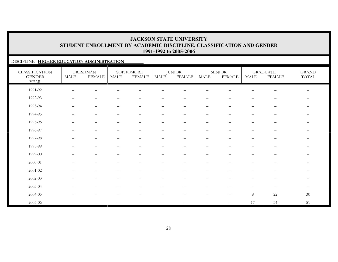### DISCIPLINE: **HIGHER EDUCATION ADMINISTRATION**

| <b>CLASSIFICATION</b><br><b>GENDER</b><br><b>YEAR</b> | $\operatorname{MALE}$    | <b>FRESHMAN</b><br><b>FEMALE</b> | MALE                     | SOPHOMORE<br><b>FEMALE</b> | $\operatorname{MALE}$    | <b>JUNIOR</b><br><b>FEMALE</b> | MALE                     | <b>SENIOR</b><br><b>FEMALE</b> | <b>MALE</b>              | <b>GRADUATE</b><br><b>FEMALE</b> | <b>GRAND</b><br>$\operatorname{TOTAL}$ |
|-------------------------------------------------------|--------------------------|----------------------------------|--------------------------|----------------------------|--------------------------|--------------------------------|--------------------------|--------------------------------|--------------------------|----------------------------------|----------------------------------------|
| 1991-92                                               | $\overline{\phantom{0}}$ |                                  |                          |                            |                          |                                |                          |                                |                          |                                  | $\overline{\phantom{m}}$               |
| 1992-93                                               | $\overline{\phantom{0}}$ | $\overline{\phantom{0}}$         |                          |                            |                          | $\qquad \qquad -$              | —                        |                                |                          | $\overline{\phantom{m}}$         | $\overline{\phantom{m}}$               |
| 1993-94                                               | $\overline{\phantom{0}}$ | $\qquad \qquad -$                | $\overline{\phantom{0}}$ |                            | $\overline{\phantom{0}}$ | $\overline{\phantom{m}}$       | $\qquad \qquad -$        | $\overline{\phantom{m}}$       | $\qquad \qquad$          | $\overline{\phantom{0}}$         | $--$                                   |
| 1994-95                                               | $\overline{\phantom{0}}$ | $\qquad \qquad -$                |                          | $\overline{\phantom{m}}$   | —                        | $\overline{\phantom{m}}$       | $\qquad \qquad -$        | $\overline{\phantom{0}}$       | $\overline{\phantom{0}}$ | $\qquad \qquad -$                | $--$                                   |
| 1995-96                                               |                          | $\overline{\phantom{0}}$         |                          | $\overline{\phantom{0}}$   | —                        | $\overline{\phantom{0}}$       | $\qquad \qquad -$        |                                | $\overline{\phantom{0}}$ | —                                | $\overline{\phantom{m}}$               |
| 1996-97                                               |                          | $\qquad \qquad -$                |                          | $\sim$                     | $\overline{\phantom{0}}$ |                                | $\qquad \qquad$          |                                |                          | —                                | $--$                                   |
| 1997-98                                               |                          | $\overline{\phantom{m}}$         | $\overline{\phantom{0}}$ | $\overline{\phantom{m}}$   | $\qquad \qquad -$        | $\overline{\phantom{m}}$       | $\overline{\phantom{m}}$ | $\overline{\phantom{m}}$       | $\overline{\phantom{0}}$ | $\overline{\phantom{m}}$         | $- -$                                  |
| 1998-99                                               |                          | $\overline{\phantom{m}}$         |                          | $\overline{\phantom{0}}$   | —                        |                                | —                        |                                | —                        | $\qquad \qquad -$                | $--$                                   |
| 1999-00                                               |                          | $\qquad \qquad -$                |                          | $\overline{\phantom{a}}$   | —                        | $\overline{\phantom{0}}$       | $\qquad \qquad$          |                                | $\qquad \qquad$          | $\qquad \qquad -$                | $--$                                   |
| $2000 - 01$                                           |                          | $\overline{\phantom{0}}$         |                          |                            |                          |                                |                          |                                |                          | —                                | $\overline{\phantom{m}}$               |
| $2001 - 02$                                           |                          | $\overline{\phantom{m}}$         |                          | $\overline{\phantom{m}}$   |                          | $\qquad \qquad -$              | $\qquad \qquad$          | $\overline{\phantom{m}}$       | —                        | $\qquad \qquad -$                | $--$                                   |
| 2002-03                                               |                          | $\overline{\phantom{0}}$         |                          |                            |                          |                                | $\qquad \qquad$          |                                |                          | $\qquad \qquad -$                | $--$                                   |
| 2003-04                                               |                          |                                  |                          |                            |                          |                                |                          |                                |                          | $\overline{\phantom{m}}$         | $--$                                   |
| 2004-05                                               |                          |                                  |                          |                            |                          |                                |                          |                                | $8\,$                    | $22\,$                           | 30                                     |
| 2005-06                                               |                          |                                  |                          |                            |                          |                                |                          | $\overline{\phantom{m}}$       | 17                       | 34                               | 51                                     |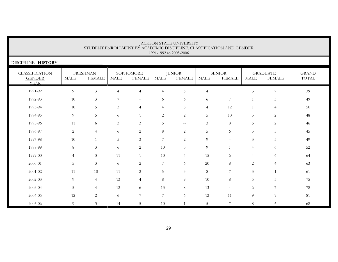| JACKSON STATE UNIVERSITY<br>STUDENT ENROLLMENT BY ACADEMIC DISCIPLINE, CLASSIFICATION AND GENDER<br>1991-1992 to 2005-2006 |                                                                                                                                                                                                                                                                                   |                |                |                |                |                |                |                |                |                |    |  |  |  |
|----------------------------------------------------------------------------------------------------------------------------|-----------------------------------------------------------------------------------------------------------------------------------------------------------------------------------------------------------------------------------------------------------------------------------|----------------|----------------|----------------|----------------|----------------|----------------|----------------|----------------|----------------|----|--|--|--|
| DISCIPLINE: HISTORY                                                                                                        |                                                                                                                                                                                                                                                                                   |                |                |                |                |                |                |                |                |                |    |  |  |  |
| <b>CLASSIFICATION</b><br><b>GENDER</b><br><b>YEAR</b>                                                                      | <b>FRESHMAN</b><br>SOPHOMORE<br><b>JUNIOR</b><br><b>SENIOR</b><br><b>GRADUATE</b><br><b>GRAND</b><br><b>FEMALE</b><br><b>TOTAL</b><br><b>MALE</b><br><b>FEMALE</b><br><b>MALE</b><br><b>FEMALE</b><br><b>MALE</b><br><b>MALE</b><br><b>FEMALE</b><br><b>MALE</b><br><b>FEMALE</b> |                |                |                |                |                |                |                |                |                |    |  |  |  |
| 1991-92                                                                                                                    | 9                                                                                                                                                                                                                                                                                 | $\overline{3}$ | $\overline{4}$ | $\overline{4}$ | $\overline{4}$ | 5              | $\overline{4}$ | $\overline{1}$ | $\mathfrak{Z}$ | $\sqrt{2}$     | 39 |  |  |  |
| 1992-93                                                                                                                    | 10                                                                                                                                                                                                                                                                                | $\mathfrak{Z}$ | 7              | $- -$          | 6              | 6              | 6              | 7              | $\mathbf{1}$   | $\mathfrak{Z}$ | 49 |  |  |  |
| 1993-94                                                                                                                    | 10                                                                                                                                                                                                                                                                                | 5              | 3              | $\overline{4}$ | $\overline{4}$ | 3              | $\overline{4}$ | 12             |                | $\overline{4}$ | 50 |  |  |  |
| 1994-95                                                                                                                    | 9                                                                                                                                                                                                                                                                                 | 5              | 6              |                | 2              | $\overline{2}$ | 5              | 10             | 5              | 2              | 48 |  |  |  |
| 1995-96                                                                                                                    | 11                                                                                                                                                                                                                                                                                | 6              | 3              | $\mathfrak{Z}$ | 5              | $\mathbf{u}$   | 3              | 8              | 5              | 2              | 46 |  |  |  |
| 1996-97                                                                                                                    | 2                                                                                                                                                                                                                                                                                 | $\overline{4}$ | 6              | $\overline{c}$ | $\,8\,$        | $\mathbf{2}$   | 5              | 6              | 5              | 5              | 45 |  |  |  |
| 1997-98                                                                                                                    | 10                                                                                                                                                                                                                                                                                | $\mathbf{1}$   | 5              | $\mathfrak{Z}$ | 7              | $\overline{c}$ | 9              | 4              | 3              | 5              | 49 |  |  |  |
| 1998-99                                                                                                                    | 8                                                                                                                                                                                                                                                                                 | 3              | 6              | 2              | 10             | 3              | 9              | $\overline{1}$ | $\overline{4}$ | 6              | 52 |  |  |  |
| 1999-00                                                                                                                    | $\overline{4}$                                                                                                                                                                                                                                                                    | 3              | 11             |                | 10             | $\overline{4}$ | 15             | 6              | $\overline{4}$ | 6              | 64 |  |  |  |
| 2000-01                                                                                                                    | 5                                                                                                                                                                                                                                                                                 | 3              | 6              | 2              | 7              | 6              | 20             | 8              | $\overline{2}$ | $\overline{4}$ | 63 |  |  |  |
| 2001-02                                                                                                                    | 11                                                                                                                                                                                                                                                                                | 10             | 11             | $\overline{c}$ | $\overline{5}$ | $\mathfrak{Z}$ | $8\,$          | 7              | 3              |                | 61 |  |  |  |
| 2002-03                                                                                                                    | 9                                                                                                                                                                                                                                                                                 | $\overline{4}$ | 13             | $\overline{4}$ | $8\,$          | 9              | 10             | 8              | 5              | 5              | 75 |  |  |  |
| 2003-04                                                                                                                    | 5                                                                                                                                                                                                                                                                                 | $\overline{4}$ | 12             | 6              | 13             | $8\,$          | 13             | $\overline{4}$ | 6              | 7              | 78 |  |  |  |
| 2004-05                                                                                                                    | 12                                                                                                                                                                                                                                                                                | $\overline{2}$ | 6              | 7              | $\overline{7}$ | 6              | 12             | 11             | 9              | 9              | 81 |  |  |  |
| 2005-06                                                                                                                    | $\Omega$                                                                                                                                                                                                                                                                          | 3              | 14             | 5              | 10             | $\overline{1}$ | 5              | $\overline{ }$ | 8              | 6              | 68 |  |  |  |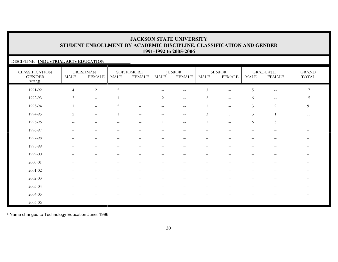### DISCIPLINE: **INDUSTRIAL ARTS EDUCATION**

| <b>CLASSIFICATION</b><br><b>GENDER</b><br><b>YEAR</b> | <b>MALE</b>              | <b>FRESHMAN</b><br><b>FEMALE</b>                    | <b>MALE</b>              | SOPHOMORE<br><b>FEMALE</b>                            | <b>MALE</b>                                    | <b>JUNIOR</b><br><b>FEMALE</b>                | MALE                        | <b>SENIOR</b><br><b>FEMALE</b>                      | <b>MALE</b>              | <b>GRADUATE</b><br><b>FEMALE</b> | <b>GRAND</b><br>$\operatorname{TOTAL}$                |
|-------------------------------------------------------|--------------------------|-----------------------------------------------------|--------------------------|-------------------------------------------------------|------------------------------------------------|-----------------------------------------------|-----------------------------|-----------------------------------------------------|--------------------------|----------------------------------|-------------------------------------------------------|
| 1991-92                                               | $\overline{4}$           | $\overline{c}$                                      | $\sqrt{2}$               |                                                       | $\qquad \qquad -$                              | $\qquad \qquad -$                             | $\ensuremath{\mathfrak{Z}}$ | $-\,-$                                              | $\overline{5}$           | $\overline{\phantom{a}}$         | 17                                                    |
| 1992-93                                               | $\mathfrak{Z}$           | $\mathcal{L}_{\mathcal{F}}$                         |                          | $\overline{1}$                                        | $\mathbf{2}$                                   | $\mathord{\hspace{1pt}\text{--}\hspace{1pt}}$ | $\sqrt{2}$                  | $\hspace{0.05cm} -\hspace{0.05cm} -\hspace{0.05cm}$ | 6                        | $- -$                            | 15                                                    |
| 1993-94                                               |                          | $\hspace{0.05cm} -\hspace{0.05cm} -\hspace{0.05cm}$ | $\overline{2}$           | $\hspace{0.05cm} -\hspace{0.05cm} -\hspace{0.05cm}$   | $\hspace{0.1mm}-\hspace{0.1mm}-\hspace{0.1mm}$ | $\overline{\phantom{m}}$                      | $\mathbf{1}$                | $\hspace{0.05cm} -\hspace{0.05cm} -\hspace{0.05cm}$ | $\mathfrak{Z}$           | $\sqrt{2}$                       | 9                                                     |
| 1994-95                                               | 2                        | $\hspace{0.05cm} -\hspace{0.05cm} -\hspace{0.05cm}$ | $\mathbf{1}$             | $\overline{\phantom{m}}$                              | $--$                                           | $-\,-$                                        | $\mathfrak{Z}$              | $\overline{1}$                                      | $\mathfrak{Z}$           | 1                                | 11                                                    |
| 1995-96                                               | $-$                      | $-$                                                 |                          | $\hspace{0.05cm} - \hspace{0.05cm} - \hspace{0.05cm}$ |                                                | $\sim$ $\sim$                                 | $\mathbf{1}$                | $\hspace{0.05cm} -$                                 | 6                        | $\mathfrak{Z}$                   | 11                                                    |
| 1996-97                                               |                          |                                                     |                          |                                                       |                                                |                                               |                             |                                                     |                          |                                  | $- -$                                                 |
| 1997-98                                               | $\overline{\phantom{0}}$ | $\qquad \qquad -$                                   |                          | $\overline{\phantom{0}}$                              | $\qquad \qquad -$                              | $\qquad \qquad -$                             | $\qquad \qquad -$           | $\qquad \qquad -$                                   | $\qquad \qquad -$        | $\qquad \qquad -$                | $\hspace{0.1mm}-\hspace{0.1mm}-\hspace{0.1mm}$        |
| 1998-99                                               |                          | —                                                   |                          |                                                       | —                                              | —                                             | $\overline{\phantom{0}}$    | —                                                   | —                        | $\overline{\phantom{m}}$         | $- -$                                                 |
| 1999-00                                               |                          |                                                     |                          |                                                       |                                                |                                               |                             |                                                     |                          |                                  | $\hspace{0.05cm} - \hspace{0.05cm} - \hspace{0.05cm}$ |
| 2000-01                                               |                          |                                                     |                          |                                                       |                                                |                                               |                             |                                                     |                          |                                  | $\qquad \qquad -$                                     |
| 2001-02                                               |                          |                                                     |                          |                                                       |                                                |                                               |                             |                                                     |                          |                                  | $\hspace{0.1mm}-\hspace{0.1mm}-\hspace{0.1mm}$        |
| 2002-03                                               |                          | $\qquad \qquad -$                                   | $\overline{\phantom{0}}$ | $\overline{\phantom{0}}$                              | —                                              | $\qquad \qquad -$                             | $\qquad \qquad -$           | $\qquad \qquad -$                                   | $\overline{\phantom{0}}$ | $\qquad \qquad -$                | $\overline{\phantom{a}}$                              |
| 2003-04                                               |                          |                                                     |                          |                                                       |                                                |                                               |                             |                                                     |                          |                                  |                                                       |
| 2004-05                                               |                          |                                                     |                          |                                                       |                                                |                                               |                             |                                                     |                          |                                  | $\overline{\phantom{a}}$                              |
| 2005-06                                               |                          |                                                     |                          |                                                       |                                                |                                               |                             |                                                     |                          |                                  |                                                       |

\* Name changed to Technology Education June, 1996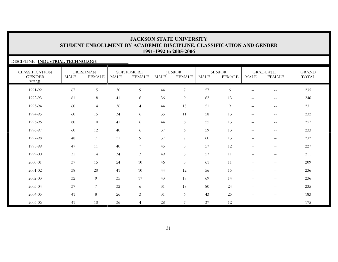### DISCIPLINE: **INDUSTRIAL TECHNOLOGY**

| <b>CLASSIFICATION</b><br><b>GENDER</b><br><b>YEAR</b> | <b>MALE</b> | <b>FRESHMAN</b><br><b>FEMALE</b> | <b>MALE</b> | SOPHOMORE<br><b>FEMALE</b> | <b>MALE</b> | <b>JUNIOR</b><br><b>FEMALE</b> | <b>MALE</b> | <b>SENIOR</b><br><b>FEMALE</b> | <b>MALE</b>              | <b>GRADUATE</b><br><b>FEMALE</b>               | <b>GRAND</b><br>TOTAL |
|-------------------------------------------------------|-------------|----------------------------------|-------------|----------------------------|-------------|--------------------------------|-------------|--------------------------------|--------------------------|------------------------------------------------|-----------------------|
| 1991-92                                               | 67          | 15                               | 30          | 9                          | 44          | $\overline{7}$                 | 57          | 6                              | $\qquad \qquad -$        | $-\,-$                                         | 235                   |
| 1992-93                                               | 61          | 18                               | 41          | 6                          | 36          | 9                              | 62          | 13                             | $-\,-$                   | $\hspace{0.1mm}-\hspace{0.1mm}-\hspace{0.1mm}$ | 246                   |
| 1993-94                                               | 60          | 14                               | 36          | $\overline{4}$             | 44          | 13                             | 51          | 9                              | $-\,-$                   | $\hspace{0.1mm}-\hspace{0.1mm}-\hspace{0.1mm}$ | 231                   |
| 1994-95                                               | 60          | 15                               | 34          | 6                          | 35          | 11                             | 58          | 13                             | $-\,-$                   | $\hspace{0.1mm}-\hspace{0.1mm}-\hspace{0.1mm}$ | 232                   |
| 1995-96                                               | $80\,$      | 10                               | 41          | 6                          | 44          | 8                              | 55          | 13                             | $\sim$ $\sim$            | $--$                                           | 257                   |
| 1996-97                                               | 60          | 12                               | 40          | 6                          | 37          | 6                              | 59          | 13                             | $\mathbf{u}$             | $\hspace{0.1mm}-\hspace{0.1mm}-\hspace{0.1mm}$ | 233                   |
| 1997-98                                               | 48          | $\boldsymbol{7}$                 | 51          | 9                          | 37          | 7                              | 60          | 13                             | $\overline{\phantom{0}}$ | $\qquad \qquad -$                              | 232                   |
| 1998-99                                               | 47          | 11                               | 40          | $\overline{7}$             | 45          | $8\,$                          | 57          | 12                             | —                        | $\qquad \qquad -$                              | 227                   |
| 1999-00                                               | 35          | 14                               | 34          | $\mathfrak{Z}$             | 49          | $\,8\,$                        | 57          | 11                             | $\overline{\phantom{0}}$ | $\qquad \qquad -$                              | 211                   |
| 2000-01                                               | 37          | 15                               | 24          | 10                         | 46          | 5                              | 61          | 11                             | $\qquad \qquad -$        | $\overline{\phantom{m}}$                       | 209                   |
| 2001-02                                               | 38          | 20                               | 41          | 10                         | 44          | 12                             | 56          | 15                             | $\qquad \qquad -$        | $\qquad \qquad -$                              | 236                   |
| 2002-03                                               | 32          | $\boldsymbol{9}$                 | 35          | 17                         | 43          | 17                             | 69          | 14                             | —                        | $\qquad \qquad -$                              | 236                   |
| 2003-04                                               | 37          | $\boldsymbol{7}$                 | 32          | 6                          | 31          | 18                             | 80          | 24                             | $\overline{\phantom{0}}$ | $\qquad \qquad -$                              | 235                   |
| 2004-05                                               | 41          | $\,8\,$                          | 26          | $\mathfrak{Z}$             | 31          | 6                              | 43          | 25                             | $\qquad \qquad -$        | $\qquad \qquad -$                              | 183                   |
| 2005-06                                               | 41          | 10                               | 36          | $\overline{4}$             | $28\,$      | $7\phantom{.0}$                | 37          | 12                             | $\mathbf{u}$             | $\overline{\phantom{m}}$                       | 175                   |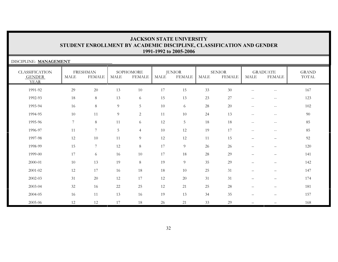| DISCIPLINE: MANAGEMENT                                |             |                                  |             |                            |             |                                |      |                                |                                                     |                                                     |                       |
|-------------------------------------------------------|-------------|----------------------------------|-------------|----------------------------|-------------|--------------------------------|------|--------------------------------|-----------------------------------------------------|-----------------------------------------------------|-----------------------|
| <b>CLASSIFICATION</b><br><b>GENDER</b><br><b>YEAR</b> | <b>MALE</b> | <b>FRESHMAN</b><br><b>FEMALE</b> | <b>MALE</b> | SOPHOMORE<br><b>FEMALE</b> | <b>MALE</b> | <b>JUNIOR</b><br><b>FEMALE</b> | MALE | <b>SENIOR</b><br><b>FEMALE</b> | <b>MALE</b>                                         | <b>GRADUATE</b><br><b>FEMALE</b>                    | <b>GRAND</b><br>TOTAL |
| 1991-92                                               | 29          | 20                               | 13          | $10\,$                     | 17          | 15                             | 33   | $30\,$                         | $\overline{\phantom{a}}$                            | $-\,-$                                              | 167                   |
| 1992-93                                               | 18          | 8                                | 13          | 6                          | 15          | 13                             | 23   | 27                             | $\sim$ $\sim$                                       | $- -$                                               | 123                   |
| 1993-94                                               | 16          | 8                                | 9           | 5                          | 10          | 6                              | 28   | 20                             | $\sim$ $\sim$                                       | $\mathbf{u}$                                        | 102                   |
| 1994-95                                               | 10          | 11                               | 9           | $\overline{2}$             | 11          | 10                             | 24   | 13                             | $\hspace{0.05cm} -\hspace{0.05cm} -\hspace{0.05cm}$ | $-\,-$                                              | $90\,$                |
| 1995-96                                               | 7           | 8                                | 11          | 6                          | 12          | $5\phantom{.}$                 | 18   | 18                             | $\hspace{0.05cm} -\hspace{0.05cm} -\hspace{0.05cm}$ | $\hspace{0.05cm} -\hspace{0.05cm} -\hspace{0.05cm}$ | 85                    |
| 1996-97                                               | 11          | $7\overline{ }$                  | 5           | $\overline{4}$             | 10          | 12                             | 19   | 17                             | $\sim$ $\sim$                                       | $\mathbf{u}$                                        | 85                    |
| 1997-98                                               | 12          | 10                               | 11          | 9                          | 12          | 12                             | 11   | 15                             |                                                     | $\overline{\phantom{0}}$                            | 92                    |
| 1998-99                                               | 15          | $7\overline{ }$                  | 12          | 8                          | $17\,$      | 9                              | 26   | 26                             |                                                     | $\qquad \qquad$                                     | 120                   |
| 1999-00                                               | 17          | 6                                | 16          | $10\,$                     | 17          | 18                             | 28   | 29                             | $\overline{\phantom{m}}$                            | $\overline{\phantom{m}}$                            | 141                   |
| 2000-01                                               | 10          | 13                               | 19          | 8                          | 19          | 9                              | 35   | 29                             |                                                     | $\overline{\phantom{m}}$                            | 142                   |
| 2001-02                                               | 12          | 17                               | 16          | $18\,$                     | 18          | 10                             | 25   | 31                             |                                                     | $\qquad \qquad -$                                   | 147                   |
| 2002-03                                               | 31          | 20                               | 12          | 17                         | 12          | 20                             | 31   | 31                             |                                                     | $\overline{\phantom{m}}$                            | 174                   |
| 2003-04                                               | 32          | 16                               | 22          | 25                         | 12          | 21                             | 25   | $28\,$                         |                                                     | $\overline{\phantom{0}}$                            | 181                   |
| 2004-05                                               | 16          | 11                               | 13          | 16                         | 19          | 13                             | 34   | 35                             |                                                     | $\qquad \qquad$                                     | 157                   |
| 2005-06                                               | 12          | 12                               | 17          | 18                         | 26          | 21                             | 33   | 29                             |                                                     |                                                     | 168                   |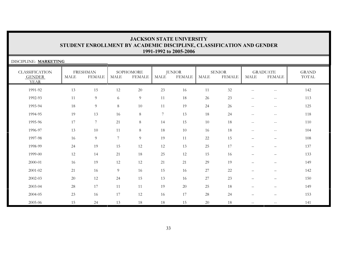| DISCIPLINE: MARKETING                                 |             |                                  |                |                            |                |                                |             |                                |                                                     |                                  |                       |
|-------------------------------------------------------|-------------|----------------------------------|----------------|----------------------------|----------------|--------------------------------|-------------|--------------------------------|-----------------------------------------------------|----------------------------------|-----------------------|
| <b>CLASSIFICATION</b><br><b>GENDER</b><br><b>YEAR</b> | <b>MALE</b> | <b>FRESHMAN</b><br><b>FEMALE</b> | <b>MALE</b>    | SOPHOMORE<br><b>FEMALE</b> | <b>MALE</b>    | <b>JUNIOR</b><br><b>FEMALE</b> | <b>MALE</b> | <b>SENIOR</b><br><b>FEMALE</b> | <b>MALE</b>                                         | <b>GRADUATE</b><br><b>FEMALE</b> | <b>GRAND</b><br>TOTAL |
| 1991-92                                               | 13          | 15                               | 12             | $20\,$                     | 23             | 16                             | 11          | 32                             | $\sim$ $\sim$                                       | $- -$                            | 142                   |
| 1992-93                                               | 11          | 9                                | 6              | 9                          | 11             | 18                             | 26          | 23                             | $- -$                                               | $- -$                            | 113                   |
| 1993-94                                               | 18          | 9                                | 8              | 10                         | 11             | 19                             | 24          | 26                             | $\mathbf{u}$                                        | $\sim$ $\sim$                    | 125                   |
| 1994-95                                               | 19          | 13                               | 16             | 8                          | $7\phantom{.}$ | 13                             | 18          | 24                             | $\hspace{0.05cm} -$                                 | $\overline{\phantom{m}}$         | 118                   |
| 1995-96                                               | 17          | $7\phantom{.0}$                  | 21             | 8                          | 14             | 15                             | 10          | 18                             | $\hspace{0.05cm} -\hspace{0.05cm} -\hspace{0.05cm}$ | $--$                             | 110                   |
| 1996-97                                               | 13          | 10                               | 11             | 8                          | 18             | 10                             | 16          | 18                             | $\mathbf{u}$                                        | $\sim$ $\sim$                    | 104                   |
| 1997-98                                               | 16          | 9                                | $\overline{7}$ | 9                          | 19             | 11                             | 22          | 15                             |                                                     | $\qquad \qquad -$                | 108                   |
| 1998-99                                               | 24          | 19                               | 15             | 12                         | 12             | 13                             | 25          | 17                             | $\qquad \qquad -$                                   | $\qquad \qquad -$                | 137                   |
| 1999-00                                               | 12          | 14                               | 21             | 18                         | $25\,$         | 12                             | 15          | 16                             | $\qquad \qquad -$                                   | $\overline{\phantom{m}}$         | 133                   |
| 2000-01                                               | 16          | 19                               | 12             | 12                         | 21             | 21                             | 29          | 19                             | $\qquad \qquad -$                                   | $\qquad \qquad -$                | 149                   |
| 2001-02                                               | 21          | 16                               | 9              | 16                         | 15             | 16                             | $27\,$      | $22\,$                         |                                                     | $\qquad \qquad -$                | 142                   |
| 2002-03                                               | 20          | $12\,$                           | 24             | 15                         | 13             | 16                             | $27\,$      | 23                             |                                                     | $\qquad \qquad -$                | 150                   |
| 2003-04                                               | 28          | 17                               | 11             | 11                         | 19             | 20                             | 25          | 18                             |                                                     | $\qquad \qquad -$                | 149                   |
| 2004-05                                               | 23          | 16                               | 17             | 12                         | 16             | 17                             | 28          | 24                             |                                                     | —                                | 153                   |
| 2005-06                                               | 15          | 24                               | 13             | 18                         | 18             | 15                             | 20          | 18                             | $\hspace{0.05cm} -$                                 |                                  | 141                   |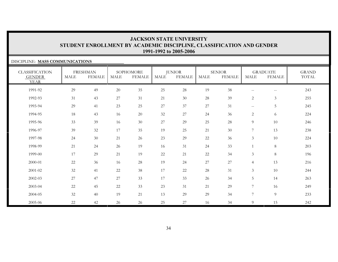#### DISCIPLINE: **MASS COMMUNICATIONS**

| <b>CLASSIFICATION</b><br><b>GENDER</b><br><b>YEAR</b> | <b>MALE</b> | <b>FRESHMAN</b><br><b>FEMALE</b> | <b>MALE</b> | SOPHOMORE<br><b>FEMALE</b> | <b>MALE</b> | <b>JUNIOR</b><br><b>FEMALE</b> | <b>MALE</b> | <b>SENIOR</b><br><b>FEMALE</b> | <b>MALE</b>                                    | <b>GRADUATE</b><br><b>FEMALE</b>                    | <b>GRAND</b><br>TOTAL |
|-------------------------------------------------------|-------------|----------------------------------|-------------|----------------------------|-------------|--------------------------------|-------------|--------------------------------|------------------------------------------------|-----------------------------------------------------|-----------------------|
| 1991-92                                               | 29          | 49                               | 20          | 35                         | 25          | 28                             | 19          | 38                             | $\sim$ $\sim$                                  | $\hspace{0.05cm} -\hspace{0.05cm} -\hspace{0.05cm}$ | 243                   |
| 1992-93                                               | 31          | 43                               | 27          | 31                         | 21          | 30                             | 28          | 39                             | $\overline{2}$                                 | $\mathfrak{Z}$                                      | 255                   |
| 1993-94                                               | 29          | 41                               | 23          | 25                         | 27          | 37                             | 27          | 31                             | $\hspace{0.1mm}-\hspace{0.1mm}-\hspace{0.1mm}$ | $\overline{5}$                                      | 245                   |
| 1994-95                                               | 18          | 43                               | 16          | 20                         | 32          | 27                             | 24          | 36                             | $\overline{2}$                                 | 6                                                   | 224                   |
| 1995-96                                               | 33          | 39                               | 16          | 30                         | 27          | 29                             | 25          | 28                             | 9                                              | 10                                                  | 246                   |
| 1996-97                                               | 39          | $32\,$                           | 17          | 35                         | 19          | 25                             | 21          | $30\,$                         | $\overline{7}$                                 | 13                                                  | 238                   |
| 1997-98                                               | 24          | $30\,$                           | 21          | 26                         | 23          | 29                             | 22          | 36                             | $\mathfrak{Z}$                                 | $10\,$                                              | 224                   |
| 1998-99                                               | 21          | 24                               | 26          | 19                         | 16          | 31                             | 24          | 33                             |                                                | $\,8\,$                                             | 203                   |
| 1999-00                                               | 17          | 29                               | 21          | 19                         | $22\,$      | 21                             | 22          | 34                             | $\mathfrak{Z}$                                 | 8                                                   | 196                   |
| 2000-01                                               | $22\,$      | 36                               | 16          | 28                         | 19          | 24                             | 27          | 27                             | $\overline{4}$                                 | 13                                                  | 216                   |
| 2001-02                                               | 32          | 41                               | 22          | 38                         | 17          | 22                             | 28          | 31                             | 3                                              | $10\,$                                              | 244                   |
| 2002-03                                               | 27          | 47                               | 27          | 33                         | 17          | 33                             | 26          | 34                             | 5                                              | 14                                                  | 263                   |
| 2003-04                                               | 22          | 45                               | 22          | 33                         | 23          | 31                             | 21          | 29                             | 7                                              | 16                                                  | 249                   |
| 2004-05                                               | $32\,$      | 40                               | 19          | 21                         | 13          | 29                             | 29          | 34                             | 7                                              | $\overline{9}$                                      | 233                   |
| 2005-06                                               | 22          | 42                               | 26          | 26                         | 25          | 27                             | 16          | 34                             | 9                                              | 15                                                  | 242                   |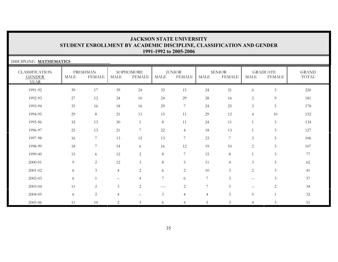| DISCIPLINE: MATHEMATICS                               |             |                                  |                |                            |                |                                |                |                                |                          |                                  |                       |
|-------------------------------------------------------|-------------|----------------------------------|----------------|----------------------------|----------------|--------------------------------|----------------|--------------------------------|--------------------------|----------------------------------|-----------------------|
| <b>CLASSIFICATION</b><br><b>GENDER</b><br><b>YEAR</b> | <b>MALE</b> | <b>FRESHMAN</b><br><b>FEMALE</b> | MALE           | SOPHOMORE<br><b>FEMALE</b> | MALE           | <b>JUNIOR</b><br><b>FEMALE</b> | MALE           | <b>SENIOR</b><br><b>FEMALE</b> | <b>MALE</b>              | <b>GRADUATE</b><br><b>FEMALE</b> | <b>GRAND</b><br>TOTAL |
| 1991-92                                               | 39          | 17                               | 39             | 24                         | 32             | 15                             | 24             | 21                             | 6                        | $\mathfrak{Z}$                   | 220                   |
| 1992-93                                               | 27          | 12                               | 24             | 10                         | 24             | 29                             | 28             | 16                             | 2                        | 9                                | 181                   |
| 1993-94                                               | 35          | 16                               | 18             | 16                         | 29             | $\overline{7}$                 | 24             | 25                             | 3                        | $\overline{5}$                   | 178                   |
| 1994-95                                               | 29          | 8                                | 21             | 13                         | 15             | 11                             | 29             | 12                             | $\overline{4}$           | 10                               | 152                   |
| 1995-96                                               | 32          | 13                               | 30             | $\mathbf{1}$               | 8              | 11                             | 24             | 11                             | $\mathbf{1}$             | 3                                | 134                   |
| 1996-97                                               | 25          | 13                               | 21             | $\overline{7}$             | 22             | $\overline{4}$                 | 18             | 13                             |                          | $\mathfrak{Z}$                   | 127                   |
| 1997-98                                               | 16          | $\overline{7}$                   | 13             | 12                         | 13             | $\overline{7}$                 | 23             | $7\overline{ }$                | 3                        | 5                                | 106                   |
| 1998-99                                               | 18          | 7                                | 14             | 6                          | 16             | 12                             | 19             | 10                             | $\overline{2}$           | $\mathfrak{Z}$                   | 107                   |
| 1999-00                                               | 15          | 6                                | 12             | $\overline{c}$             | $\,8\,$        | 7                              | 15             | 8                              |                          | 3                                | 77                    |
| 2000-01                                               | 9           | $\overline{2}$                   | 12             | $\mathfrak{Z}$             | $\,8\,$        | 5                              | 11             | $\overline{4}$                 | $\mathfrak{Z}$           | $5\phantom{.}$                   | 62                    |
| $2001 - 02$                                           | 6           | 3                                | $\overline{4}$ | $\overline{2}$             | 6              | $\overline{2}$                 | 10             | $\mathfrak{Z}$                 | $\overline{2}$           | 3                                | 41                    |
| 2002-03                                               | 6           |                                  |                | $\overline{4}$             | $\overline{7}$ | 6                              | $\overline{7}$ | $\mathfrak{Z}$                 | $\overline{\phantom{m}}$ | 3                                | 37                    |
| 2003-04                                               | 11          | $\overline{2}$                   | $\mathfrak{Z}$ | $\overline{2}$             | $---$          | $\overline{c}$                 | $\overline{7}$ | 5                              | $\qquad \qquad -$        | $\overline{c}$                   | 34                    |
| 2004-05                                               | 6           | $\overline{2}$                   | $\overline{4}$ |                            | $\mathfrak{Z}$ | $\overline{4}$                 | $\overline{4}$ | $\mathfrak{Z}$                 | 5                        | 1                                | 32                    |
| 2005-06                                               | 11          | 10                               | 2              | 3                          | 6.             | 4                              | 5              | 3                              | $\overline{4}$           | 3                                | 51                    |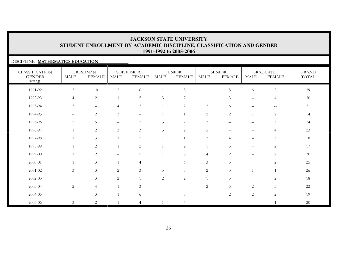### DISCIPLINE: **MATHEMATICS EDUCATION**

| <b>CLASSIFICATION</b><br><b>GENDER</b><br><b>YEAR</b> | MALE           | <b>FRESHMAN</b><br><b>FEMALE</b> | <b>MALE</b>    | SOPHOMORE<br><b>FEMALE</b>                          | MALE                     | <b>JUNIOR</b><br><b>FEMALE</b> | MALE              | <b>SENIOR</b><br><b>FEMALE</b> | MALE                                                | <b>GRADUATE</b><br><b>FEMALE</b> | <b>GRAND</b><br>$\operatorname{TOTAL}$ |
|-------------------------------------------------------|----------------|----------------------------------|----------------|-----------------------------------------------------|--------------------------|--------------------------------|-------------------|--------------------------------|-----------------------------------------------------|----------------------------------|----------------------------------------|
| 1991-92                                               | $\mathfrak{Z}$ | 10                               | $\sqrt{2}$     | 6                                                   |                          | 3                              |                   | 5                              | 6                                                   | $\overline{c}$                   | 39                                     |
| 1992-93                                               | $\overline{4}$ | $\overline{2}$                   | $\mathbf{1}$   | 5                                                   | $\mathfrak{Z}$           | 7                              |                   | 3                              | $- -$                                               | $\overline{4}$                   | 30                                     |
| 1993-94                                               | $\mathfrak{Z}$ | $\overline{\phantom{m}}$         | $\overline{4}$ | $\mathfrak{Z}$                                      | 1                        | $\sqrt{2}$                     | $\mathbf{2}$      | 6                              | $\overline{\phantom{m}}$                            | $\overline{\phantom{m}}$         | 21                                     |
| 1994-95                                               | $-\,-$         | $\mathbf{2}$                     | 3              | $\hspace{0.05cm} -\hspace{0.05cm} -\hspace{0.05cm}$ |                          |                                | $\mathbf{2}$      | $\overline{c}$                 |                                                     | $\sqrt{2}$                       | 14                                     |
| 1995-96                                               | 5              | 5                                | $\sim$ $\sim$  | $\mathbf{2}$                                        | $\mathfrak{Z}$           | $\mathbf{2}$                   | 2                 | $\qquad \qquad -$              | $\hspace{0.05cm} -\hspace{0.05cm} -\hspace{0.05cm}$ | 5                                | 24                                     |
| 1996-97                                               |                | $\overline{2}$                   | 3              | 3                                                   | 3                        | 2                              | 5                 | $\qquad \qquad -$              | $-\,-$                                              | $\overline{4}$                   | 23                                     |
| 1997-98                                               |                | 3                                | $\overline{1}$ | 2                                                   |                          |                                | 2                 | $\overline{4}$                 | —                                                   | 3                                | 18                                     |
| 1998-99                                               |                | $\mathbf{2}$                     |                | $\mathbf{2}$                                        |                          | $\sqrt{2}$                     |                   | 5                              |                                                     | $\sqrt{2}$                       | $17\,$                                 |
| 1999-00                                               |                | $\overline{2}$                   |                | 5                                                   |                          | 3                              | $\overline{4}$    | $\overline{2}$                 |                                                     | $\mathbf{2}$                     | 20                                     |
| 2000-01                                               |                | $\mathfrak{Z}$                   | $\mathbf{1}$   | 4                                                   | $\overline{\phantom{0}}$ | 6                              | $\mathfrak{Z}$    | 5                              | $\overline{\phantom{m}}$                            | $\overline{2}$                   | 25                                     |
| $2001 - 02$                                           | 3              | $\mathfrak{Z}$                   | 2              | 3                                                   | 3                        | 5                              | 2                 | 3                              |                                                     | $\mathbf{1}$                     | 26                                     |
| 2002-03                                               |                | $\mathfrak{Z}$                   | 2              | $\overline{1}$                                      | 2                        | $\overline{2}$                 |                   | 5                              | $\overline{\phantom{0}}$                            | $\overline{2}$                   | 18                                     |
| 2003-04                                               | $\overline{2}$ | $\overline{4}$                   |                | $\mathfrak{Z}$                                      |                          |                                | $\overline{c}$    | 5                              | $\overline{2}$                                      | $\mathfrak{Z}$                   | $22\,$                                 |
| 2004-05                                               | —              | $\mathfrak{Z}$                   |                | 6                                                   | $\overline{\phantom{0}}$ | 3                              | $\qquad \qquad -$ | 2                              | $\overline{2}$                                      | $\sqrt{2}$                       | 19                                     |
| 2005-06                                               | 3              | $\overline{2}$                   |                | 4                                                   |                          | $\overline{4}$                 | $\qquad \qquad -$ | $\overline{4}$                 | $- -$                                               |                                  | 20                                     |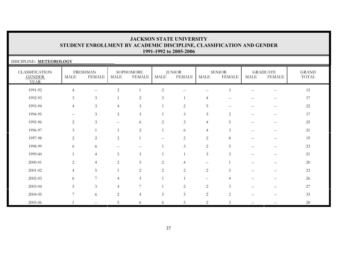| DISCIPLINE: METEOROLOGY                               |                                                     |                                  |                |                            |                 |                                |                          |                                |                                                     |                                                     |                       |
|-------------------------------------------------------|-----------------------------------------------------|----------------------------------|----------------|----------------------------|-----------------|--------------------------------|--------------------------|--------------------------------|-----------------------------------------------------|-----------------------------------------------------|-----------------------|
| <b>CLASSIFICATION</b><br><b>GENDER</b><br><b>YEAR</b> | <b>MALE</b>                                         | <b>FRESHMAN</b><br><b>FEMALE</b> | MALE           | SOPHOMORE<br><b>FEMALE</b> | <b>MALE</b>     | <b>JUNIOR</b><br><b>FEMALE</b> | <b>MALE</b>              | <b>SENIOR</b><br><b>FEMALE</b> | <b>MALE</b>                                         | <b>GRADUATE</b><br><b>FEMALE</b>                    | <b>GRAND</b><br>TOTAL |
| 1991-92                                               | $\overline{4}$                                      | $\mathbf{u}$                     | $\overline{c}$ |                            | $\mathbf{2}$    | $\overline{\phantom{m}}$       | $\sim$ $-$               | $\mathfrak{Z}$                 |                                                     | --                                                  | 12                    |
| 1992-93                                               | 3                                                   | $\mathfrak{Z}$                   |                | 2                          | 3               |                                | $\boldsymbol{\varDelta}$ |                                |                                                     |                                                     | 17                    |
| 1993-94                                               | $\overline{4}$                                      | 3 <sup>1</sup>                   | 4              | 3                          |                 | 2                              | 5                        | $ -$                           | --                                                  | $-\,-$                                              | $22\,$                |
| 1994-95                                               | $\hspace{0.05cm} -\hspace{0.05cm} -\hspace{0.05cm}$ | 3 <sup>1</sup>                   | 2              | $\mathfrak{Z}$             |                 | $\mathfrak{Z}$                 | 3                        | 2                              | $\hspace{0.05cm} -\hspace{0.05cm} -\hspace{0.05cm}$ | $\hspace{0.05cm} -\hspace{0.05cm} -\hspace{0.05cm}$ | 17                    |
| 1995-96                                               | 2                                                   | $\mathfrak{Z}$                   | $- -$          | 6                          | 2               | 3                              | $\overline{4}$           | 5                              | $\overline{\phantom{m}}$                            | $\overline{\phantom{m}}$                            | 25                    |
| 1996-97                                               | 3                                                   | $\overline{1}$                   |                | $\overline{2}$             |                 | 6                              | $\overline{4}$           | $\mathfrak{Z}$                 |                                                     | $-$                                                 | 21                    |
| 1997-98                                               | $\overline{2}$                                      | 2                                | $\overline{2}$ |                            |                 | $\overline{2}$                 | 2                        | 8                              |                                                     |                                                     | 19                    |
| 1998-99                                               | 6                                                   | 6                                |                |                            |                 | 3                              | 2                        | 5.                             |                                                     |                                                     | 23                    |
| 1999-00                                               |                                                     | $\overline{4}$                   | 5              | 3                          |                 |                                | 3                        | $\mathfrak{Z}$                 |                                                     | $\overline{\phantom{0}}$                            | 21                    |
| 2000-01                                               | $\overline{c}$                                      | $\overline{4}$                   | 2              | 5                          | 2               | 4                              |                          |                                |                                                     |                                                     | $20\,$                |
| 2001-02                                               | $\overline{4}$                                      | 5                                |                | $\overline{2}$             | 2               | 2                              | $\overline{2}$           | 5                              |                                                     |                                                     | 23                    |
| $2002 - 03$                                           | 6                                                   | $\overline{7}$                   | 4              | $\mathfrak{Z}$             |                 |                                |                          |                                |                                                     |                                                     | 26                    |
| 2003-04                                               | 5                                                   | $\mathfrak{Z}$                   | 4              | 7                          |                 | 2                              | 2                        | 3                              |                                                     |                                                     | $27\,$                |
| 2004-05                                               | 7                                                   | 6                                | $\overline{2}$ | $\overline{4}$             | $5\phantom{.0}$ | 5                              | $\overline{2}$           | 2                              |                                                     |                                                     | 33                    |
| 2005-06                                               |                                                     | $-$                              | 5              | 6                          | 6               | 5                              | 2                        | 3                              |                                                     |                                                     | 28                    |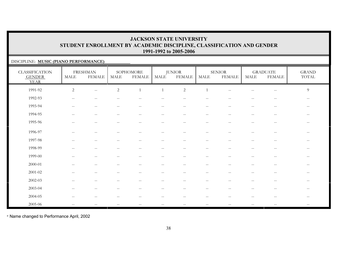### DISCIPLINE: **MUSIC (PIANO PERFORMANCE)**

| <b>CLASSIFICATION</b><br><b>GENDER</b><br><b>YEAR</b> | MALE                | <b>FRESHMAN</b><br><b>FEMALE</b>                    | <b>MALE</b>                                         | SOPHOMORE<br><b>FEMALE</b>                            | MALE                                                | <b>JUNIOR</b><br><b>FEMALE</b> | <b>MALE</b>              | <b>SENIOR</b><br><b>FEMALE</b>                      | MALE                                                | <b>GRADUATE</b><br><b>FEMALE</b>                    | <b>GRAND</b><br>TOTAL    |
|-------------------------------------------------------|---------------------|-----------------------------------------------------|-----------------------------------------------------|-------------------------------------------------------|-----------------------------------------------------|--------------------------------|--------------------------|-----------------------------------------------------|-----------------------------------------------------|-----------------------------------------------------|--------------------------|
| 1991-92                                               | $\overline{c}$      | $\overline{\phantom{m}}$                            | $\sqrt{2}$                                          |                                                       | $\mathbf{1}$                                        | $\overline{2}$                 | $\mathbf{1}$             | $\sim$ $\sim$                                       |                                                     | $\mathord{\hspace{1pt}\text{--}\hspace{1pt}}$       | $\overline{9}$           |
| 1992-93                                               | $\hspace{0.05cm} -$ | $\overline{\phantom{m}}$                            |                                                     |                                                       |                                                     |                                |                          |                                                     |                                                     | $- -$                                               | $\overline{\phantom{m}}$ |
| 1993-94                                               | $\mathbf{u}$        | $\sim$ $\sim$                                       | $\hspace{0.05cm} -\hspace{0.05cm} -\hspace{0.05cm}$ | $\hspace{0.05cm} -\hspace{0.05cm} -\hspace{0.05cm}$   | $\overline{\phantom{m}}$                            | $\overline{\phantom{a}}$       | $\overline{\phantom{a}}$ | $\hspace{0.05cm} -\hspace{0.05cm} -\hspace{0.05cm}$ | $-\,-$                                              | $\hspace{0.05cm} -\hspace{0.05cm} -\hspace{0.05cm}$ | $- -$                    |
| 1994-95                                               | $-\,-$              | $\hspace{0.05cm} -\hspace{0.05cm} -\hspace{0.05cm}$ | $- -$                                               | $\hspace{0.05cm} -\hspace{0.05cm} -\hspace{0.05cm}$   | $\hspace{0.05cm} -\hspace{0.05cm} -\hspace{0.05cm}$ | $\overline{\phantom{m}}$       | $\overline{\phantom{a}}$ | $\hspace{0.05cm} -\hspace{0.05cm} -\hspace{0.05cm}$ | $- -$                                               | $\hspace{0.05cm} -\hspace{0.05cm} -\hspace{0.05cm}$ | $\qquad \qquad -$        |
| 1995-96                                               | $\sim$ $\sim$       | $- -$                                               | $\overline{\phantom{a}}$                            | $\sim$ $\sim$                                         | $- -$                                               | $-$                            | $-$                      | --                                                  |                                                     | $\sim$ $-$                                          |                          |
| 1996-97                                               |                     |                                                     |                                                     |                                                       |                                                     |                                |                          |                                                     |                                                     |                                                     |                          |
| 1997-98                                               | $\sim$ $\sim$       | $\overline{\phantom{a}}$                            |                                                     | $\sim$                                                |                                                     | $-$                            | $-$                      |                                                     |                                                     | $-$                                                 | $ -$                     |
| 1998-99                                               | $\mathbf{u}$        | $\hspace{0.05cm} -\hspace{0.05cm} -\hspace{0.05cm}$ | $\hspace{0.05cm} -\hspace{0.05cm} -\hspace{0.05cm}$ | $\hspace{0.05cm} -\hspace{0.05cm} -\hspace{0.05cm}$   | $\overline{\phantom{m}}$                            | $\overline{\phantom{a}}$       | $\overline{\phantom{m}}$ | $\hspace{0.05cm} -\hspace{0.05cm} -\hspace{0.05cm}$ | $- -$                                               | $\overline{\phantom{m}}$                            | $- -$                    |
| 1999-00                                               | $\hspace{0.05cm} -$ | $\hspace{0.05cm} -\hspace{0.05cm} -\hspace{0.05cm}$ | $\overline{\phantom{a}}$                            | $\hspace{0.1mm}-\hspace{0.1mm}-\hspace{0.1mm}$        | $\overline{\phantom{m}}$                            | $\overline{\phantom{m}}$       | $\overline{\phantom{m}}$ | $\hspace{0.05cm} -\hspace{0.05cm} -\hspace{0.05cm}$ | $\overline{\phantom{m}}$                            | $-\,-$                                              | $\qquad \qquad -$        |
| 2000-01                                               | $\hspace{0.05cm} -$ | $\overline{\phantom{m}}$                            | $\overline{\phantom{m}}$                            | $\hspace{0.1mm}-\hspace{0.1mm}-\hspace{0.1mm}$        | $\qquad \qquad -$                                   | $\overline{\phantom{m}}$       | $\overline{\phantom{m}}$ | --                                                  |                                                     | $\overline{\phantom{m}}$                            |                          |
| 2001-02                                               | $\sim$              | $\overline{\phantom{m}}$                            |                                                     |                                                       |                                                     | $-$                            | $-$                      |                                                     |                                                     | $-$                                                 |                          |
| 2002-03                                               | $\sim$ $\sim$       | $\overline{\phantom{m}}$                            | $-$                                                 | $\hspace{0.05cm} -$                                   | $\qquad \qquad -$                                   | $-$                            | $\overline{\phantom{m}}$ | $\overline{a}$                                      |                                                     | $\sim$ $-$                                          | $\qquad \qquad -$        |
| 2003-04                                               | $-\,-$              | $\overline{\phantom{m}}$                            | $- -$                                               | $\hspace{0.05cm} - \hspace{0.05cm} - \hspace{0.05cm}$ | $\overline{\phantom{m}}$                            | $\overline{\phantom{m}}$       | $\overline{\phantom{m}}$ | $\hspace{0.05cm} -\hspace{0.05cm} -\hspace{0.05cm}$ | $\hspace{0.05cm} -\hspace{0.05cm} -\hspace{0.05cm}$ | $\overline{\phantom{m}}$                            | $\qquad \qquad -$        |
| 2004-05                                               |                     | $- -$                                               |                                                     | $-$                                                   |                                                     |                                | $- -$                    |                                                     |                                                     |                                                     | --                       |
| 2005-06                                               | $-\,-$              | $-\,-$                                              | $-\,-$                                              | $-\,-$                                                | $-\,-$                                              | $-\,-$                         | $- -$                    | $-\,-$                                              | $\overline{\phantom{m}}$                            | $-\,-$                                              | $- -$                    |

\* Name changed to Performance April, 2002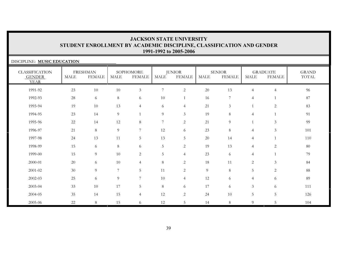| DISCIPLINE: MUSIC EDUCATION                           |             |                                  |        |                            |                |                                |                |                                |                |                                  |                       |
|-------------------------------------------------------|-------------|----------------------------------|--------|----------------------------|----------------|--------------------------------|----------------|--------------------------------|----------------|----------------------------------|-----------------------|
| <b>CLASSIFICATION</b><br><b>GENDER</b><br><b>YEAR</b> | <b>MALE</b> | <b>FRESHMAN</b><br><b>FEMALE</b> | MALE   | SOPHOMORE<br><b>FEMALE</b> | MALE           | <b>JUNIOR</b><br><b>FEMALE</b> | <b>MALE</b>    | <b>SENIOR</b><br><b>FEMALE</b> | MALE           | <b>GRADUATE</b><br><b>FEMALE</b> | <b>GRAND</b><br>TOTAL |
| 1991-92                                               | 23          | 10                               | $10\,$ | $\mathfrak{Z}$             | $\overline{7}$ | $\overline{c}$                 | $20\,$         | 13                             | $\overline{4}$ | $\overline{4}$                   | 96                    |
| 1992-93                                               | 28          | 6                                | 8      | 6                          | 10             | 1                              | 16             | 7                              | $\overline{4}$ |                                  | 87                    |
| 1993-94                                               | 19          | 10                               | 13     | $\overline{4}$             | 6              | $\overline{4}$                 | 21             | $\mathfrak{Z}$                 |                | $\overline{2}$                   | 83                    |
| 1994-95                                               | 23          | 14                               | 9      |                            | 9              | 3                              | 19             | 8                              | $\overline{4}$ | $\overline{1}$                   | 91                    |
| 1995-96                                               | 22          | 14                               | 12     | 8                          | 7              | 2                              | 21             | 9                              |                | 3                                | 99                    |
| 1996-97                                               | 21          | 8                                | 9      | 7                          | 12             | 6                              | 23             | 8                              | $\overline{4}$ | $\mathfrak{Z}$                   | 101                   |
| 1997-98                                               | 24          | 13                               | 11     | 5                          | 13             | $5\phantom{.0}$                | 20             | 14                             | $\overline{4}$ |                                  | 110                   |
| 1998-99                                               | 15          | 6                                | 8      | 6                          | 5              | $\overline{c}$                 | 19             | 13                             | $\overline{4}$ | $\overline{2}$                   | 80                    |
| 1999-00                                               | 15          | 9                                | 10     | $\mathbf{2}$               | 5              | $\overline{4}$                 | 23             | 6                              | $\overline{4}$ |                                  | 79                    |
| 2000-01                                               | 20          | 6                                | 10     | $\overline{4}$             | $8\,$          | $\overline{c}$                 | 18             | 11                             | 2              | 3                                | 84                    |
| 2001-02                                               | 30          | 9                                | 7      | 5                          | 11             | 2                              | $\overline{9}$ | 8                              | 5              | $\overline{2}$                   | 88                    |
| $2002 - 03$                                           | 25          | 6                                | 9      | 7                          | 10             | $\overline{4}$                 | 12             | 6                              | $\overline{4}$ | 6                                | 89                    |
| 2003-04                                               | 33          | 10                               | 17     | 5                          | 8              | 6                              | 17             | 6                              | $\mathfrak{Z}$ | 6                                | 111                   |
| 2004-05                                               | 35          | 14                               | 15     | $\overline{4}$             | 12             | $\overline{c}$                 | 24             | 10                             | 5              | $5\phantom{.0}$                  | 126                   |
| 2005-06                                               | 22          | 8                                | 15     | 6                          | 12             | 5                              | 14             | 8                              | 9              | 5                                | 104                   |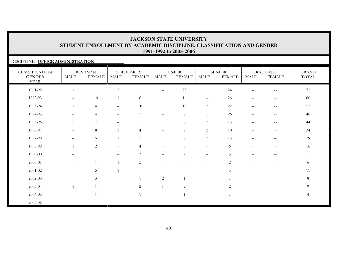### DISCIPLINE: **OFFICE ADMINISTRATION**

| <b>CLASSIFICATION</b><br><b>GENDER</b><br><b>YEAR</b> | MALE                     | <b>FRESHMAN</b><br><b>FEMALE</b> | <b>MALE</b>                                         | SOPHOMORE<br><b>FEMALE</b> | <b>MALE</b>              | <b>JUNIOR</b><br><b>FEMALE</b> | <b>MALE</b>              | <b>SENIOR</b><br><b>FEMALE</b> | MALE                                                  | <b>GRADUATE</b><br><b>FEMALE</b>               | <b>GRAND</b><br>TOTAL |
|-------------------------------------------------------|--------------------------|----------------------------------|-----------------------------------------------------|----------------------------|--------------------------|--------------------------------|--------------------------|--------------------------------|-------------------------------------------------------|------------------------------------------------|-----------------------|
| 1991-92                                               |                          | 11                               | $\sqrt{2}$                                          | 11                         | $- -$                    | $23\,$                         | 1                        | 24                             | $\qquad \qquad -$                                     | $\hspace{0.05cm}$ – $\hspace{0.05cm}$          | 73                    |
| 1992-93                                               | $\sim$ $\sim$            | 10                               | $\overline{1}$                                      | 6                          | $\mathbf{1}$             | 16                             | $--$                     | 26                             | $\hspace{0.05cm} - \hspace{0.05cm} - \hspace{0.05cm}$ | $\overline{\phantom{m}}$                       | 60                    |
| 1993-94                                               | $\mathbf{1}$             | $\overline{4}$                   | $\hspace{0.1mm}-\hspace{0.1mm}-\hspace{0.1mm}$      | 10                         | $\mathbf{1}$             | 13                             | 2                        | 22                             | $\sim$ $\sim$                                         | $\hspace{0.1mm}-\hspace{0.1mm}-\hspace{0.1mm}$ | 53                    |
| 1994-95                                               | $- -$                    | $\overline{4}$                   | $\hspace{0.05cm} -\hspace{0.05cm} -\hspace{0.05cm}$ | $\overline{7}$             | $\overline{\phantom{a}}$ | 5                              | $5\phantom{.0}$          | 26                             | $-\,-$                                                | $\hspace{0.1mm}-\hspace{0.1mm}-\hspace{0.1mm}$ | 46                    |
| 1995-96                                               | $\overline{2}$           | $\overline{7}$                   | $\hspace{0.05cm} -\hspace{0.05cm} -\hspace{0.05cm}$ | 11                         | 1                        | $8\,$                          | 2                        | 13                             | $\overline{\phantom{m}}$                              | $\hspace{0.05cm}$ – $\hspace{0.05cm}$          | 44                    |
| 1996-97                                               | $-\,-$                   | $\,8\,$                          | 3                                                   | $\overline{4}$             | $\overline{\phantom{m}}$ | 7                              | 2                        | 10                             | $\hspace{0.05cm} -$                                   | $\hspace{0.1mm}-\hspace{0.1mm}-\hspace{0.1mm}$ | 34                    |
| 1997-98                                               |                          | 5                                |                                                     | $\overline{2}$             |                          | 5                              | 2                        | 13                             | -                                                     | -                                              | 29                    |
| 1998-99                                               |                          | $\mathbf{2}$                     |                                                     | $\overline{4}$             | $\overline{\phantom{0}}$ | 3                              | $\qquad \qquad -$        | 6                              |                                                       |                                                | 16                    |
| 1999-00                                               | —                        | $\overline{1}$                   |                                                     | $\mathfrak{Z}$             | $\overline{\phantom{0}}$ | $\mathbf{2}$                   | $\qquad \qquad -$        | 5                              |                                                       |                                                | 11                    |
| 2000-01                                               | $\overline{\phantom{m}}$ |                                  | $\overline{1}$                                      | 2                          |                          |                                | $\qquad \qquad -$        | $\overline{2}$                 |                                                       |                                                | 6                     |
| 2001-02                                               | $\overline{\phantom{m}}$ | 5                                | $\overline{1}$                                      | $\overline{\phantom{0}}$   |                          |                                | $\qquad \qquad -$        | 5                              | $\overline{\phantom{0}}$                              | —                                              | 11                    |
| 2002-03                                               |                          | $\mathfrak{Z}$                   |                                                     | $\overline{1}$             | 2                        |                                | $\qquad \qquad -$        |                                | -                                                     |                                                | $8\,$                 |
| 2003-04                                               |                          | $\overline{1}$                   |                                                     | 2                          | $\mathbf{1}$             | 2                              | $\qquad \qquad -$        | 2                              |                                                       |                                                | 9                     |
| 2004-05                                               | $\overline{\phantom{0}}$ | $\overline{1}$                   |                                                     | $\overline{1}$             |                          |                                | $\overline{\phantom{m}}$ |                                |                                                       |                                                | $\overline{4}$        |
| 2005-06                                               | $-\,-$                   | $\qquad \qquad -$                |                                                     | $-$                        |                          | $\overline{\phantom{m}}$       | $\qquad \qquad -$        |                                | $\qquad \qquad -$                                     | $\overline{\phantom{m}}$                       | $\qquad \qquad -$     |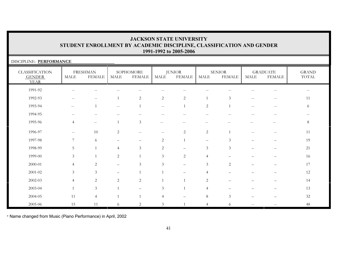| DISCIPLINE: PERFORMANCE                               |                          |                                  |                |                            |                          |                                |                          |                                |             |                                  |                       |
|-------------------------------------------------------|--------------------------|----------------------------------|----------------|----------------------------|--------------------------|--------------------------------|--------------------------|--------------------------------|-------------|----------------------------------|-----------------------|
| <b>CLASSIFICATION</b><br><b>GENDER</b><br><b>YEAR</b> | MALE                     | <b>FRESHMAN</b><br><b>FEMALE</b> | MALE           | SOPHOMORE<br><b>FEMALE</b> | <b>MALE</b>              | <b>JUNIOR</b><br><b>FEMALE</b> | MALE                     | <b>SENIOR</b><br><b>FEMALE</b> | <b>MALE</b> | <b>GRADUATE</b><br><b>FEMALE</b> | <b>GRAND</b><br>TOTAL |
| 1991-92                                               |                          |                                  |                |                            |                          |                                |                          |                                |             |                                  |                       |
| 1992-93                                               |                          | $-$                              |                | 2                          | $\overline{c}$           | 2                              | $\mathbf{1}$             | 3                              |             |                                  | 11                    |
| 1993-94                                               | $-$                      |                                  | --             |                            | $\overline{\phantom{a}}$ |                                | $\sqrt{2}$               |                                |             |                                  | 6                     |
| 1994-95                                               |                          |                                  |                |                            |                          |                                |                          |                                |             |                                  |                       |
| 1995-96                                               | $\overline{4}$           | $\sim$ $-$                       |                | 3                          |                          |                                |                          |                                |             |                                  | 8                     |
| 1996-97                                               | $\overline{\phantom{a}}$ | 10                               | $\overline{2}$ | $\qquad \qquad -$          |                          | 2                              | 2                        |                                |             |                                  | 11                    |
| 1997-98                                               |                          | 6                                |                |                            | 2                        |                                |                          | $\mathcal{Z}$                  |             |                                  | 19                    |
| 1998-99                                               | 5                        |                                  | 4              | 3                          | 2                        |                                | 3                        | 3                              |             |                                  | $21\,$                |
| 1999-00                                               | 3                        |                                  | $\overline{2}$ |                            | 3                        | 2                              | $\overline{4}$           |                                |             |                                  | 16                    |
| 2000-01                                               | $\overline{4}$           | 2                                |                | 3                          | 3                        |                                | 3                        | 2                              |             |                                  | 17                    |
| 2001-02                                               | 3                        | 3                                |                |                            |                          |                                | $\overline{\mathcal{A}}$ |                                |             |                                  | 12                    |
| $2002 - 03$                                           | $\overline{4}$           | $\overline{2}$                   | $\overline{2}$ | 2                          |                          |                                | 2                        |                                |             |                                  | 14                    |
| 2003-04                                               |                          | $\mathfrak{Z}$                   |                |                            | 3                        |                                | $\overline{4}$           |                                |             |                                  | 13                    |
| 2004-05                                               | 11                       | $\overline{4}$                   |                |                            | $\overline{4}$           |                                | $\,8\,$                  | 3                              |             |                                  | 32                    |
| 2005-06                                               | 15                       | 11                               | 6              | $\overline{2}$             | 3                        |                                | 4                        | 6.                             |             |                                  | 48                    |

\* Name changed from Music (Piano Performance) in April, 2002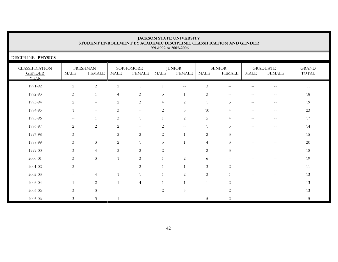DISCIPLINE: **PHYSICS** 

| <b>CLASSIFICATION</b><br><b>GENDER</b><br><b>YEAR</b> | <b>MALE</b>              | <b>FRESHMAN</b><br><b>FEMALE</b>                    | MALE           | SOPHOMORE<br><b>FEMALE</b>                          | <b>MALE</b>              | <b>JUNIOR</b><br><b>FEMALE</b>                      | MALE              | <b>SENIOR</b><br><b>FEMALE</b> | MALE                     | <b>GRADUATE</b><br><b>FEMALE</b>                    | <b>GRAND</b><br>TOTAL |
|-------------------------------------------------------|--------------------------|-----------------------------------------------------|----------------|-----------------------------------------------------|--------------------------|-----------------------------------------------------|-------------------|--------------------------------|--------------------------|-----------------------------------------------------|-----------------------|
| 1991-92                                               | $\sqrt{2}$               | $\sqrt{2}$                                          | $\overline{2}$ |                                                     |                          | $\overline{\phantom{m}}$                            | $\mathfrak{Z}$    |                                |                          | $\overline{\phantom{m}}$                            | 11                    |
| 1992-93                                               | $\mathfrak{Z}$           | $\mathbf{1}$                                        | $\overline{4}$ | $\mathfrak{Z}$                                      | $\mathfrak{Z}$           |                                                     | $\mathfrak{Z}$    |                                |                          | $- -$                                               | 18                    |
| 1993-94                                               | $\overline{c}$           | $\hspace{0.05cm} -\hspace{0.05cm} -\hspace{0.05cm}$ | 2              | $\mathfrak{Z}$                                      | $\overline{4}$           | $\mathbf{2}$                                        |                   | 5                              | $\overline{\phantom{m}}$ | $\hspace{0.05cm} -\hspace{0.05cm} -\hspace{0.05cm}$ | 19                    |
| 1994-95                                               |                          | $\hspace{0.05cm} -\hspace{0.05cm} -\hspace{0.05cm}$ | 3              | $\mathord{\hspace{1pt}\text{--}\hspace{1pt}}$       | 2                        | $\mathfrak{Z}$                                      | 10                | $\overline{4}$                 | $- -$                    | $\overline{\phantom{m}}$                            | $23\,$                |
| 1995-96                                               | $- -$                    | $\mathbf{1}$                                        | 3              |                                                     | $\mathbf{1}$             | $\mathbf{2}$                                        | 5                 | 4                              | $\overline{\phantom{a}}$ | $\hspace{0.05cm} -\hspace{0.05cm} -\hspace{0.05cm}$ | 17                    |
| 1996-97                                               | 2                        | 2                                                   | 2              | $\hspace{0.05cm} -\hspace{0.05cm} -\hspace{0.05cm}$ | 2                        | $\hspace{0.05cm} -\hspace{0.05cm} -\hspace{0.05cm}$ | $\mathbf{1}$      | 5                              | $- -$                    | $- -$                                               | 14                    |
| 1997-98                                               | 3 <sup>7</sup>           | $\overline{\phantom{0}}$                            | $\mathbf{2}$   | $\overline{c}$                                      | $\overline{2}$           | 1                                                   | $\sqrt{2}$        | 3                              |                          |                                                     | 15                    |
| 1998-99                                               | $\mathfrak{Z}$           | $\mathfrak{Z}$                                      | 2              |                                                     | $\mathfrak{Z}$           |                                                     | $\overline{4}$    | 3                              | $\overline{\phantom{0}}$ | $\qquad \qquad -$                                   | $20\,$                |
| 1999-00                                               | 3                        | $\overline{4}$                                      | 2              | $\overline{c}$                                      | 2                        | -                                                   | 2                 | 3                              |                          |                                                     | 18                    |
| 2000-01                                               | $\mathfrak{Z}$           | 3                                                   | $\overline{1}$ | $\mathfrak{Z}$                                      |                          | $\sqrt{2}$                                          | 6                 |                                |                          |                                                     | 19                    |
| $2001 - 02$                                           | $\overline{c}$           | $\overline{\phantom{m}}$                            |                | 2                                                   |                          |                                                     | $\mathfrak{Z}$    | 2                              |                          | $\qquad \qquad -$                                   | 11                    |
| 2002-03                                               | $\overline{\phantom{0}}$ | $\overline{4}$                                      | $\mathbf{1}$   |                                                     |                          | $\mathbf{2}$                                        | $\mathfrak{Z}$    | $\overline{1}$                 |                          | $\qquad \qquad -$                                   | 13                    |
| 2003-04                                               |                          | 2                                                   | $\mathbf{1}$   | $\overline{4}$                                      |                          | $\overline{1}$                                      |                   | 2                              |                          | $\overline{\phantom{0}}$                            | 13                    |
| 2005-06                                               | $\mathfrak{Z}$           | 3                                                   |                |                                                     | 2                        | $\mathfrak{Z}$                                      | $\qquad \qquad -$ | 2                              |                          |                                                     | 13                    |
| 2005-06                                               | 3                        | 3                                                   |                |                                                     | $\overline{\phantom{m}}$ | $- -$                                               | 5                 | 2                              | $\overline{\phantom{m}}$ | $\qquad \qquad -$                                   | 15                    |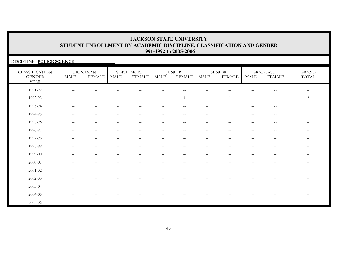| DISCIPLINE: POLICE SCIENCE                            |                                                     |                                                |                          |                            |                          |                         |                                                     |                                |                                                |                                                |                              |
|-------------------------------------------------------|-----------------------------------------------------|------------------------------------------------|--------------------------|----------------------------|--------------------------|-------------------------|-----------------------------------------------------|--------------------------------|------------------------------------------------|------------------------------------------------|------------------------------|
| <b>CLASSIFICATION</b><br><b>GENDER</b><br><b>YEAR</b> | MALE                                                | <b>FRESHMAN</b><br><b>FEMALE</b>               | <b>MALE</b>              | SOPHOMORE<br><b>FEMALE</b> | MALE                     | <b>JUNIOR</b><br>FEMALE | $\operatorname{MALE}$                               | <b>SENIOR</b><br><b>FEMALE</b> | MALE                                           | <b>GRADUATE</b><br><b>FEMALE</b>               | <b>GRAND</b><br><b>TOTAL</b> |
| 1991-92                                               | $-$                                                 |                                                |                          |                            |                          |                         |                                                     |                                |                                                | $-$                                            | $\qquad \qquad -$            |
| 1992-93                                               |                                                     |                                                |                          |                            | $\qquad \qquad -$        |                         | $\hspace{0.05cm} -\hspace{0.05cm} -\hspace{0.05cm}$ |                                | $\hspace{0.05cm} -$                            | $-\,-$                                         | $\sqrt{2}$                   |
| 1993-94                                               | $\sim$ $\sim$                                       | $-$                                            | $-$                      | $-$                        | $-$                      | $- -$                   | $\mathbf{u}$                                        |                                | $\sim$ $\sim$                                  | $\hspace{0.1mm}-\hspace{0.1mm}-\hspace{0.1mm}$ |                              |
| 1994-95                                               | $\hspace{0.05cm} -\hspace{0.05cm} -\hspace{0.05cm}$ | $\sim$ $-$                                     | $\qquad \qquad -$        | $- -$                      | $\qquad \qquad -$        | $\qquad \qquad -$       | $\overline{\phantom{m}}$                            |                                | $\hspace{0.1mm}-\hspace{0.1mm}-\hspace{0.1mm}$ | $\hspace{0.1mm}-\hspace{0.1mm}-\hspace{0.1mm}$ |                              |
| 1995-96                                               | $\mathbf{u}$                                        | $\sim$ $-$                                     | $- -$                    | $\sim$ $\sim$              | $\sim$ $\sim$            | $\sim$ $\sim$           | $\sim$ $\sim$                                       | $- -$                          | $\sim$ $\sim$                                  | $\mathord{\hspace{1pt}\text{--}\hspace{1pt}}$  | $- -$                        |
| 1996-97                                               | $\overline{\phantom{a}}$                            | $\hspace{0.1mm}-\hspace{0.1mm}-\hspace{0.1mm}$ | $\overline{\phantom{m}}$ | $- -$                      | $\qquad \qquad -$        | $--$                    | $\overline{\phantom{m}}$                            | $\overline{\phantom{m}}$       | $\hspace{0.05cm} -$                            | $\mathord{\hspace{1pt}\text{--}\hspace{1pt}}$  | $--$                         |
| 1997-98                                               |                                                     |                                                |                          |                            |                          |                         |                                                     |                                |                                                |                                                |                              |
| 1998-99                                               |                                                     |                                                |                          |                            |                          |                         |                                                     |                                |                                                |                                                | --                           |
| 1999-00                                               |                                                     |                                                |                          |                            |                          |                         |                                                     |                                |                                                |                                                | --                           |
| 2000-01                                               |                                                     |                                                |                          |                            | $\overline{\phantom{0}}$ |                         |                                                     |                                |                                                |                                                | $--$                         |
| 2001-02                                               |                                                     |                                                | $\qquad \qquad -$        | --                         | -                        |                         |                                                     |                                |                                                |                                                | $--$                         |
| 2002-03                                               |                                                     |                                                |                          |                            |                          |                         |                                                     |                                |                                                |                                                | $\overline{\phantom{m}}$     |
| 2003-04                                               |                                                     |                                                |                          |                            |                          |                         |                                                     |                                |                                                |                                                | $- -$                        |
| 2004-05                                               |                                                     |                                                |                          |                            |                          |                         |                                                     |                                |                                                |                                                | --                           |
| 2005-06                                               | $\sim$ $\sim$                                       | $-$                                            |                          | $- -$                      |                          | $\qquad \qquad -$       | $\qquad \qquad -$                                   |                                | $\hspace{0.05cm} -$                            |                                                |                              |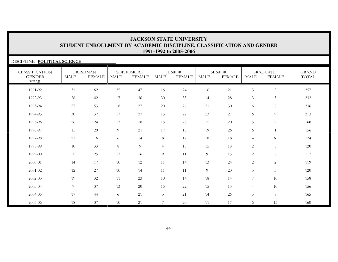| DISCIPLINE: POLITICAL SCIENCE                         |                |                                  |                       |                            |                |                                |             |                                |                          |                                  |                       |
|-------------------------------------------------------|----------------|----------------------------------|-----------------------|----------------------------|----------------|--------------------------------|-------------|--------------------------------|--------------------------|----------------------------------|-----------------------|
| <b>CLASSIFICATION</b><br><b>GENDER</b><br><b>YEAR</b> | <b>MALE</b>    | <b>FRESHMAN</b><br><b>FEMALE</b> | $\operatorname{MALE}$ | SOPHOMORE<br><b>FEMALE</b> | <b>MALE</b>    | <b>JUNIOR</b><br><b>FEMALE</b> | <b>MALE</b> | <b>SENIOR</b><br><b>FEMALE</b> | <b>MALE</b>              | <b>GRADUATE</b><br><b>FEMALE</b> | <b>GRAND</b><br>TOTAL |
| 1991-92                                               | 31             | 62                               | 35                    | 47                         | 16             | 24                             | 16          | 21                             | $\mathfrak{Z}$           | $\sqrt{2}$                       | 257                   |
| 1992-93                                               | 26             | 42                               | 17                    | 36                         | $30\,$         | 33                             | 14          | $28\,$                         | $\mathfrak{Z}$           | $\mathfrak{Z}$                   | 232                   |
| 1993-94                                               | 27             | 53                               | 18                    | 27                         | $20\,$         | 26                             | 21          | 30                             | 6                        | 8                                | 236                   |
| 1994-95                                               | 30             | 37                               | 17                    | 27                         | 15             | 22                             | 23          | 27                             | 6                        | 9                                | 213                   |
| 1995-96                                               | 26             | 24                               | 17                    | 18                         | 15             | 26                             | 15          | 20                             | 5                        | 2                                | 168                   |
| 1996-97                                               | 15             | 29                               | 9                     | 21                         | 17             | 13                             | 19          | 26                             | 6                        | 1                                | 156                   |
| 1997-98                                               | 21             | 16                               | 6                     | 14                         | $8\,$          | 17                             | 18          | 18                             | $\overline{\phantom{m}}$ | 6                                | 124                   |
| 1998-99                                               | 10             | 33                               | 8                     | 9                          | $\overline{4}$ | 13                             | 15          | 18                             | $\overline{2}$           | $\,8\,$                          | 120                   |
| 1999-00                                               | $\overline{7}$ | 25                               | 17                    | 16                         | 9              | 11                             | 9           | 15                             | 2                        | 5                                | 117                   |
| 2000-01                                               | 14             | 17                               | 10                    | 12                         | 11             | 14                             | 13          | 24                             | 2                        | $\overline{2}$                   | 119                   |
| 2001-02                                               | 12             | $27\,$                           | 10                    | 14                         | 11             | 11                             | 9           | $20\,$                         | 3                        | 3                                | 120                   |
| 2002-03                                               | 19             | $32\,$                           | 11                    | 23                         | 10             | 14                             | 18          | 14                             | 7                        | 10                               | 158                   |
| 2003-04                                               | 7              | 37                               | 13                    | 20                         | 15             | 22                             | 15          | 13                             | $\overline{4}$           | 10                               | 156                   |
| 2004-05                                               | 17             | 44                               | 6                     | 21                         | $\mathfrak{Z}$ | 21                             | 14          | 26                             | $5\phantom{.0}$          | $\,8\,$                          | 165                   |
| 2005-06                                               | 18             | 37                               | 10                    | 21                         | $\overline{7}$ | 20                             | 11          | 17                             | 6                        | 13                               | 160                   |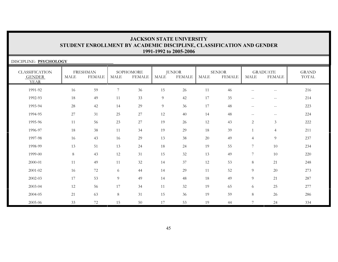| DISCIPLINE: PSYCHOLOGY                                |             |                                  |                |                            |             |                                |             |                                |                |                                  |                       |
|-------------------------------------------------------|-------------|----------------------------------|----------------|----------------------------|-------------|--------------------------------|-------------|--------------------------------|----------------|----------------------------------|-----------------------|
| <b>CLASSIFICATION</b><br><b>GENDER</b><br><b>YEAR</b> | <b>MALE</b> | <b>FRESHMAN</b><br><b>FEMALE</b> | MALE           | SOPHOMORE<br><b>FEMALE</b> | <b>MALE</b> | <b>JUNIOR</b><br><b>FEMALE</b> | <b>MALE</b> | <b>SENIOR</b><br><b>FEMALE</b> | <b>MALE</b>    | <b>GRADUATE</b><br><b>FEMALE</b> | <b>GRAND</b><br>TOTAL |
| 1991-92                                               | 16          | 59                               | $\overline{7}$ | 36                         | 15          | 26                             | 11          | 46                             | $\mathbf{u}$   | $- -$                            | 216                   |
| 1992-93                                               | 18          | 49                               | 11             | 33                         | 9           | 42                             | 17          | 35                             | $\sim$ $\sim$  | $- -$                            | 214                   |
| 1993-94                                               | 28          | 42                               | 14             | 29                         | 9           | 36                             | 17          | 48                             | $\mathbf{u}$   | $--$                             | 223                   |
| 1994-95                                               | 27          | 31                               | 25             | 27                         | 12          | 40                             | 14          | 48                             | $--$           | $--$                             | 224                   |
| 1995-96                                               | 11          | 56                               | 23             | 27                         | 19          | 26                             | 12          | 43                             | $\overline{2}$ | $\mathfrak{Z}$                   | 222                   |
| 1996-97                                               | 18          | 38                               | 11             | 34                         | 19          | 29                             | 18          | 39                             |                | $\overline{4}$                   | 211                   |
| 1997-98                                               | 16          | 43                               | 16             | 29                         | 13          | 38                             | $20\,$      | 49                             | $\overline{4}$ | 9                                | 237                   |
| 1998-99                                               | 13          | 51                               | 13             | 24                         | 18          | 24                             | 19          | 55                             | $\overline{7}$ | 10                               | 234                   |
| 1999-00                                               | $\,8\,$     | 43                               | 12             | 31                         | 15          | 32                             | 13          | 49                             | $\overline{7}$ | 10                               | 220                   |
| 2000-01                                               | 11          | 49                               | 11             | 32                         | 14          | 37                             | 12          | 53                             | $\,8\,$        | 21                               | 248                   |
| $2001 - 02$                                           | 16          | 72                               | 6              | 44                         | 14          | 29                             | 11          | 52                             | $\overline{9}$ | 20                               | 273                   |
| 2002-03                                               | 17          | 53                               | 9              | 49                         | 14          | 48                             | 18          | 49                             | $\overline{9}$ | 21                               | 287                   |
| 2003-04                                               | 12          | 56                               | 17             | 34                         | 11          | 32                             | 19          | 65                             | 6              | 25                               | 277                   |
| 2004-05                                               | 21          | 63                               | 8              | 31                         | 15          | 36                             | 19          | 59                             | 8              | 26                               | 286                   |
| 2005-06                                               | 33          | 72                               | 15             | 50                         | 17          | 53                             | 19          | 44                             | $\overline{7}$ | 24                               | 334                   |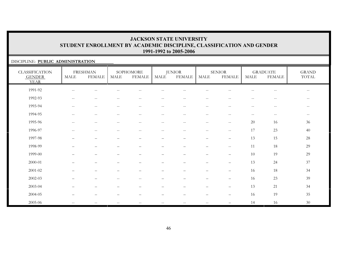### DISCIPLINE: **PUBLIC ADMINISTRATION**

| <b>CLASSIFICATION</b><br><b>GENDER</b><br><b>YEAR</b> | <b>MALE</b>                                         | <b>FRESHMAN</b><br><b>FEMALE</b>                    | <b>MALE</b>                                           | SOPHOMORE<br><b>FEMALE</b>                            | <b>MALE</b>              | <b>JUNIOR</b><br><b>FEMALE</b>  | <b>MALE</b>                                         | <b>SENIOR</b><br><b>FEMALE</b>                      | <b>MALE</b>       | <b>GRADUATE</b><br><b>FEMALE</b>                      | <b>GRAND</b><br>TOTAL |
|-------------------------------------------------------|-----------------------------------------------------|-----------------------------------------------------|-------------------------------------------------------|-------------------------------------------------------|--------------------------|---------------------------------|-----------------------------------------------------|-----------------------------------------------------|-------------------|-------------------------------------------------------|-----------------------|
| 1991-92                                               | $\sim$ $\sim$                                       | $- -$                                               |                                                       |                                                       |                          |                                 |                                                     |                                                     | $-$               | $\qquad \qquad -$                                     | $--$                  |
| 1992-93                                               | $\hspace{0.05cm} -\hspace{0.05cm} -\hspace{0.05cm}$ | $--$                                                | $\hspace{0.05cm}$ – $\hspace{0.05cm}$                 | $\hspace{0.05cm}$ – $\hspace{0.05cm}$                 | $\overline{\phantom{m}}$ | $\qquad \qquad -$               | $\overline{\phantom{m}}$                            | $\hspace{0.05cm}$ – $\hspace{0.05cm}$               | $\qquad \qquad -$ | $\hspace{0.05cm} - \hspace{0.05cm} - \hspace{0.05cm}$ | $- -$                 |
| 1993-94                                               | $\hspace{0.05cm} -\hspace{0.05cm} -\hspace{0.05cm}$ | $\overline{\phantom{m}}$                            | $\sim$ $\sim$                                         | $\qquad \qquad -$                                     | $\overline{\phantom{m}}$ | $\overline{\phantom{a}}$        | $\hspace{0.05cm} -\hspace{0.05cm} -\hspace{0.05cm}$ | $\mathord{\hspace{1pt}\text{--}\hspace{1pt}}$       | $\qquad \qquad -$ | $\sim$ $-$                                            | $--$                  |
| 1994-95                                               | $\hspace{0.05cm} -\hspace{0.05cm} -\hspace{0.05cm}$ | $\overline{\phantom{m}}$                            | $\hspace{0.05cm} -$                                   | $\hspace{0.05cm} - \hspace{0.05cm} - \hspace{0.05cm}$ | $\overline{\phantom{a}}$ | $\overline{\phantom{m}}$        | $--$                                                | $\overline{\phantom{m}}$                            | $-\,-$            | $\overline{\phantom{m}}$                              | $--$                  |
| 1995-96                                               | $\hspace{0.05cm} -\hspace{0.05cm} -\hspace{0.05cm}$ | $--$                                                | $\hspace{0.05cm} - \hspace{0.05cm} - \hspace{0.05cm}$ | $\hspace{0.05cm} - \hspace{0.05cm} - \hspace{0.05cm}$ | $\overline{\phantom{m}}$ | $\overline{\phantom{a}}$        | $\hspace{0.05cm} -\hspace{0.05cm} -\hspace{0.05cm}$ | $\hspace{0.05cm} -\hspace{0.05cm} -\hspace{0.05cm}$ | 20                | 16                                                    | 36                    |
| 1996-97                                               | $\overline{\phantom{a}}$                            | $\hspace{0.05cm} -\hspace{0.05cm} -\hspace{0.05cm}$ | $\sim$                                                | $\sim$ $\sim$                                         | $\overline{\phantom{m}}$ | $\overline{\phantom{m}}$        | $--$                                                | $\sim$ $\sim$                                       | 17                | 23                                                    | 40                    |
| 1997-98                                               |                                                     | $\overline{\phantom{m}}$                            |                                                       | -                                                     | —                        | $\overbrace{\phantom{1232211}}$ | $\qquad \qquad -$                                   | $\overline{\phantom{m}}$                            | 13                | 15                                                    | 28                    |
| 1998-99                                               |                                                     | —                                                   |                                                       |                                                       | -                        |                                 | $\qquad \qquad -$                                   | $\hspace{0.05cm} -\hspace{0.05cm} -\hspace{0.05cm}$ | 11                | 18                                                    | 29                    |
| 1999-00                                               |                                                     | $\overline{\phantom{0}}$                            |                                                       |                                                       |                          |                                 | $\qquad \qquad -$                                   | $\overline{\phantom{m}}$                            | 10                | 19                                                    | 29                    |
| 2000-01                                               |                                                     |                                                     |                                                       |                                                       |                          |                                 | $\overline{\phantom{0}}$                            | $\overline{\phantom{m}}$                            | 13                | 24                                                    | 37                    |
| 2001-02                                               |                                                     | -                                                   |                                                       |                                                       |                          |                                 |                                                     | $\overline{\phantom{m}}$                            | 16                | 18                                                    | 34                    |
| 2002-03                                               |                                                     | $\overline{\phantom{0}}$                            | $-$                                                   | $\hspace{0.05cm} -$                                   | -                        | $\overline{\phantom{0}}$        | $\qquad \qquad -$                                   | $\overline{\phantom{m}}$                            | 16                | 23                                                    | 39                    |
| 2003-04                                               |                                                     |                                                     |                                                       |                                                       |                          |                                 |                                                     | $\overline{\phantom{m}}$                            | 13                | 21                                                    | 34                    |
| 2004-05                                               |                                                     | —                                                   |                                                       |                                                       |                          |                                 | $\overline{\phantom{0}}$                            | $\qquad \qquad -$                                   | 16                | 19                                                    | 35                    |
| 2005-06                                               |                                                     |                                                     |                                                       |                                                       |                          |                                 |                                                     |                                                     | 14                | 16                                                    | 30                    |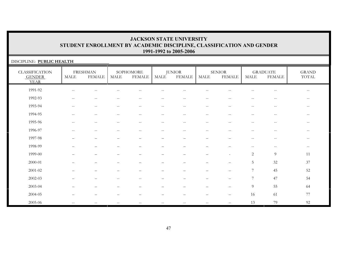| DISCIPLINE: PUBLIC HEALTH                             |                                                     |                                                       |                          |                            |                   |                                                     |                          |                                |                   |                                  |                                                       |
|-------------------------------------------------------|-----------------------------------------------------|-------------------------------------------------------|--------------------------|----------------------------|-------------------|-----------------------------------------------------|--------------------------|--------------------------------|-------------------|----------------------------------|-------------------------------------------------------|
| <b>CLASSIFICATION</b><br><b>GENDER</b><br><b>YEAR</b> | MALE                                                | <b>FRESHMAN</b><br><b>FEMALE</b>                      | MALE                     | SOPHOMORE<br><b>FEMALE</b> | MALE              | <b>JUNIOR</b><br>FEMALE                             | <b>MALE</b>              | <b>SENIOR</b><br><b>FEMALE</b> | <b>MALE</b>       | <b>GRADUATE</b><br><b>FEMALE</b> | <b>GRAND</b><br>TOTAL                                 |
| 1991-92                                               |                                                     |                                                       |                          |                            |                   |                                                     |                          |                                |                   |                                  | $\sim$ $-$                                            |
| 1992-93                                               | $- -$                                               | $-$                                                   |                          |                            | $-$               | $-$                                                 |                          |                                |                   | --                               | $\mathrel{{-}{-}}$                                    |
| 1993-94                                               | $\sim$ $\sim$                                       | $\sim$ $-$                                            | $\sim$ $\sim$            | $\qquad \qquad -$          | $--$              | $\mathbf{u}$                                        | $\sim$ $-$               | $\sim$ $\sim$                  | $\qquad \qquad -$ | $-\,-$                           | $--$                                                  |
| 1994-95                                               | $\hspace{0.05cm} -\hspace{0.05cm} -\hspace{0.05cm}$ | $\hspace{0.05cm} - \hspace{0.05cm} - \hspace{0.05cm}$ | $\overline{\phantom{m}}$ | $\qquad \qquad -$          | $-\,-$            | $\hspace{0.05cm} -\hspace{0.05cm} -\hspace{0.05cm}$ | $\sim$ $-$               | $\overline{\phantom{m}}$       | $\qquad \qquad -$ | $-\,-$                           | $--$                                                  |
| 1995-96                                               | $-$                                                 | $- -$                                                 | $-$                      | $-$                        | $-$               | $\sim$ $\sim$                                       | $-$                      | $- -$                          | $-$               | $-$                              | $--$                                                  |
| 1996-97                                               | $-$                                                 | $-$                                                   |                          | $-$                        | $-$               | $\sim$ $-$                                          | $-$                      | $-$                            | $- -$             | $-$                              | $\hspace{0.05cm} - \hspace{0.05cm} - \hspace{0.05cm}$ |
| 1997-98                                               |                                                     |                                                       |                          |                            |                   |                                                     |                          |                                | $-$               | $-$                              | $\overline{\phantom{m}}$                              |
| 1998-99                                               |                                                     |                                                       |                          |                            |                   |                                                     |                          |                                | $-$               | $-$                              | $\overline{\phantom{m}}$                              |
| 1999-00                                               |                                                     |                                                       |                          |                            |                   |                                                     |                          | ٠                              | $\overline{2}$    | 9                                | 11                                                    |
| 2000-01                                               |                                                     |                                                       |                          |                            | $\qquad \qquad -$ |                                                     |                          | —                              | 5                 | 32                               | 37                                                    |
| $2001 - 02$                                           |                                                     |                                                       |                          |                            |                   |                                                     |                          | $\overline{\phantom{0}}$       | 7                 | 45                               | 52                                                    |
| $2002 - 03$                                           |                                                     |                                                       |                          | --                         |                   |                                                     |                          |                                | $\overline{7}$    | 47                               | 54                                                    |
| 2003-04                                               |                                                     |                                                       |                          |                            |                   |                                                     |                          | $\overline{\phantom{0}}$       | $\overline{9}$    | 55                               | 64                                                    |
| 2004-05                                               |                                                     |                                                       |                          |                            |                   |                                                     |                          | —                              | 16                | 61                               | $77\,$                                                |
| 2005-06                                               | $-\,-$                                              | $\hspace{0.05cm} -\hspace{0.05cm} -\hspace{0.05cm}$   | $\overline{\phantom{m}}$ | $-\,-$                     | $-\,-$            | $\overline{\phantom{m}}$                            | $\overline{\phantom{m}}$ |                                | 13                | 79                               | 92                                                    |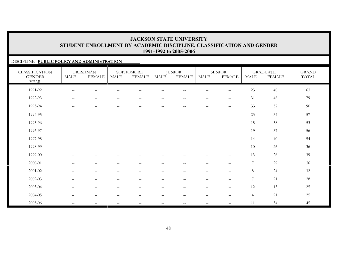### DISCIPLINE: **PUBLIC POLICY AND ADMINISTRATION**

| <b>CLASSIFICATION</b><br><b>GENDER</b><br><b>YEAR</b> | <b>MALE</b>                                         | <b>FRESHMAN</b><br><b>FEMALE</b> | MALE                                                | SOPHOMORE<br><b>FEMALE</b> | <b>MALE</b>              | <b>JUNIOR</b><br><b>FEMALE</b>                      | <b>MALE</b>              | <b>SENIOR</b><br><b>FEMALE</b>                      | <b>MALE</b>     | <b>GRADUATE</b><br><b>FEMALE</b> | <b>GRAND</b><br>$\operatorname{TOTAL}$ |
|-------------------------------------------------------|-----------------------------------------------------|----------------------------------|-----------------------------------------------------|----------------------------|--------------------------|-----------------------------------------------------|--------------------------|-----------------------------------------------------|-----------------|----------------------------------|----------------------------------------|
| 1991-92                                               | $\hspace{0.05cm} -\hspace{0.05cm} -\hspace{0.05cm}$ |                                  |                                                     |                            |                          |                                                     |                          | $-$                                                 | 23              | 40                               | 63                                     |
| 1992-93                                               | $\hspace{0.05cm} -$                                 | $\overline{\phantom{a}}$         | $-$                                                 | $\sim$ $\sim$              | $\qquad \qquad -$        | $\qquad \qquad -$                                   | $\overline{\phantom{m}}$ | $\sim$ $\sim$                                       | 31              | 48                               | 79                                     |
| 1993-94                                               | $\overline{\phantom{m}}$                            | $--$                             | $\hspace{0.05cm} -\hspace{0.05cm} -\hspace{0.05cm}$ | $\overline{\phantom{m}}$   | $--$                     | $\overline{\phantom{m}}$                            | $--$                     | $\overline{\phantom{m}}$                            | 33              | 57                               | 90                                     |
| 1994-95                                               | $\hspace{0.05cm} -$                                 | $- -$                            | --                                                  | $\sim$                     | $-$                      | $\qquad \qquad -$                                   | $-$                      | $-\,-$                                              | 23              | 34                               | 57                                     |
| 1995-96                                               | $-$                                                 | $-$                              | --                                                  | $\sim$                     | $-$                      | $\qquad \qquad -$                                   | $-$                      | $\hspace{0.05cm} -\hspace{0.05cm} -\hspace{0.05cm}$ | 15              | 38                               | 53                                     |
| 1996-97                                               | $\sim$ $\sim$                                       | $--$                             | $\overline{\phantom{a}}$                            | $\mathbf{u}$               | $\mathbf{u}$             | $\overline{\phantom{m}}$                            | $- -$                    | $\sim$ $\sim$                                       | 19              | 37                               | 56                                     |
| 1997-98                                               |                                                     |                                  |                                                     |                            | $\overline{\phantom{0}}$ |                                                     | $\overline{\phantom{0}}$ |                                                     | 14              | 40                               | 54                                     |
| 1998-99                                               |                                                     |                                  |                                                     |                            |                          |                                                     |                          | $\overline{\phantom{0}}$                            | 10              | 26                               | 36                                     |
| 1999-00                                               |                                                     |                                  |                                                     |                            |                          |                                                     |                          | $\overline{\phantom{0}}$                            | 13              | 26                               | 39                                     |
| 2000-01                                               | $- -$                                               | $--$                             | $\hspace{0.05cm} -\hspace{0.05cm} -\hspace{0.05cm}$ | $-\,-$                     | $--$                     | $\hspace{0.05cm} -\hspace{0.05cm} -\hspace{0.05cm}$ | $\overline{\phantom{m}}$ | $ -$                                                | $7\phantom{.0}$ | 29                               | 36                                     |
| 2001-02                                               | $\qquad \qquad -$                                   | $\qquad \qquad -$                | $\overline{\phantom{0}}$                            | $\overline{\phantom{0}}$   | $\overline{\phantom{0}}$ | $\overline{\phantom{0}}$                            | $\qquad \qquad -$        | $\overbrace{\phantom{1232211}}$                     | 8               | 24                               | 32                                     |
| $2002 - 03$                                           | $\overline{\phantom{0}}$                            | $\qquad \qquad -$                | $\hspace{0.05cm} -\hspace{0.05cm} -\hspace{0.05cm}$ | $\sim$                     | —                        | $\overline{\phantom{0}}$                            | $\overline{\phantom{0}}$ | $\overline{\phantom{0}}$                            | $\overline{7}$  | 21                               | 28                                     |
| 2003-04                                               |                                                     |                                  |                                                     |                            |                          |                                                     |                          | $\overline{\phantom{0}}$                            | 12              | 13                               | 25                                     |
| 2004-05                                               |                                                     |                                  |                                                     |                            |                          |                                                     |                          |                                                     | $\overline{4}$  | 21                               | 25                                     |
| 2005-06                                               | $- -$                                               | $\frac{1}{2}$                    | <u></u>                                             | $\sim$ $\sim$              |                          | $\frac{1}{2}$                                       | $\overline{\phantom{m}}$ | $\overline{\phantom{0}}$                            | 11              | 34                               | 45                                     |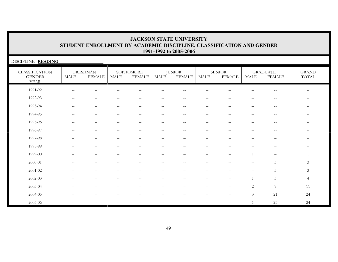| DISCIPLINE: READING                                   |       |                                  |                   |                                                       |                                                       |                                |                          |                                |                     |                                                       |                                                       |
|-------------------------------------------------------|-------|----------------------------------|-------------------|-------------------------------------------------------|-------------------------------------------------------|--------------------------------|--------------------------|--------------------------------|---------------------|-------------------------------------------------------|-------------------------------------------------------|
| <b>CLASSIFICATION</b><br><b>GENDER</b><br><b>YEAR</b> | MALE  | <b>FRESHMAN</b><br><b>FEMALE</b> | MALE              | SOPHOMORE<br><b>FEMALE</b>                            | MALE                                                  | <b>JUNIOR</b><br><b>FEMALE</b> | MALE                     | <b>SENIOR</b><br><b>FEMALE</b> | MALE                | <b>GRADUATE</b><br><b>FEMALE</b>                      | <b>GRAND</b><br>TOTAL                                 |
| 1991-92                                               | $-$   |                                  |                   |                                                       |                                                       |                                |                          |                                |                     |                                                       | $-$                                                   |
| 1992-93                                               | $--$  | $-$                              |                   |                                                       | $ -$                                                  | $- -$                          | $-$                      |                                | $-$                 | $\hspace{0.05cm}$ – $\hspace{0.05cm}$                 | $\overline{\phantom{m}}$                              |
| 1993-94                                               | $- -$ | $-$                              |                   |                                                       | $ -$                                                  | $-$                            | $\overline{\phantom{m}}$ | $-$                            | $ -$                | $\hspace{0.05cm} -$                                   | $\overline{\phantom{m}}$                              |
| 1994-95                                               | $- -$ | $-$                              | $-$               | $-$                                                   | $\hspace{0.05cm} - \hspace{0.05cm} - \hspace{0.05cm}$ | $\qquad \qquad -$              | $-$                      | $-$                            | $-$                 | $\hspace{0.05cm} - \hspace{0.05cm} - \hspace{0.05cm}$ | $\hspace{0.05cm} - \hspace{0.05cm} - \hspace{0.05cm}$ |
| 1995-96                                               | $--$  | $-$                              | $-$               | $-$                                                   | $\sim$ $\sim$                                         | $\overline{\phantom{m}}$       | $\sim$ $-$               | $-$                            | $ -$                | $--$                                                  | $\hspace{0.05cm} - \hspace{0.05cm} - \hspace{0.05cm}$ |
| 1996-97                                               | $- -$ | $\sim$ $-$                       | $\qquad \qquad -$ | $\hspace{0.05cm} - \hspace{0.05cm} - \hspace{0.05cm}$ | $\hspace{0.05cm} -\hspace{0.05cm} -\hspace{0.05cm}$   | $\qquad \qquad -$              | $\sim$ $-$               | $\qquad \qquad -$              | $\hspace{0.05cm} -$ | $\hspace{0.05cm} - \hspace{0.05cm} - \hspace{0.05cm}$ | $\hspace{0.05cm} - \hspace{0.05cm} - \hspace{0.05cm}$ |
| 1997-98                                               |       |                                  |                   |                                                       |                                                       |                                |                          |                                |                     |                                                       | $- -$                                                 |
| 1998-99                                               |       |                                  |                   |                                                       |                                                       |                                |                          |                                |                     |                                                       |                                                       |
| 1999-00                                               |       |                                  |                   |                                                       |                                                       |                                |                          |                                |                     |                                                       |                                                       |
| 2000-01                                               | $- -$ | $-$                              |                   | $ -$                                                  | $\overline{\phantom{m}}$                              | $\qquad \qquad -$              | $-$                      |                                | $\hspace{0.05cm} -$ | 3                                                     | 3                                                     |
| $2001 - 02$                                           |       |                                  |                   |                                                       | $\qquad \qquad -$                                     |                                | $\qquad \qquad -$        |                                |                     | 3                                                     | $\mathfrak{Z}$                                        |
| $2002 - 03$                                           |       |                                  |                   |                                                       |                                                       |                                |                          |                                |                     | $\mathfrak{Z}$                                        | $\overline{4}$                                        |
| 2003-04                                               |       |                                  |                   |                                                       |                                                       |                                |                          |                                | 2                   | 9                                                     | 11                                                    |
| 2004-05                                               |       |                                  |                   |                                                       |                                                       |                                |                          |                                | $\mathfrak{Z}$      | 21                                                    | 24                                                    |
| 2005-06                                               | $--$  | $ -$                             |                   | $ -$                                                  | $- -$                                                 | $-$                            | $-$                      |                                |                     | 23                                                    | 24                                                    |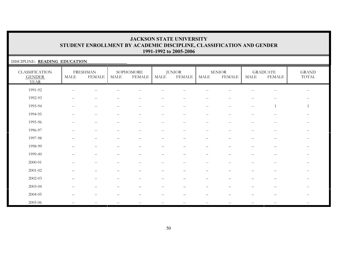### DISCIPLINE: **READING EDUCATION**

| <b>CLASSIFICATION</b><br><b>GENDER</b><br><b>YEAR</b> | MALE                                                | <b>FRESHMAN</b><br><b>FEMALE</b> | <b>MALE</b>                           | SOPHOMORE<br><b>FEMALE</b> | MALE                     | <b>JUNIOR</b><br><b>FEMALE</b> | <b>MALE</b>                                         | <b>SENIOR</b><br><b>FEMALE</b> | <b>MALE</b>                                         | <b>GRADUATE</b><br><b>FEMALE</b> | <b>GRAND</b><br>$\operatorname{TOTAL}$              |
|-------------------------------------------------------|-----------------------------------------------------|----------------------------------|---------------------------------------|----------------------------|--------------------------|--------------------------------|-----------------------------------------------------|--------------------------------|-----------------------------------------------------|----------------------------------|-----------------------------------------------------|
| 1991-92                                               |                                                     |                                  |                                       |                            |                          |                                |                                                     |                                |                                                     |                                  |                                                     |
| 1992-93                                               | $\sim$ $\sim$                                       | $\overline{\phantom{m}}$         | $\overline{\phantom{a}}$              | $-$                        |                          | $-\,-$                         | $-\,-$                                              |                                | --                                                  | $\overline{\phantom{m}}$         | $\qquad \qquad -$                                   |
| 1993-94                                               | $\hspace{0.05cm} -\hspace{0.05cm} -\hspace{0.05cm}$ | $--$                             | $\hspace{0.05cm}$ – $\hspace{0.05cm}$ | $\overline{\phantom{m}}$   | $\overline{\phantom{m}}$ | $--$                           | $--$                                                | $\overline{\phantom{m}}$       | $\sim$                                              | 1                                | 1                                                   |
| 1994-95                                               | $-$                                                 | $\sim$ $-$                       | $-$                                   | $-$                        | $\qquad \qquad -$        | $\overline{\phantom{a}}$       | $\frac{1}{2}$                                       | $-$                            | $-$                                                 | $-$                              | $- -$                                               |
| 1995-96                                               | $\overline{\phantom{a}}$                            | $\sim$ $-$                       |                                       | $-$                        | $-$                      | $\mathrel{{-}{-}}$             | $\frac{1}{2}$                                       | $-$                            | $-$                                                 | $-$                              | $- -$                                               |
| 1996-97                                               | $-$                                                 | $\overline{\phantom{m}}$         |                                       | $\overline{\phantom{m}}$   | $\qquad \qquad -$        | $\overline{\phantom{m}}$       | $\hspace{0.05cm} -\hspace{0.05cm} -\hspace{0.05cm}$ | $-$                            | $\hspace{0.05cm} -\hspace{0.05cm} -\hspace{0.05cm}$ | $\sim$ $-$                       | $\hspace{0.05cm} -\hspace{0.05cm} -\hspace{0.05cm}$ |
| 1997-98                                               |                                                     | —                                |                                       |                            | $\overline{\phantom{0}}$ | $\qquad \qquad -$              | $\qquad \qquad -$                                   |                                |                                                     | $\qquad \qquad -$                | $- -$                                               |
| 1998-99                                               |                                                     | $\overline{\phantom{0}}$         |                                       |                            | -                        |                                | $\overline{\phantom{m}}$                            |                                |                                                     | —                                | $--$                                                |
| 1999-00                                               |                                                     |                                  |                                       |                            |                          |                                |                                                     |                                |                                                     |                                  | $\qquad \qquad -$                                   |
| $2000 - 01$                                           |                                                     |                                  |                                       |                            |                          | $\sim$                         | $-$                                                 |                                |                                                     | $-$                              | $\qquad \qquad -$                                   |
| 2001-02                                               |                                                     |                                  |                                       |                            |                          |                                |                                                     |                                |                                                     |                                  | $- -$                                               |
| 2002-03                                               |                                                     | $\qquad \qquad -$                | $\hspace{0.05cm}$ – $\hspace{0.05cm}$ | $\overline{\phantom{m}}$   | -                        | $\qquad \qquad -$              | $\qquad \qquad -$                                   |                                | —                                                   | $\overline{\phantom{m}}$         | $-  \,$                                             |
| 2003-04                                               |                                                     | $\overline{\phantom{0}}$         |                                       |                            |                          |                                | $\overline{\phantom{0}}$                            |                                |                                                     | —                                | $- -$                                               |
| 2004-05                                               |                                                     |                                  |                                       |                            |                          |                                |                                                     |                                |                                                     |                                  | $--$                                                |
| 2005-06                                               |                                                     |                                  |                                       |                            |                          |                                |                                                     |                                |                                                     |                                  |                                                     |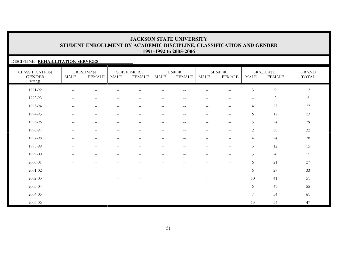#### DISCIPLINE: **REHABILITATION SERVICES**

| <b>CLASSIFICATION</b><br><b>GENDER</b><br><b>YEAR</b> | <b>MALE</b>                                   | <b>FRESHMAN</b><br><b>FEMALE</b>                    | MALE                                                | SOPHOMORE<br><b>FEMALE</b>                     | MALE                     | <b>JUNIOR</b><br><b>FEMALE</b> | <b>MALE</b>                                           | <b>SENIOR</b><br><b>FEMALE</b>                | <b>MALE</b>    | <b>GRADUATE</b><br><b>FEMALE</b> | <b>GRAND</b><br>TOTAL |
|-------------------------------------------------------|-----------------------------------------------|-----------------------------------------------------|-----------------------------------------------------|------------------------------------------------|--------------------------|--------------------------------|-------------------------------------------------------|-----------------------------------------------|----------------|----------------------------------|-----------------------|
| 1991-92                                               | $-\,-$                                        | $- -$                                               |                                                     |                                                |                          |                                |                                                       | $\qquad \qquad -$                             | $\mathfrak{Z}$ | $\overline{9}$                   | $12\,$                |
| 1992-93                                               | $\overline{\phantom{m}}$                      | $\hspace{0.05cm} -\hspace{0.05cm} -\hspace{0.05cm}$ | $-$                                                 | $\hspace{0.1mm}-\hspace{0.1mm}-\hspace{0.1mm}$ | $\qquad \qquad -$        | $\overline{\phantom{m}}$       | $\hspace{0.05cm} - \hspace{0.05cm} - \hspace{0.05cm}$ | $\hspace{0.05cm} -$                           | $-\,-$         | $\overline{c}$                   | 2                     |
| 1993-94                                               | $\hspace{0.05cm} -$                           | $\hspace{0.05cm} -\hspace{0.05cm} -\hspace{0.05cm}$ | $\hspace{0.05cm} -\hspace{0.05cm} -\hspace{0.05cm}$ | $\hspace{0.1mm}-\hspace{0.1mm}-\hspace{0.1mm}$ | $\overline{\phantom{a}}$ | $\overline{\phantom{m}}$       | $\overline{\phantom{m}}$                              | $\mathord{\hspace{1pt}\text{--}\hspace{1pt}}$ | $\overline{4}$ | 23                               | 27                    |
| 1994-95                                               | $\sim$ $\sim$                                 | $\hspace{0.05cm} -\hspace{0.05cm} -\hspace{0.05cm}$ | $-\,-$                                              | $\hspace{0.1mm}-\hspace{0.1mm}-\hspace{0.1mm}$ | $\overline{\phantom{a}}$ | $\overline{\phantom{m}}$       | $\overline{\phantom{m}}$                              | $\hspace{0.05cm} -$                           | 6              | 17                               | 23                    |
| 1995-96                                               | $\mathord{\hspace{1pt}\text{--}\hspace{1pt}}$ | $\sim$ $-$                                          | $\overline{\phantom{m}}$                            | $\hspace{0.05cm} -$                            | $\qquad \qquad -$        | $\overline{\phantom{m}}$       | $\mathrel{{-}{-}}$                                    | $\mathord{\hspace{1pt}\text{--}\hspace{1pt}}$ | 5              | 24                               | 29                    |
| 1996-97                                               | $\mathord{\hspace{1pt}\text{--}\hspace{1pt}}$ | $\hspace{0.05cm} -\hspace{0.05cm} -\hspace{0.05cm}$ | $\sim$ $\sim$                                       | $\hspace{0.05cm}$ – $\hspace{0.05cm}$          | $\qquad \qquad -$        | $\qquad \qquad -$              | $-\,-$                                                | $-\,-$                                        | $\overline{2}$ | $30\,$                           | 32                    |
| 1997-98                                               | $\hspace{0.05cm} -$                           | $\qquad \qquad$                                     |                                                     |                                                | $\qquad \qquad -$        | $\overline{\phantom{0}}$       | $\qquad \qquad -$                                     | $\overline{\phantom{0}}$                      | $\overline{4}$ | 24                               | $28\,$                |
| 1998-99                                               |                                               |                                                     |                                                     |                                                |                          |                                |                                                       | $\qquad \qquad -$                             | $\mathfrak{Z}$ | $12\,$                           | 15                    |
| 1999-00                                               |                                               |                                                     |                                                     |                                                |                          |                                |                                                       | $\qquad \qquad -$                             | $\mathfrak{Z}$ | $\overline{4}$                   | $\sqrt{ }$            |
| 2000-01                                               | $\sim$ $\sim$                                 | $-$                                                 | --                                                  | $\hspace{0.05cm} -$                            |                          | --                             | $\qquad \qquad -$                                     | $\mathord{\hspace{1pt}\text{--}\hspace{1pt}}$ | 6              | 21                               | 27                    |
| 2001-02                                               | $\qquad \qquad -$                             | $\overline{\phantom{m}}$                            | $\overline{\phantom{0}}$                            |                                                | —                        | $\overline{\phantom{0}}$       | $\qquad \qquad -$                                     | $\qquad \qquad -$                             | 6              | 27                               | 33                    |
| 2002-03                                               |                                               | —                                                   | $\overline{\phantom{m}}$                            | $\hspace{0.1mm}-\hspace{0.1mm}-\hspace{0.1mm}$ | —                        |                                | $\overline{\phantom{0}}$                              | $\qquad \qquad -$                             | 10             | 41                               | 51                    |
| 2003-04                                               |                                               |                                                     |                                                     |                                                |                          |                                |                                                       |                                               | 6              | 49                               | 55                    |
| 2004-05                                               |                                               |                                                     |                                                     |                                                |                          |                                |                                                       |                                               | $\overline{7}$ | 54                               | 61                    |
| 2005-06                                               | $\sim$ $\sim$                                 | $\overline{\phantom{m}}$                            | $\hspace{0.05cm} -\hspace{0.05cm} -\hspace{0.05cm}$ | $\hspace{0.05cm} -$                            |                          | $\qquad \qquad -$              | $- -$                                                 |                                               | 13             | 34                               | 47                    |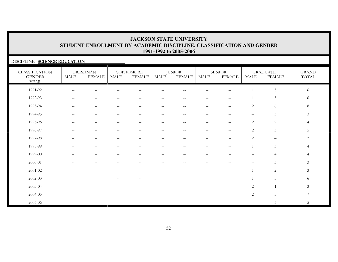#### DISCIPLINE: **SCIENCE EDUCATION**

| <b>CLASSIFICATION</b><br><b>GENDER</b><br><b>YEAR</b> | $\operatorname{MALE}$                               | <b>FRESHMAN</b><br><b>FEMALE</b> | MALE          | SOPHOMORE<br><b>FEMALE</b>                            | MALE              | <b>JUNIOR</b><br><b>FEMALE</b> | <b>MALE</b>              | <b>SENIOR</b><br><b>FEMALE</b>                | <b>MALE</b>                                         | <b>GRADUATE</b><br><b>FEMALE</b> | <b>GRAND</b><br>TOTAL |
|-------------------------------------------------------|-----------------------------------------------------|----------------------------------|---------------|-------------------------------------------------------|-------------------|--------------------------------|--------------------------|-----------------------------------------------|-----------------------------------------------------|----------------------------------|-----------------------|
| 1991-92                                               |                                                     |                                  |               |                                                       |                   |                                |                          |                                               |                                                     | $5\,$                            | 6                     |
| 1992-93                                               | $\hspace{0.05cm} -\hspace{0.05cm} -\hspace{0.05cm}$ | $--$                             | $\sim$ $\sim$ | $\hspace{0.05cm} - \hspace{0.05cm} - \hspace{0.05cm}$ | $\qquad \qquad -$ | $\sim$ $-$                     | $\overline{\phantom{m}}$ | $\hspace{0.05cm}$ – $\hspace{0.05cm}$         |                                                     | $\overline{5}$                   | 6                     |
| 1993-94                                               | $\hspace{0.05cm} -\hspace{0.05cm} -\hspace{0.05cm}$ | $--$                             | $\sim$ $\sim$ | $\hspace{0.05cm} -\hspace{0.05cm} -\hspace{0.05cm}$   | $\qquad \qquad -$ | $\sim$ $-$                     | $--$                     | $\hspace{0.05cm} -$                           | 2                                                   | 6                                | 8 <sup>°</sup>        |
| 1994-95                                               | $\overline{\phantom{m}}$                            | $\qquad \qquad -$                | $\sim$ $\sim$ |                                                       | $- -$             | $- -$                          | $-$                      | $\qquad \qquad -$                             | $\overline{\phantom{m}}$                            | $\mathfrak{Z}$                   | $\mathfrak{Z}$        |
| 1995-96                                               |                                                     | $- -$                            |               |                                                       | --                | $-$                            | $-$                      | $\qquad \qquad -$                             | $\sqrt{2}$                                          | $\sqrt{2}$                       | $\overline{4}$        |
| 1996-97                                               | $-$                                                 | $\qquad \qquad -$                | $-$           | $-$                                                   | $- -$             | $- -$                          | $- -$                    | $\mathord{\hspace{1pt}\text{--}\hspace{1pt}}$ | $\overline{2}$                                      | $\mathfrak{Z}$                   | 5                     |
| 1997-98                                               |                                                     | -                                |               | $\overline{\phantom{0}}$                              | $\qquad \qquad -$ | $\overline{\phantom{0}}$       | $\qquad \qquad -$        | $\overline{\phantom{0}}$                      | 2                                                   | $\overline{\phantom{m}}$         | $\overline{2}$        |
| 1998-99                                               |                                                     |                                  |               |                                                       |                   |                                |                          | $\qquad \qquad -$                             |                                                     | $\mathfrak{Z}$                   | $\overline{4}$        |
| 1999-00                                               |                                                     |                                  |               |                                                       |                   |                                |                          |                                               |                                                     | $\overline{4}$                   | 4                     |
| 2000-01                                               |                                                     | $- -$                            |               |                                                       |                   |                                |                          |                                               | $\hspace{0.05cm} -\hspace{0.05cm} -\hspace{0.05cm}$ | $\mathfrak{Z}$                   | $\mathfrak{Z}$        |
| 2001-02                                               |                                                     | —                                |               |                                                       |                   |                                |                          | $\overline{\phantom{0}}$                      |                                                     | $\sqrt{2}$                       | $\mathfrak{Z}$        |
| $2002 - 03$                                           |                                                     | $\overline{\phantom{0}}$         | $-$           | $\overline{\phantom{m}}$                              |                   |                                | $\overline{\phantom{0}}$ | $\overline{\phantom{0}}$                      |                                                     | 5                                | 6                     |
| 2003-04                                               |                                                     |                                  |               |                                                       |                   |                                |                          |                                               | 2                                                   | $\overline{1}$                   | 3                     |
| 2004-05                                               |                                                     |                                  |               |                                                       |                   |                                |                          |                                               | $\sqrt{2}$                                          | 5                                | $\overline{7}$        |
| 2005-06                                               | $- -$                                               | $\qquad \qquad -$                | $\sim$ $\sim$ | $\overline{\phantom{m}}$                              |                   | $- -$                          |                          |                                               | $\mathbf{u}$                                        | 5                                | 5                     |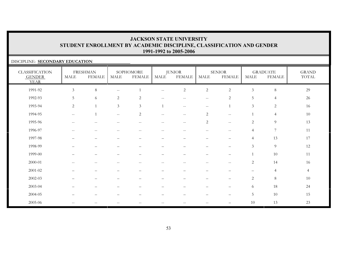#### DISCIPLINE: **SECONDARY EDUCATION**

| <b>CLASSIFICATION</b><br><b>GENDER</b><br><b>YEAR</b> | MALE                                                | <b>FRESHMAN</b><br><b>FEMALE</b> | <b>MALE</b>                                           | SOPHOMORE<br><b>FEMALE</b>                            | <b>MALE</b>              | <b>JUNIOR</b><br><b>FEMALE</b>                      | $\operatorname{MALE}$            | <b>SENIOR</b><br><b>FEMALE</b>  | <b>MALE</b>              | <b>GRADUATE</b><br><b>FEMALE</b> | <b>GRAND</b><br>TOTAL |
|-------------------------------------------------------|-----------------------------------------------------|----------------------------------|-------------------------------------------------------|-------------------------------------------------------|--------------------------|-----------------------------------------------------|----------------------------------|---------------------------------|--------------------------|----------------------------------|-----------------------|
| 1991-92                                               | $\mathfrak{Z}$                                      | $8\,$                            | $\mathord{\hspace{1pt}\text{--}\hspace{1pt}}$         |                                                       | $\overline{\phantom{m}}$ | $\sqrt{2}$                                          | $\sqrt{2}$                       | $\sqrt{2}$                      | $\mathfrak{Z}$           | $\,8\,$                          | 29                    |
| 1992-93                                               | $5\,$                                               | 6                                | 2                                                     | 2                                                     | $- -$                    | $- -$                                               | $- -$                            | 2                               | 5                        | $\overline{4}$                   | 26                    |
| 1993-94                                               | $\sqrt{2}$                                          | $\overline{1}$                   | $\mathfrak{Z}$                                        | $\mathfrak{Z}$                                        | $\overline{1}$           | $- -$                                               | $- -$                            |                                 | $\mathfrak{Z}$           | $\sqrt{2}$                       | 16                    |
| 1994-95                                               | $\mathcal{L}_{\mathcal{F}}$                         | $\overline{1}$                   | $-\,-$                                                | $\overline{c}$                                        | $\overline{\phantom{m}}$ | $\hspace{0.05cm} -\hspace{0.05cm} -\hspace{0.05cm}$ | $\mathbf{2}$                     | $-\,-$                          |                          | $\overline{4}$                   | 10                    |
| 1995-96                                               | $\hspace{0.05cm} -\hspace{0.05cm} -\hspace{0.05cm}$ | $\overline{\phantom{a}}$         | $\hspace{0.05cm} - \hspace{0.05cm} - \hspace{0.05cm}$ | $\hspace{0.05cm}$ – $\hspace{0.05cm}$                 | $\overline{\phantom{m}}$ | $\qquad \qquad -$                                   | $\overline{c}$                   | $\mathbf{u}$                    | 2                        | 9                                | 13                    |
| 1996-97                                               | $\hspace{0.05cm} -$                                 | $\overline{\phantom{m}}$         | $\sim$ –                                              | $\hspace{0.05cm} - \hspace{0.05cm} - \hspace{0.05cm}$ | $\overline{\phantom{m}}$ | $\overline{\phantom{m}}$                            | $--$                             | $\hspace{0.05cm} -$             | $\overline{4}$           | $\boldsymbol{7}$                 | 11                    |
| 1997-98                                               |                                                     | $\qquad \qquad -$                |                                                       |                                                       | $\overline{\phantom{0}}$ |                                                     |                                  | $\overline{\phantom{0}}$        | $\overline{4}$           | 13                               | 17                    |
| 1998-99                                               | $\overline{\phantom{0}}$                            | $\overline{\phantom{0}}$         | $\overline{\phantom{m}}$                              | $\qquad \qquad -$                                     | $\overline{\phantom{0}}$ | $\qquad \qquad -$                                   | $\overline{\phantom{0}}$         | $\qquad \qquad -$               | $\overline{3}$           | $\overline{9}$                   | 12                    |
| 1999-00                                               | $\overline{\phantom{0}}$                            | $\qquad \qquad -$                |                                                       | $\qquad \qquad -$                                     | $\overline{\phantom{0}}$ | $\overline{\phantom{m}}$                            | $\overbrace{\phantom{12322111}}$ | $\qquad \qquad -$               |                          | $10\,$                           | 11                    |
| 2000-01                                               | $-\,-$                                              | $-\,-$                           | $-$                                                   | $\qquad \qquad -$                                     | $-\,-$                   | $\overline{\phantom{m}}$                            | $\overline{\phantom{m}}$         | $-\,-$                          | $\overline{c}$           | 14                               | 16                    |
| $2001 - 02$                                           |                                                     | $\overline{\phantom{0}}$         |                                                       |                                                       |                          |                                                     |                                  |                                 | $\overline{\phantom{0}}$ | $\overline{4}$                   | $\overline{4}$        |
| 2002-03                                               |                                                     | -                                |                                                       |                                                       |                          |                                                     |                                  |                                 | $\overline{2}$           | $\,8\,$                          | 10                    |
| 2003-04                                               | —                                                   | $\qquad \qquad -$                |                                                       |                                                       | -                        | $\overline{\phantom{m}}$                            | $\qquad \qquad -$                | $\qquad \qquad -$               | 6                        | 18                               | 24                    |
| 2004-05                                               | —                                                   | $\qquad \qquad -$                |                                                       | —                                                     | -                        | $\qquad \qquad -$                                   | $\qquad \qquad -$                | $\qquad \qquad -$               | 5                        | $10\,$                           | 15                    |
| 2005-06                                               | $-\,-$                                              | $\qquad \qquad -$                |                                                       |                                                       |                          | $-$                                                 | $\qquad \qquad -$                | $\overbrace{\phantom{1232211}}$ | 10                       | 13                               | 23                    |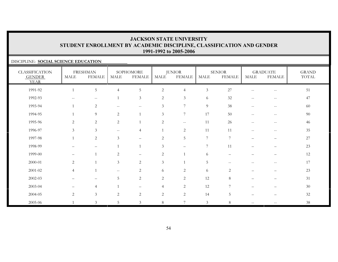### DISCIPLINE: **SOCIAL SCIENCE EDUCATION**

| <b>CLASSIFICATION</b><br><b>GENDER</b><br><b>YEAR</b> | MALE                                                | <b>FRESHMAN</b><br><b>FEMALE</b>                    | <b>MALE</b>    | SOPHOMORE<br><b>FEMALE</b> | MALE           | <b>JUNIOR</b><br><b>FEMALE</b> | MALE           | <b>SENIOR</b><br><b>FEMALE</b> | <b>MALE</b>              | <b>GRADUATE</b><br><b>FEMALE</b> | <b>GRAND</b><br>TOTAL |
|-------------------------------------------------------|-----------------------------------------------------|-----------------------------------------------------|----------------|----------------------------|----------------|--------------------------------|----------------|--------------------------------|--------------------------|----------------------------------|-----------------------|
| 1991-92                                               | 1                                                   | 5                                                   | $\overline{4}$ | 5                          | $\mathbf{2}$   | $\overline{4}$                 | $\mathfrak{Z}$ | 27                             | $\overline{\phantom{m}}$ | $-\,-$                           | 51                    |
| 1992-93                                               | $\hspace{0.05cm} -\hspace{0.05cm} -\hspace{0.05cm}$ | $\hspace{0.05cm} -\hspace{0.05cm} -\hspace{0.05cm}$ |                | $\mathfrak{Z}$             | 2              | $\mathfrak{Z}$                 | 6              | 32                             | $- -$                    | $\overline{\phantom{m}}$         | 47                    |
| 1993-94                                               |                                                     | $\overline{2}$                                      | $-\,-$         | $\overline{\phantom{m}}$   | 3              | 7                              | 9              | 38                             | $-\,-$                   | $- -$                            | 60                    |
| 1994-95                                               |                                                     | 9                                                   | 2              | $\overline{1}$             | $\mathfrak{Z}$ | $\overline{7}$                 | 17             | 50                             | --                       | $- -$                            | 90                    |
| 1995-96                                               | 2                                                   | $\mathbf{2}$                                        | 2              | $\overline{1}$             | $\overline{2}$ | $\overline{\phantom{a}}$       | 11             | 26                             | $- -$                    | $- -$                            | 46                    |
| 1996-97                                               | 3                                                   | $\overline{3}$                                      | $\sim$ $\sim$  | 4                          |                | 2                              | 11             | 11                             | $- -$                    | $-\,-$                           | 35                    |
| 1997-98                                               |                                                     | $\overline{c}$                                      | 3              | $-$                        | 2              | 5                              | 7              | $\overline{7}$                 |                          | —                                | 27                    |
| 1998-99                                               |                                                     |                                                     | $\mathbf{1}$   | $\overline{1}$             | $\mathfrak{Z}$ | $\qquad \qquad -$              | 7              | 11                             |                          |                                  | 23                    |
| 1999-00                                               | $\overline{\phantom{0}}$                            |                                                     | 2              | $\qquad \qquad -$          | $\mathbf{2}$   | $\mathbf{1}$                   | 6              |                                |                          |                                  | 12                    |
| 2000-01                                               | 2                                                   | $\overline{1}$                                      | 3              | $\overline{c}$             | $\mathfrak{Z}$ |                                | 5              | $--$                           | $-$                      | $\overline{\phantom{m}}$         | 17                    |
| $2001 - 02$                                           | $\overline{4}$                                      | $\overline{1}$                                      | $- -$          | 2                          | 6              | $\overline{2}$                 | 6              | $\overline{2}$                 | $\overline{\phantom{0}}$ |                                  | 23                    |
| 2002-03                                               |                                                     | $\qquad \qquad -$                                   | 5              | $\overline{c}$             | 2              | 2                              | 12             | 8                              |                          | $\overline{\phantom{0}}$         | 31                    |
| 2003-04                                               |                                                     | $\overline{4}$                                      |                | $\qquad \qquad -$          | $\overline{4}$ | $\overline{2}$                 | 12             | 7                              |                          |                                  | 30                    |
| 2004-05                                               | $\overline{2}$                                      | $\mathfrak{Z}$                                      | 2              | $\overline{2}$             | $\sqrt{2}$     | $\overline{2}$                 | 14             | 5                              | $\overline{\phantom{0}}$ | -                                | 32                    |
| 2005-06                                               |                                                     | $\mathfrak{Z}$                                      | 5              | $\mathfrak{Z}$             | $\,8\,$        | $7\phantom{.0}$                | $\mathfrak{Z}$ | 8                              | $\sim$ $\sim$            |                                  | 38                    |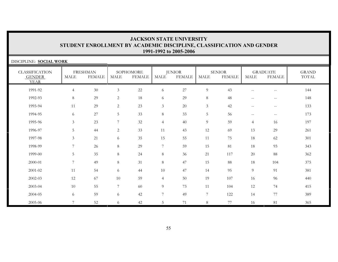| DISCIPLINE: SOCIAL WORK                               |                 |                                  |                |                            |                |                                |                  |                                |                          |                                  |                       |
|-------------------------------------------------------|-----------------|----------------------------------|----------------|----------------------------|----------------|--------------------------------|------------------|--------------------------------|--------------------------|----------------------------------|-----------------------|
| <b>CLASSIFICATION</b><br><b>GENDER</b><br><b>YEAR</b> | <b>MALE</b>     | <b>FRESHMAN</b><br><b>FEMALE</b> | MALE           | SOPHOMORE<br><b>FEMALE</b> | <b>MALE</b>    | <b>JUNIOR</b><br><b>FEMALE</b> | <b>MALE</b>      | <b>SENIOR</b><br><b>FEMALE</b> | <b>MALE</b>              | <b>GRADUATE</b><br><b>FEMALE</b> | <b>GRAND</b><br>TOTAL |
| 1991-92                                               | $\overline{4}$  | $30\,$                           | $\mathfrak{Z}$ | $22\,$                     | 6              | $27\,$                         | 9                | 43                             | $\overline{\phantom{m}}$ | $\sim$ $\sim$                    | 144                   |
| 1992-93                                               | 8               | 29                               | 2              | 18                         | 6              | 29                             | $\,8\,$          | 48                             | $\overline{\phantom{a}}$ | $- -$                            | 148                   |
| 1993-94                                               | 11              | 29                               | 2              | 23                         | $\mathfrak{Z}$ | 20                             | 3                | 42                             | $\mathbf{u}$             | $\sim$ $\sim$                    | 133                   |
| 1994-95                                               | 6               | 27                               | 5              | 33                         | $8\,$          | 33                             | 5                | 56                             | $\mathbf{u}$             | $--$                             | 173                   |
| 1995-96                                               | 3               | 23                               | $\overline{7}$ | 32                         | $\overline{4}$ | 40                             | 9                | 59                             | $\overline{4}$           | 16                               | 197                   |
| 1996-97                                               | 5               | 44                               | 2              | 33                         | 11             | 43                             | 12               | 69                             | 13                       | 29                               | 261                   |
| 1997-98                                               | 3               | 21                               | 6              | 35                         | 15             | 55                             | 11               | 75                             | 18                       | 62                               | 301                   |
| 1998-99                                               | 7               | 26                               | 8              | 29                         | $\overline{7}$ | 59                             | 15               | 81                             | 18                       | 93                               | 343                   |
| 1999-00                                               | 5               | 35                               | 8 <sup>8</sup> | 24                         | $8\,$          | 36                             | 21               | 117                            | 20                       | 88                               | 362                   |
| 2000-01                                               | $7\phantom{.0}$ | 49                               | $8\,$          | 31                         | $\,8\,$        | 47                             | 15               | 88                             | 18                       | 104                              | 375                   |
| $2001 - 02$                                           | 11              | 54                               | 6              | 44                         | 10             | 47                             | 14               | 95                             | $\overline{9}$           | 91                               | 381                   |
| 2002-03                                               | 12              | 67                               | 10             | 59                         | $\overline{4}$ | 50                             | 19               | 107                            | 16                       | 96                               | 440                   |
| 2003-04                                               | 10              | 55                               | 7              | 60                         | 9              | 73                             | 11               | 104                            | 12                       | 74                               | 415                   |
| 2004-05                                               | 6               | 59                               | 6              | 42                         | $\overline{7}$ | 49                             | $\boldsymbol{7}$ | 122                            | 14                       | 77                               | 389                   |
| 2005-06                                               | $\overline{7}$  | 52                               | 6              | 42                         | 5              | 71                             | 8                | 77                             | 16                       | 81                               | 365                   |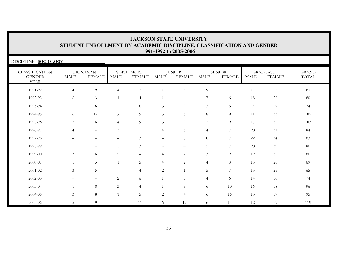| DISCIPLINE: SOCIOLOGY                                 |                |                                  |                |                            |                          |                                |                |                                |             |                                  |                       |
|-------------------------------------------------------|----------------|----------------------------------|----------------|----------------------------|--------------------------|--------------------------------|----------------|--------------------------------|-------------|----------------------------------|-----------------------|
| <b>CLASSIFICATION</b><br><b>GENDER</b><br><b>YEAR</b> | MALE           | <b>FRESHMAN</b><br><b>FEMALE</b> | <b>MALE</b>    | SOPHOMORE<br><b>FEMALE</b> | MALE                     | <b>JUNIOR</b><br><b>FEMALE</b> | MALE           | <b>SENIOR</b><br><b>FEMALE</b> | <b>MALE</b> | <b>GRADUATE</b><br><b>FEMALE</b> | <b>GRAND</b><br>TOTAL |
| 1991-92                                               | $\overline{4}$ | 9                                | $\overline{4}$ | $\mathfrak{Z}$             | $\mathbf{1}$             | $\mathfrak{Z}$                 | $\overline{9}$ | 7                              | 17          | 26                               | 83                    |
| 1992-93                                               | 6              | $\mathfrak{Z}$                   |                | $\overline{4}$             |                          | 6                              | $\overline{7}$ | 6                              | 18          | 28                               | 80                    |
| 1993-94                                               |                | 6                                | 2              | 6                          | 3                        | $\overline{9}$                 | 3              | 6                              | 9           | 29                               | 74                    |
| 1994-95                                               | 6              | 12                               | 3              | 9                          | 5                        | 6                              | 8              | 9                              | 11          | 33                               | 102                   |
| 1995-96                                               | 7              | 6                                | $\overline{4}$ | 9                          | $\mathfrak{Z}$           | 9                              | $\overline{7}$ | 9                              | 17          | 32                               | 103                   |
| 1996-97                                               | $\overline{4}$ | $\overline{4}$                   | $\mathfrak{Z}$ |                            | $\overline{4}$           | 6                              | 4              | 7                              | 20          | 31                               | 84                    |
| 1997-98                                               |                | $\overline{4}$                   |                | 3                          | $\qquad \qquad$          | 5                              | $\,8\,$        | 7                              | 22          | 34                               | 83                    |
| 1998-99                                               |                | $--$                             | 5              | 3                          | $\overline{\phantom{a}}$ |                                | 5              | $\overline{7}$                 | 20          | 39                               | 80                    |
| 1999-00                                               | 3              | 6                                | 2              | $-$                        | 4                        | 2                              | $\mathfrak{Z}$ | 9                              | 19          | 32                               | 80                    |
| $2000 - 01$                                           |                | 3                                |                | 5                          | $\overline{4}$           | $\mathbf{2}$                   | 4              | 8                              | 15          | 26                               | 69                    |
| 2001-02                                               | $\mathfrak{Z}$ | 5                                |                | 4                          | $\overline{c}$           | $\mathbf{1}$                   | 5              | 7                              | 13          | 25                               | 65                    |
| 2002-03                                               |                | 4                                | 2              | 6                          |                          | 7                              | 4              | 6                              | 14          | 30                               | 74                    |
| 2003-04                                               |                | $8\,$                            | $\mathfrak{Z}$ | $\overline{4}$             |                          | 9                              | 6              | $10\,$                         | 16          | 38                               | 96                    |
| 2004-05                                               | $\mathfrak{Z}$ | $8\,$                            |                | 5                          | $\mathbf{2}$             | $\overline{4}$                 | 6              | 16                             | 13          | 37                               | 95                    |
| 2005-06                                               | 5              | 9                                | $\sim$ $\sim$  | 11                         | 6                        | 17                             | 6              | 14                             | 12          | 39                               | 119                   |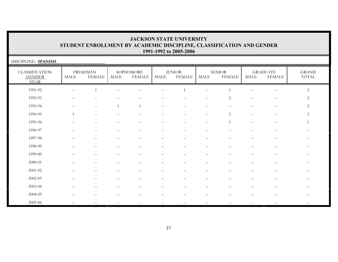| DISCIPLINE: SPANISH                                   |                                                       |                                                     |               |                            |                                                     |                                                     |                                                |                                |                          |                                                     |                                                       |
|-------------------------------------------------------|-------------------------------------------------------|-----------------------------------------------------|---------------|----------------------------|-----------------------------------------------------|-----------------------------------------------------|------------------------------------------------|--------------------------------|--------------------------|-----------------------------------------------------|-------------------------------------------------------|
| <b>CLASSIFICATION</b><br><b>GENDER</b><br><b>YEAR</b> | MALE                                                  | <b>FRESHMAN</b><br><b>FEMALE</b>                    | <b>MALE</b>   | SOPHOMORE<br><b>FEMALE</b> | <b>MALE</b>                                         | <b>JUNIOR</b><br><b>FEMALE</b>                      | MALE                                           | <b>SENIOR</b><br><b>FEMALE</b> | <b>MALE</b>              | <b>GRADUATE</b><br><b>FEMALE</b>                    | <b>GRAND</b><br>$\operatorname{TOTAL}$                |
| 1991-92                                               | $\mathord{\hspace{1pt}\text{--}\hspace{1pt}}$         | $\overline{1}$                                      | $\sim$ $\sim$ |                            | $\overline{\phantom{m}}$                            | $\overline{1}$                                      | $\overline{\phantom{m}}$                       |                                | $-$                      | $\overline{\phantom{m}}$                            | $\mathfrak{Z}$                                        |
| 1992-93                                               | $\hspace{0.05cm} - \hspace{0.05cm} - \hspace{0.05cm}$ | $-$                                                 | $-$           | $-$                        | $\overline{\phantom{m}}$                            | $\overline{\phantom{m}}$                            | $\sim$ $\sim$                                  | 2                              | $-\,-$                   | $\hspace{0.05cm} -\hspace{0.05cm} -\hspace{0.05cm}$ | $\overline{c}$                                        |
| 1993-94                                               | $-\,-$                                                | $\hspace{0.05cm} -\hspace{0.05cm} -\hspace{0.05cm}$ |               |                            | $\hspace{0.05cm} -\hspace{0.05cm} -\hspace{0.05cm}$ | $\hspace{0.05cm} -\hspace{0.05cm} -\hspace{0.05cm}$ | $\overline{\phantom{m}}$                       | $\qquad \qquad -$              | $\overline{\phantom{m}}$ | $\hspace{0.1mm}-\hspace{0.1mm}-\hspace{0.1mm}$      | $\overline{2}$                                        |
| 1994-95                                               |                                                       | $\hspace{0.05cm} -$                                 | --            | $-$                        | $-$                                                 | $-$                                                 | $\hspace{0.1mm}-\hspace{0.1mm}-\hspace{0.1mm}$ | 2                              | $\sim$ $\sim$            | $\sim$ $\sim$                                       | $\mathfrak{Z}$                                        |
| 1995-96                                               | $\hspace{0.05cm} -$                                   | $\sim$ $-$                                          | $- -$         | $\hspace{0.05cm} -$        | $--$                                                | $\overline{\phantom{m}}$                            | $\mathbf{u}$                                   | $\overline{1}$                 | $\mathbf{u}$             | $--$                                                |                                                       |
| 1996-97                                               | $\sim$ $\sim$                                         | $-$                                                 | $--$          | $\hspace{0.05cm} -$        | $\hspace{0.05cm} -\hspace{0.05cm} -\hspace{0.05cm}$ | $\hspace{0.05cm} -\hspace{0.05cm} -\hspace{0.05cm}$ | $\sim$ $-$                                     | $-$                            | $- -$                    | $- -$                                               | $ -$                                                  |
| 1997-98                                               |                                                       |                                                     |               |                            |                                                     |                                                     |                                                |                                |                          |                                                     | $-\,-$                                                |
| 1998-99                                               |                                                       |                                                     |               |                            |                                                     |                                                     |                                                |                                |                          |                                                     | $\hspace{0.05cm} - \hspace{0.05cm} - \hspace{0.05cm}$ |
| 1999-00                                               |                                                       |                                                     |               |                            |                                                     |                                                     |                                                |                                |                          |                                                     | $\overline{\phantom{m}}$                              |
| 2000-01                                               |                                                       |                                                     |               |                            | $\overline{\phantom{0}}$                            | $\overline{\phantom{0}}$                            | $\qquad \qquad -$                              |                                |                          |                                                     | $\hspace{0.1mm}-\hspace{0.1mm}-\hspace{0.1mm}$        |
| 2001-02                                               |                                                       |                                                     |               | —                          | —                                                   |                                                     | $\overbrace{\phantom{12322111}}$               |                                |                          | $\overline{\phantom{0}}$                            | $--$                                                  |
| 2002-03                                               |                                                       |                                                     |               |                            |                                                     |                                                     |                                                |                                |                          |                                                     | $\overline{\phantom{m}}$                              |
| 2003-04                                               |                                                       |                                                     |               |                            |                                                     |                                                     |                                                |                                |                          |                                                     | $\hspace{0.05cm} -$                                   |
| 2004-05                                               |                                                       |                                                     |               |                            |                                                     |                                                     |                                                |                                |                          |                                                     | $--$                                                  |
| 2005-06                                               | $-\,-$                                                | $\overline{\phantom{m}}$                            |               |                            |                                                     |                                                     |                                                |                                |                          |                                                     |                                                       |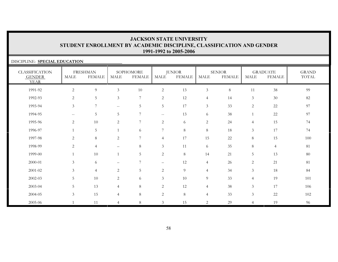#### DISCIPLINE: **SPECIAL EDUCATION** CLASSIFICATION GENDER YEARFRESHMANMALE FEMALESOPHOMOREMALE FEMALEJUNIOR<br>MALE FEI **FEMALE** SENIORMALE FEMALE**GRADUATE**  MALE FEMALEGRANDTOTAL1991-92 2 9 3 10 2 13 3 8 11 38 991992-93 2 5 3 7 2 12 4 14 3 30 821993-94 3 7 -- 5 5 17 3 33 2 22 971994-95 -- 5 5 7 -- 13 6 38 1 22 971995-96 2 10 2 7 2 6 2 24 4 15 741996-97 1 5 1 6 7 8 8 18 3 17 741997-98 2 8 2 7 4 17 15 22 8 15 1001998-99 2 4 – 8 3 11 6 35 8 4 8181 1999-00 1 10 1 5 2 8 14 21 5 13 802000-01 3 6 – 7 – 12 4 26 2 21 812001-02 3 4 2 5 2 9 4 34 3 18 842002-03 5 10 2 6 3 10 9 33 4 19 101101 2003-04 5 13 4 8 2 12 4 38 3 17 106106 2004-05 3 15 4 8 2 8 4 33 3 22 1022005-06 1 11 4 8 3 15 2 29 4 19 96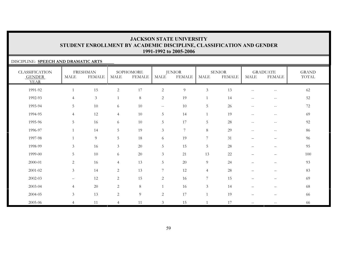#### DISCIPLINE: **SPEECH AND DRAMATIC ARTS**

| <b>CLASSIFICATION</b><br><b>GENDER</b><br><b>YEAR</b> | MALE           | <b>FRESHMAN</b><br><b>FEMALE</b> | <b>MALE</b>    | SOPHOMORE<br><b>FEMALE</b> | MALE           | <b>JUNIOR</b><br><b>FEMALE</b> | MALE            | <b>SENIOR</b><br><b>FEMALE</b> | MALE                     | <b>GRADUATE</b><br><b>FEMALE</b>      | <b>GRAND</b><br>TOTAL |
|-------------------------------------------------------|----------------|----------------------------------|----------------|----------------------------|----------------|--------------------------------|-----------------|--------------------------------|--------------------------|---------------------------------------|-----------------------|
| 1991-92                                               |                | 15                               | $\overline{c}$ | 17                         | $\overline{2}$ | $\overline{9}$                 | $\mathfrak{Z}$  | 13                             | $-$                      | $\qquad \qquad -$                     | $62\,$                |
| 1992-93                                               | $\overline{4}$ | $\mathfrak{Z}$                   | $\overline{1}$ | $8\,$                      | 2              | 19                             | 1               | 14                             | $\overline{\phantom{m}}$ | $\hspace{0.05cm}$ – $\hspace{0.05cm}$ | 52                    |
| 1993-94                                               | 5              | 10                               | 6              | 10                         | $--$           | 10                             | $\overline{5}$  | 26                             | $\overline{\phantom{m}}$ | $\hspace{0.05cm} -$                   | 72                    |
| 1994-95                                               | $\overline{4}$ | 12                               | $\overline{4}$ | 10                         | 5              | 14                             |                 | 19                             | $-$                      | $\qquad \qquad -$                     | 69                    |
| 1995-96                                               | 5              | 16                               | 6              | 10                         | 5              | 17                             | $\overline{5}$  | 28                             | $- -$                    | $\hspace{0.05cm} -$                   | 92                    |
| 1996-97                                               |                | 14                               | 5              | 19                         | $\mathfrak{Z}$ | 7                              | 8               | 29                             | $\qquad \qquad -$        | $\qquad \qquad -$                     | 86                    |
| 1997-98                                               |                | $\overline{9}$                   | 5              | 18                         | 6              | 19                             | $\overline{7}$  | 31                             | —                        | —                                     | 96                    |
| 1998-99                                               | $\mathfrak{Z}$ | 16                               | $\mathfrak{Z}$ | $20\,$                     | 5              | 15                             | $\overline{5}$  | $28\,$                         |                          |                                       | 95                    |
| 1999-00                                               | 5              | 10                               | 6              | 20                         | $\mathfrak{Z}$ | 21                             | 13              | 22                             |                          |                                       | 100                   |
| 2000-01                                               | 2              | 16                               | $\overline{4}$ | 13                         | 5              | 20                             | 9               | 24                             | —                        | —                                     | 93                    |
| 2001-02                                               | $\mathfrak{Z}$ | 14                               | 2              | 13                         | 7              | 12                             | $\overline{4}$  | 28                             | $\overline{\phantom{0}}$ | $\qquad \qquad -$                     | 83                    |
| 2002-03                                               |                | 12                               | 2              | 15                         | $\overline{c}$ | 16                             | $7\phantom{.0}$ | 15                             |                          | $\overline{\phantom{0}}$              | 69                    |
| 2003-04                                               | $\overline{4}$ | $20\,$                           | 2              | 8                          | $\mathbf{1}$   | 16                             | $\mathfrak{Z}$  | 14                             |                          |                                       | 68                    |
| 2004-05                                               | $\mathfrak{Z}$ | 13                               | 2              | $\overline{9}$             | $\mathbf{2}$   | 17                             |                 | 19                             | $\overline{\phantom{0}}$ | -                                     | 66                    |
| 2005-06                                               | $\overline{4}$ | 11                               | $\overline{4}$ | 11                         | $\mathfrak{Z}$ | 15                             |                 | 17                             | $- -$                    | $\qquad \qquad -$                     | 66                    |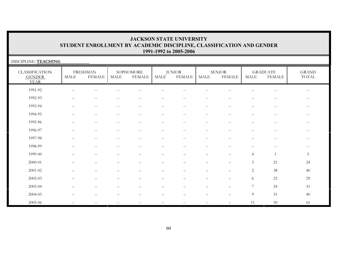| DISCIPLINE: TEACHING                                  |                                                     |                                                |                                                     |                            |                   |                                |                          |                                |                                                     |                                                |                                                       |
|-------------------------------------------------------|-----------------------------------------------------|------------------------------------------------|-----------------------------------------------------|----------------------------|-------------------|--------------------------------|--------------------------|--------------------------------|-----------------------------------------------------|------------------------------------------------|-------------------------------------------------------|
| <b>CLASSIFICATION</b><br><b>GENDER</b><br><b>YEAR</b> | MALE                                                | <b>FRESHMAN</b><br><b>FEMALE</b>               | <b>MALE</b>                                         | SOPHOMORE<br><b>FEMALE</b> | MALE              | <b>JUNIOR</b><br><b>FEMALE</b> | $\operatorname{MALE}$    | <b>SENIOR</b><br><b>FEMALE</b> | MALE                                                | <b>GRADUATE</b><br><b>FEMALE</b>               | <b>GRAND</b><br>TOTAL                                 |
| 1991-92                                               | $\overline{\phantom{a}}$                            |                                                |                                                     |                            |                   |                                |                          |                                |                                                     | --                                             | $\overline{\phantom{m}}$                              |
| 1992-93                                               |                                                     |                                                |                                                     |                            |                   | $-$                            | $-$                      |                                |                                                     |                                                | $-\,-$                                                |
| 1993-94                                               | $\hspace{0.05cm} -\hspace{0.05cm} -\hspace{0.05cm}$ | $\hspace{0.1mm}-\hspace{0.1mm}-\hspace{0.1mm}$ | $- -$                                               | $- -$                      | $\qquad \qquad -$ | $\qquad \qquad -$              | $\overline{\phantom{m}}$ | $- -$                          | $\hspace{0.05cm} -\hspace{0.05cm} -\hspace{0.05cm}$ | $\hspace{0.1mm}-\hspace{0.1mm}-\hspace{0.1mm}$ | $--$                                                  |
| 1994-95                                               | $\hspace{0.05cm} -\hspace{0.05cm} -\hspace{0.05cm}$ | $\sim$ $\sim$                                  | $ -$                                                | $- -$                      | $\qquad \qquad -$ | $--$                           | $\overline{\phantom{m}}$ | $--$                           | $\hspace{0.05cm} -\hspace{0.05cm} -\hspace{0.05cm}$ | $\hspace{0.1mm}-\hspace{0.1mm}-\hspace{0.1mm}$ | $--$                                                  |
| 1995-96                                               | $\sim$ $\sim$                                       | $\hspace{0.1mm}-\hspace{0.1mm}-\hspace{0.1mm}$ | $\hspace{0.05cm} -\hspace{0.05cm} -\hspace{0.05cm}$ | $- -$                      | $--$              | $\qquad \qquad -$              | $\overline{\phantom{m}}$ | $--$                           | $\mathbf{u}$                                        | $- -$                                          | $--$                                                  |
| 1996-97                                               | $\overline{\phantom{a}}$                            | $\hspace{0.1mm}-\hspace{0.1mm}-\hspace{0.1mm}$ | $\overline{\phantom{m}}$                            | $- -$                      | $\qquad \qquad -$ | $--$                           | $\sim$ $-$               | $- -$                          | $\hspace{0.05cm} -\hspace{0.05cm} -\hspace{0.05cm}$ | $\mathord{\hspace{1pt}\text{--}\hspace{1pt}}$  | $\overline{\phantom{m}}$                              |
| 1997-98                                               | $-$                                                 | $ -$                                           | $- -$                                               | $\overline{\phantom{a}}$   | $- -$             | $- -$                          | $\sim$ $\sim$            | $- -$                          | $\sim$ $\sim$                                       | $\sim$ $-$                                     | $--$                                                  |
| 1998-99                                               |                                                     |                                                |                                                     | --                         |                   | $-$                            | --                       |                                |                                                     | $- -$                                          | $\hspace{0.05cm} - \hspace{0.05cm} - \hspace{0.05cm}$ |
| 1999-00                                               |                                                     |                                                |                                                     |                            |                   |                                |                          |                                | $\overline{4}$                                      |                                                | $\mathbf 5$                                           |
| 2000-01                                               |                                                     |                                                |                                                     |                            |                   |                                |                          |                                | $\mathfrak{Z}$                                      | 21                                             | 24                                                    |
| 2001-02                                               |                                                     |                                                |                                                     | $\overline{\phantom{0}}$   | —                 |                                | $\overline{\phantom{0}}$ | —                              | 2                                                   | 38                                             | 40                                                    |
| 2002-03                                               |                                                     |                                                |                                                     |                            |                   |                                |                          |                                | 6                                                   | 23                                             | 29                                                    |
| 2003-04                                               |                                                     |                                                |                                                     |                            |                   |                                |                          |                                | $\overline{7}$                                      | 24                                             | 31                                                    |
| 2004-05                                               |                                                     |                                                |                                                     |                            |                   |                                |                          |                                | 9                                                   | 31                                             | 40                                                    |
| 2005-06                                               | $- -$                                               | $\hspace{0.1mm}-\hspace{0.1mm}-\hspace{0.1mm}$ | $- -$                                               | $- -$                      | $\qquad \qquad -$ | $\qquad \qquad -$              | $\overline{\phantom{m}}$ |                                | 11                                                  | 50                                             | 61                                                    |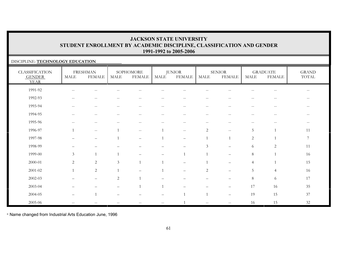### DISCIPLINE: **TECHNOLOGY EDUCATION**

| <b>CLASSIFICATION</b><br><b>GENDER</b><br><b>YEAR</b> | <b>MALE</b>                                         | <b>FRESHMAN</b><br><b>FEMALE</b> | MALE                | SOPHOMORE<br><b>FEMALE</b> | MALE                     | <b>JUNIOR</b><br><b>FEMALE</b>  | <b>MALE</b>              | <b>SENIOR</b><br><b>FEMALE</b>        | <b>MALE</b>    | <b>GRADUATE</b><br><b>FEMALE</b> | <b>GRAND</b><br>TOTAL    |
|-------------------------------------------------------|-----------------------------------------------------|----------------------------------|---------------------|----------------------------|--------------------------|---------------------------------|--------------------------|---------------------------------------|----------------|----------------------------------|--------------------------|
| 1991-92                                               | $\hspace{0.05cm} -\hspace{0.05cm} -\hspace{0.05cm}$ | --                               |                     |                            |                          |                                 | $\qquad \qquad -$        | --                                    |                | $\overline{\phantom{a}}$         | $\qquad \qquad -$        |
| 1992-93                                               | $\overline{\phantom{m}}$                            |                                  |                     |                            |                          |                                 | --                       |                                       |                |                                  |                          |
| 1993-94                                               | $- -$                                               | $-\,-$                           | $\hspace{0.05cm} -$ | $\overline{\phantom{m}}$   | $\overline{\phantom{m}}$ | $--$                            | $--$                     | $\hspace{0.05cm}$ – $\hspace{0.05cm}$ | $- -$          | $\overline{\phantom{m}}$         | $\overline{\phantom{m}}$ |
| 1994-95                                               | $\overline{\phantom{m}}$                            | $\overline{\phantom{m}}$         | $-$                 | $-$                        | $- -$                    | $- -$                           | $- -$                    | $-\,$                                 | $-$            | $- -$                            | $-$                      |
| 1995-96                                               | $-$                                                 | $-$                              |                     | $-$                        | --                       | $\overline{\phantom{a}}$        | $\qquad \qquad -$        | $\hspace{0.05cm} -$                   | $-$            | $-$                              | $- -$                    |
| 1996-97                                               | $\mathbf{1}$                                        | $\overline{\phantom{m}}$         |                     | $\mathbf{u}$               |                          | $\mathcal{L}=\mathcal{L}$       | $\overline{2}$           | $\sim$ $\sim$                         | 5              | $\overline{1}$                   | 11                       |
| 1997-98                                               |                                                     | $\qquad \qquad -$                |                     | $\qquad \qquad -$          |                          | $\qquad \qquad -$               |                          |                                       | 2              |                                  | 7                        |
| 1998-99                                               |                                                     |                                  |                     |                            |                          |                                 | 3                        | $\overline{\phantom{0}}$              | 6              | $\overline{2}$                   | 11                       |
| 1999-00                                               | $\mathfrak{Z}$                                      | $\mathbf{1}$                     |                     |                            | $\qquad \qquad -$        |                                 |                          | $\qquad \qquad -$                     | 8              | $\mathbf{1}$                     | 16                       |
| 2000-01                                               | $\overline{c}$                                      | $\sqrt{2}$                       | $\mathfrak{Z}$      | $\overline{1}$             |                          | $\overline{\phantom{0}}$        |                          |                                       | $\overline{4}$ |                                  | 15                       |
| 2001-02                                               | $\mathbf{1}$                                        | $\sqrt{2}$                       |                     |                            |                          |                                 | $\mathbf{2}$             |                                       | 5              | $\overline{4}$                   | 16                       |
| 2002-03                                               | $\qquad \qquad$                                     | $\qquad \qquad -$                | 2                   | $\overline{1}$             | $\overline{\phantom{0}}$ | $\overbrace{\phantom{1232211}}$ | $\qquad \qquad -$        | $\qquad \qquad -$                     | 8              | $\sqrt{6}$                       | 17                       |
| 2003-04                                               |                                                     | $\overline{\phantom{0}}$         |                     | $\overline{1}$             | $\mathbf{1}$             | $\overline{\phantom{0}}$        |                          |                                       | 17             | 16                               | 35                       |
| 2004-05                                               | $\qquad \qquad$                                     | $\overline{1}$                   |                     |                            |                          |                                 | $\overline{1}$           | $\qquad \qquad -$                     | 19             | 15                               | 37                       |
| 2005-06                                               |                                                     |                                  |                     |                            | $-$                      |                                 | $\overline{\phantom{a}}$ | $\qquad \qquad -$                     | 16             | 15                               | $32\,$                   |

\* Name changed from Industrial Arts Education June, 1996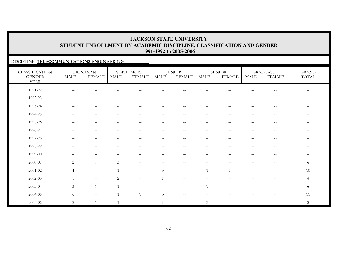### DISCIPLINE: **TELECOMMUNICATIONS ENGINEERING**

| <b>CLASSIFICATION</b><br><b>GENDER</b><br><b>YEAR</b> | MALE                                                | <b>FRESHMAN</b><br><b>FEMALE</b>                    | <b>MALE</b>                                         | SOPHOMORE<br><b>FEMALE</b>                            | <b>MALE</b>              | <b>JUNIOR</b><br><b>FEMALE</b>                | <b>MALE</b>              | <b>SENIOR</b><br><b>FEMALE</b> | MALE                                                | <b>GRADUATE</b><br><b>FEMALE</b>               | <b>GRAND</b><br>TOTAL |
|-------------------------------------------------------|-----------------------------------------------------|-----------------------------------------------------|-----------------------------------------------------|-------------------------------------------------------|--------------------------|-----------------------------------------------|--------------------------|--------------------------------|-----------------------------------------------------|------------------------------------------------|-----------------------|
| 1991-92                                               | $\sim$ $\sim$                                       |                                                     |                                                     |                                                       |                          |                                               |                          |                                |                                                     |                                                | $\frac{1}{2}$         |
| 1992-93                                               | $--$                                                | $--$                                                | $\hspace{0.05cm} -\hspace{0.05cm} -\hspace{0.05cm}$ | $\hspace{0.05cm} - \hspace{0.05cm} - \hspace{0.05cm}$ | $\qquad \qquad -$        | $\overline{\phantom{m}}$                      | $\overline{\phantom{m}}$ | $\sim$ $\sim$                  | $\hspace{0.05cm} -\hspace{0.05cm} -\hspace{0.05cm}$ | $\hspace{0.1mm}-\hspace{0.1mm}-\hspace{0.1mm}$ | $--$                  |
| 1993-94                                               | $\hspace{0.05cm} -\hspace{0.05cm} -\hspace{0.05cm}$ | $--$                                                | $\overline{\phantom{m}}$                            | $\hspace{0.05cm} - \hspace{0.05cm} - \hspace{0.05cm}$ | $\overline{\phantom{m}}$ | $\overline{\phantom{m}}$                      | $\overline{\phantom{m}}$ | $\sim$ $\sim$                  | $\hspace{0.05cm} -$                                 | $- -$                                          | $- -$                 |
| 1994-95                                               | $\sim$ $\sim$                                       | $--$                                                | $\overline{\phantom{m}}$                            | $\hspace{0.05cm} - \hspace{0.05cm} - \hspace{0.05cm}$ | $--$                     | $\overline{\phantom{m}}$                      | $\overline{\phantom{m}}$ | $\hspace{0.05cm} -$            | $\hspace{0.05cm} -$                                 | $\hspace{0.1mm}-\hspace{0.1mm}-\hspace{0.1mm}$ | $- -$                 |
| 1995-96                                               | $-$                                                 | $- -$                                               |                                                     |                                                       | --                       | --                                            | $-$                      |                                | $-$                                                 | $- -$                                          | $\qquad \qquad -$     |
| 1996-97                                               | $\hspace{0.05cm}$ – $\hspace{0.05cm}$               | $--$                                                | $\qquad \qquad -$                                   | $\hspace{0.05cm} - \hspace{0.05cm} - \hspace{0.05cm}$ | $\overline{\phantom{a}}$ | $\overline{\phantom{m}}$                      | $\overline{\phantom{m}}$ | $-$                            | $\hspace{0.05cm} -$                                 | $- -$                                          | $- -$                 |
| 1997-98                                               | $-$                                                 | $\overline{\phantom{m}}$                            | $\overline{a}$                                      | $\hspace{0.05cm} - \hspace{0.05cm} - \hspace{0.05cm}$ | $\overline{\phantom{a}}$ | $\overline{\phantom{m}}$                      | $\overline{\phantom{m}}$ | $-$                            | $\qquad \qquad -$                                   | $\mathord{\hspace{1pt}\text{--}\hspace{1pt}}$  | $--$                  |
| 1998-99                                               | $\qquad \qquad -$                                   | $\overline{\phantom{m}}$                            | $\overline{a}$                                      | $\sim$ $\sim$                                         | $- -$                    | $\overline{\phantom{m}}$                      | $\overline{\phantom{m}}$ | $-$                            | $\qquad \qquad -$                                   | $\mathord{\hspace{1pt}\text{--}\hspace{1pt}}$  | $--$                  |
| 1999-00                                               |                                                     |                                                     |                                                     |                                                       |                          |                                               |                          |                                | $\qquad \qquad -$                                   | $-\,-$                                         | $--$                  |
| 2000-01                                               | 2                                                   | $\mathbf{1}$                                        | $\mathfrak{Z}$                                      | $-\,-$                                                | --                       | --                                            | $\qquad \qquad -$        | --                             | $\qquad \qquad -$                                   | $--$                                           | 6                     |
| 2001-02                                               | $\overline{4}$                                      | $\hspace{0.05cm} -\hspace{0.05cm} -\hspace{0.05cm}$ | $\overline{1}$                                      | $\mathord{\hspace{1pt}\text{--}\hspace{1pt}}$         | $\mathfrak{Z}$           | $\mathord{\hspace{1pt}\text{--}\hspace{1pt}}$ | $\mathbf{1}$             | $\overline{1}$                 | $\hspace{0.05cm} -\hspace{0.05cm} -\hspace{0.05cm}$ | $\hspace{0.1mm}-\hspace{0.1mm}-\hspace{0.1mm}$ | 10                    |
| 2002-03                                               |                                                     | $\overline{\phantom{m}}$                            | $\overline{2}$                                      | $\overline{\phantom{a}}$                              |                          | $\overline{\phantom{0}}$                      |                          |                                |                                                     |                                                | $\overline{4}$        |
| 2003-04                                               | $\mathfrak{Z}$                                      | $\overline{1}$                                      | $\overline{1}$                                      |                                                       |                          | $\overline{\phantom{0}}$                      | $\mathbf{1}$             |                                |                                                     |                                                | 6                     |
| 2004-05                                               | 6                                                   |                                                     |                                                     | $\overline{1}$                                        | $\mathfrak{Z}$           | $-$                                           |                          |                                |                                                     |                                                | 11                    |
| 2005-06                                               | $\overline{2}$                                      |                                                     |                                                     | $\sim$ $\sim$                                         |                          | $- -$                                         | $\mathfrak{Z}$           | $\sim$ $\sim$                  |                                                     | $\sim$ $-$                                     | $8\phantom{.}$        |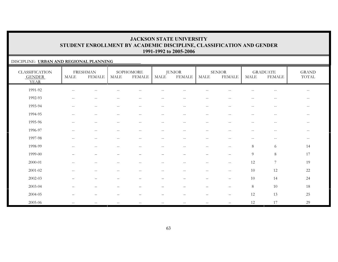### DISCIPLINE: **URBAN AND REGIONAL PLANNING**

| <b>CLASSIFICATION</b><br><b>GENDER</b><br><b>YEAR</b> | MALE                     | <b>FRESHMAN</b><br>FEMALE                           | MALE                     | SOPHOMORE<br><b>FEMALE</b>                     | MALE                     | <b>JUNIOR</b><br><b>FEMALE</b>                      | <b>MALE</b>                                   | <b>SENIOR</b><br><b>FEMALE</b>                      | <b>MALE</b>              | <b>GRADUATE</b><br><b>FEMALE</b>              | <b>GRAND</b><br>TOTAL                               |
|-------------------------------------------------------|--------------------------|-----------------------------------------------------|--------------------------|------------------------------------------------|--------------------------|-----------------------------------------------------|-----------------------------------------------|-----------------------------------------------------|--------------------------|-----------------------------------------------|-----------------------------------------------------|
| 1991-92                                               | $\hspace{0.05cm} -$      |                                                     |                          |                                                |                          |                                                     |                                               |                                                     |                          | --                                            | $\hspace{0.05cm} -\hspace{0.05cm} -\hspace{0.05cm}$ |
| 1992-93                                               | $--$                     | $--$                                                | $-\,-$                   | $\hspace{0.1mm}-\hspace{0.1mm}-\hspace{0.1mm}$ | $\overline{\phantom{m}}$ | $\hspace{0.05cm} -\hspace{0.05cm} -\hspace{0.05cm}$ | $--$                                          | $-\,-$                                              | $-\,-$                   | $\overline{\phantom{m}}$                      | $--$                                                |
| 1993-94                                               | $-\,-$                   | $\hspace{0.05cm} -\hspace{0.05cm} -\hspace{0.05cm}$ | $-\,-$                   | $\hspace{0.1mm}-\hspace{0.1mm}-\hspace{0.1mm}$ | $\overline{\phantom{m}}$ | $\overline{\phantom{m}}$                            | $\mathord{\hspace{1pt}\text{--}\hspace{1pt}}$ | $-\,-$                                              | $\overline{\phantom{m}}$ | $\overline{\phantom{m}}$                      | $--$                                                |
| 1994-95                                               | $-\,-$                   | $\hspace{0.05cm} -\hspace{0.05cm} -\hspace{0.05cm}$ | $-\,-$                   | $\hspace{0.1mm}-\hspace{0.1mm}-\hspace{0.1mm}$ | $\overline{\phantom{m}}$ | $\overline{\phantom{m}}$                            | $--$                                          | $-\,-$                                              | $-\,-$                   | $\mathord{\hspace{1pt}\text{--}\hspace{1pt}}$ | $--$                                                |
| 1995-96                                               | $\overline{\phantom{m}}$ | $\overline{\phantom{m}}$                            | $-$                      | $\hspace{0.1mm}-\hspace{0.1mm}-\hspace{0.1mm}$ | $- -$                    | $\sim$ $-$                                          | $\overline{\phantom{a}}$                      | $\overline{\phantom{m}}$                            | $\qquad \qquad -$        | $-\,-$                                        | $\overline{\phantom{m}}$                            |
| 1996-97                                               | $-\,-$                   | $\hspace{0.05cm} -\hspace{0.05cm} -\hspace{0.05cm}$ | $-$                      | $\hspace{0.1mm}-\hspace{0.1mm}-\hspace{0.1mm}$ | $\qquad \qquad -$        | $\sim$ $-$                                          | $\overline{\phantom{a}}$                      | $\hspace{0.05cm} -\hspace{0.05cm} -\hspace{0.05cm}$ | $\qquad \qquad -$        | $ -$                                          | $--$                                                |
| 1997-98                                               | $\sim$ $\sim$            | $-\,-$                                              | $-$                      | $\hspace{0.05cm}$ – $\hspace{0.05cm}$          | $\qquad \qquad -$        | $- -$                                               | $- -$                                         | $\overline{\phantom{m}}$                            | $\qquad \qquad -$        | $-\,-$                                        | $--$                                                |
| 1998-99                                               | --                       | $ -$                                                | --                       | $\sim$ –                                       | $\qquad \qquad -$        | $-$                                                 | $\overline{\phantom{a}}$                      | $-\,-$                                              | $\,8\,$                  | 6                                             | 14                                                  |
| 1999-00                                               |                          |                                                     |                          |                                                |                          |                                                     | $\qquad \qquad -$                             | $\overline{\phantom{m}}$                            | $\overline{9}$           | $\,8\,$                                       | 17                                                  |
| 2000-01                                               | $-\,-$                   | $\sim$ $-$                                          | --                       | $\hspace{0.05cm} -$                            | $-$                      | $-$                                                 | $\overline{\phantom{a}}$                      | $-\,-$                                              | 12                       | $\boldsymbol{7}$                              | 19                                                  |
| 2001-02                                               | $--$                     | $\hspace{0.05cm} -\hspace{0.05cm} -\hspace{0.05cm}$ | $-\,-$                   | $\hspace{0.1mm}-\hspace{0.1mm}-\hspace{0.1mm}$ | $\overline{\phantom{m}}$ | $--$                                                | $--$                                          | $\hspace{0.05cm} -\hspace{0.05cm} -\hspace{0.05cm}$ | 10                       | 12                                            | 22                                                  |
| 2002-03                                               |                          | $\overline{\phantom{m}}$                            | $\overline{\phantom{0}}$ | $\overline{\phantom{0}}$                       | $\overline{\phantom{0}}$ | $\qquad \qquad -$                                   | $\qquad \qquad -$                             | $\qquad \qquad -$                                   | 10                       | 14                                            | 24                                                  |
| 2003-04                                               | $\overline{\phantom{m}}$ | $\qquad \qquad -$                                   |                          | $\overline{\phantom{m}}$                       | —                        | $\qquad \qquad -$                                   | $\qquad \qquad -$                             | $\qquad \qquad -$                                   | $\,8\,$                  | 10                                            | 18                                                  |
| 2004-05                                               |                          |                                                     |                          |                                                |                          |                                                     | $\qquad \qquad -$                             | $\qquad \qquad -$                                   | 12                       | 13                                            | 25                                                  |
| 2005-06                                               | $- -$                    | $--$                                                | $\qquad \qquad -$        | $\hspace{0.1mm}-\hspace{0.1mm}-\hspace{0.1mm}$ | $\qquad \qquad -$        | $\overline{\phantom{m}}$                            | $\overline{\phantom{m}}$                      |                                                     | 12                       | 17                                            | 29                                                  |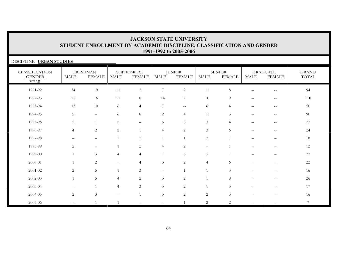| DISCIPLINE: URBAN STUDIES                             |                |                                  |                |                            |                |                         |                          |                                |                                                       |                                                     |                       |
|-------------------------------------------------------|----------------|----------------------------------|----------------|----------------------------|----------------|-------------------------|--------------------------|--------------------------------|-------------------------------------------------------|-----------------------------------------------------|-----------------------|
| <b>CLASSIFICATION</b><br><b>GENDER</b><br><b>YEAR</b> | MALE           | <b>FRESHMAN</b><br><b>FEMALE</b> | MALE           | SOPHOMORE<br><b>FEMALE</b> | MALE           | <b>JUNIOR</b><br>FEMALE | MALE                     | <b>SENIOR</b><br><b>FEMALE</b> | MALE                                                  | <b>GRADUATE</b><br><b>FEMALE</b>                    | <b>GRAND</b><br>TOTAL |
| 1991-92                                               | 34             | 19                               | 11             | $\sqrt{2}$                 | 7              | $\overline{c}$          | 11                       | $8\,$                          |                                                       | $-\,-$                                              | 94                    |
| 1992-93                                               | 25             | 16                               | 21             | 8                          | 14             | $\overline{7}$          | 10                       | 9                              | $\sim$ $\sim$                                         | $-$                                                 | 110                   |
| 1993-94                                               | 13             | 10                               | 6              | $\overline{4}$             | 7              | $\mathbf{u}$            | 6                        | 4                              | $\hspace{0.05cm} -\hspace{0.05cm} -\hspace{0.05cm}$   | $\hspace{0.05cm} -\hspace{0.05cm} -\hspace{0.05cm}$ | 50                    |
| 1994-95                                               | 2              | $--$                             | 6              | $\,8\,$                    | $\overline{2}$ | $\overline{4}$          | 11                       | $\mathfrak{Z}$                 | $\hspace{0.05cm} - \hspace{0.05cm} - \hspace{0.05cm}$ | $ -$                                                | $90\,$                |
| 1995-96                                               | $\mathbf{2}$   | $\mathbf{1}$                     | $\overline{2}$ | $- -$                      | 5              | 6                       | 3                        | $\overline{4}$                 |                                                       | $\hspace{0.05cm} -\hspace{0.05cm} -\hspace{0.05cm}$ | 23                    |
| 1996-97                                               | $\overline{4}$ | 2                                | $\overline{2}$ | $\mathbf{1}$               | $\overline{4}$ | 2                       | $\mathfrak{Z}$           | 6                              | $-$                                                   | $\hspace{0.05cm} -\hspace{0.05cm} -\hspace{0.05cm}$ | 24                    |
| 1997-98                                               |                | $\overline{\phantom{0}}$         | 5              | $\overline{2}$             | $\mathbf{1}$   |                         | 2                        | $\overline{ }$                 |                                                       |                                                     | 18                    |
| 1998-99                                               | 2              |                                  |                | $\overline{2}$             | $\overline{4}$ | 2                       | $\overline{\phantom{a}}$ |                                |                                                       |                                                     | $12\,$                |
| 1999-00                                               |                | 3                                | $\overline{4}$ | $\overline{4}$             |                | 3                       | 5                        |                                |                                                       | $\equiv$                                            | $22\,$                |
| 2000-01                                               |                | 2                                | —              | $\overline{4}$             | 3              | 2                       | $\overline{4}$           | 6                              |                                                       |                                                     | $22\,$                |
| $2001 - 02$                                           | 2              | 5                                |                | 3                          | $\equiv$       |                         |                          | 3                              |                                                       |                                                     | 16                    |
| $2002 - 03$                                           |                | 5                                | 4              | $\overline{2}$             | $\mathfrak{Z}$ | $\overline{c}$          |                          | 8                              |                                                       |                                                     | 26                    |
| 2003-04                                               |                |                                  | $\overline{4}$ | 3                          | $\mathfrak{Z}$ | 2                       |                          | $\mathfrak{Z}$                 |                                                       |                                                     | 17                    |
| 2004-05                                               | $\mathbf{2}$   | $\mathfrak{Z}$                   |                |                            | $\mathfrak{Z}$ | $\overline{2}$          | $\overline{2}$           | $\mathfrak{Z}$                 | $-$                                                   |                                                     | 16                    |
| 2005-06                                               | --             |                                  |                | --                         | $- -$          |                         | $\mathfrak{D}_{1}$       | 2                              | $- -$                                                 |                                                     | $\tau$                |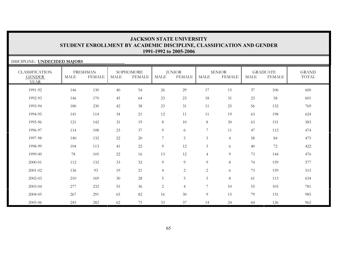#### DISCIPLINE: **UNDECIDED MAJORS** CLASSIFICATION GENDER YEARFRESHMANMALE FEMALE**SOPHOMORE** MALE FEMALEJUNIOR<br>MALE FEI **FEMALE** SENIORMALE FEMALE**GRADUATE**  MALE FEMALEGRANDTOTAL1991-92 146 130 40 54 26 29 17 15 37 106 600600 1992-93 146 170 45 64 23 23 18 31 23 58 6011993-94 180 230 42 38 23 31 11 25 56 132 7691994-95 141 114 34 21 12 11 11 19 63 198 6241995-96 121 142 31 19 8 10 8 30 63 151 5831996-97 114 108 23 37 9 6 7 11 47 112 4741997-98 140 132 22 20 7 5 3 4 58 84 4751998-99 104 113 41 22 9 12 3 6 40 72 422422 1999-00 78 105 22 16 13 12 4 9 73 144 4762000-01 112 132 33 32 9 9 9 8 74 159 5772001-02 136 93 19 21 4 2 2 6 73 159 5152002-03 210 169 30 28 5 5 5 8 61 113 634634 2003-04 277 232 55 36 2 4 7 10 55 103 781781 2004-05 267 291 65 82 16 30 9 15 79 131 9852005-06 245 282 62 75 33 37 14 24 64 126 962